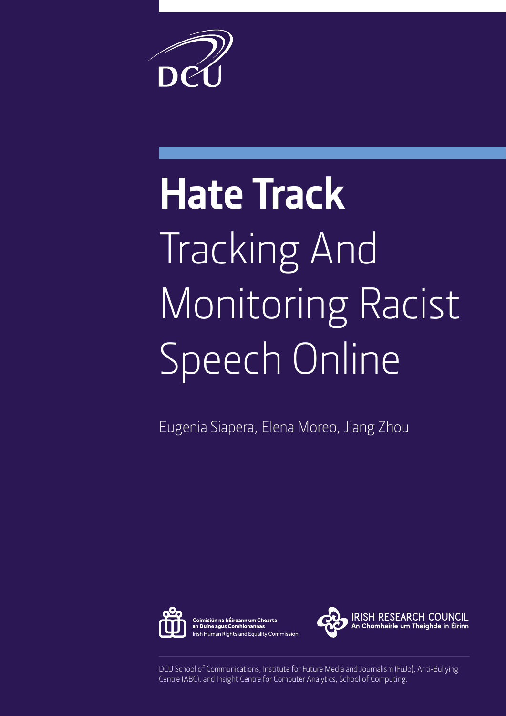

# **Hate Track** Tracking And Monitoring Racist Speech Online

Eugenia Siapera, Elena Moreo, Jiang Zhou



Coimisiún na hÉireann um Chearta<br>an Duine agus Comhionannas Irish Human Rights and Equality Commission



DCU School of Communications, Institute for Future Media and Journalism (FuJo), Anti-Bullying Centre (ABC), and Insight Centre for Computer Analytics, School of Computing.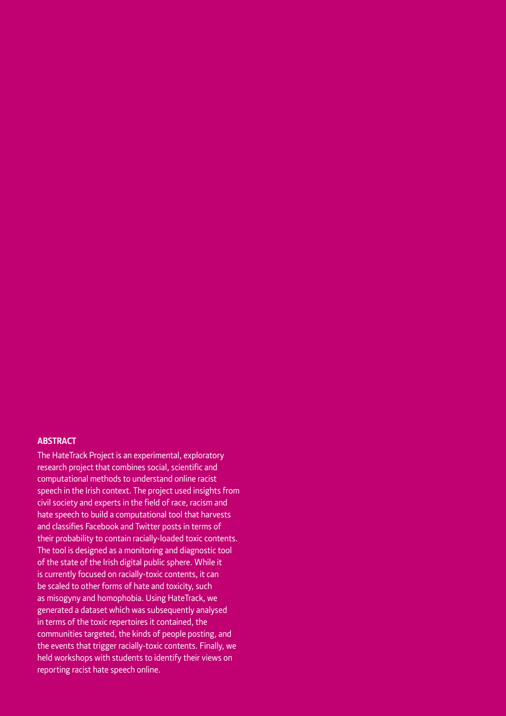#### **ABSTRACT**

The HateTrack Project is an experimental, exploratory research project that combines social, scientific and computational methods to understand online racist speech in the Irish context. The project used insights from civil society and experts in the field of race, racism and hate speech to build a computational tool that harvests and classifies Facebook and Twitter posts in terms of their probability to contain racially-loaded toxic contents. The tool is designed as a monitoring and diagnostic tool of the state of the Irish digital public sphere. While it is currently focused on racially-toxic contents, it can be scaled to other forms of hate and toxicity, such as misogyny and homophobia. Using HateTrack, we generated a dataset which was subsequently analysed in terms of the toxic repertoires it contained, the communities targeted, the kinds of people posting, and the events that trigger racially-toxic contents. Finally, we held workshops with students to identify their views on reporting racist hate speech online.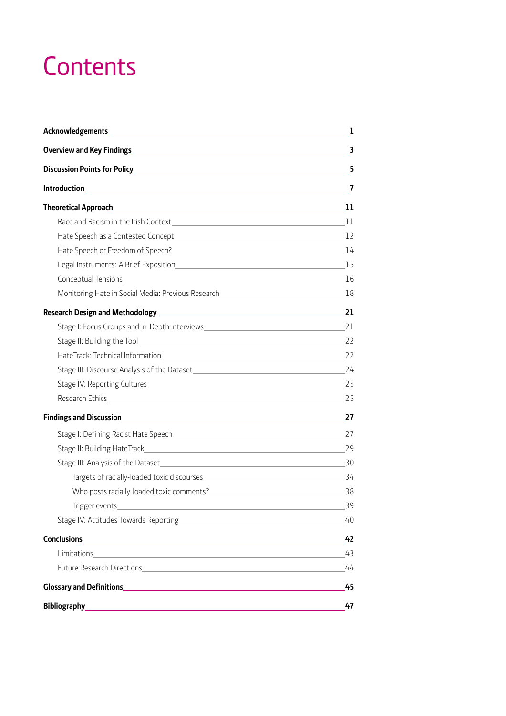# **Contents**

|                                                                                                                                         | 1                                  |  |  |
|-----------------------------------------------------------------------------------------------------------------------------------------|------------------------------------|--|--|
| Overview and Key Findings <b>Example 2018</b>                                                                                           | $\overline{\mathbf{3}}$<br>5<br>-7 |  |  |
|                                                                                                                                         |                                    |  |  |
| <b>Introduction</b><br>and the control of the control of the control of the control of the control of the control of the control of the |                                    |  |  |
|                                                                                                                                         |                                    |  |  |
| Race and Racism in the Irish Context<br>11                                                                                              |                                    |  |  |
|                                                                                                                                         |                                    |  |  |
|                                                                                                                                         |                                    |  |  |
|                                                                                                                                         |                                    |  |  |
| 16<br>Conceptual Tensions                                                                                                               |                                    |  |  |
|                                                                                                                                         |                                    |  |  |
|                                                                                                                                         | 21                                 |  |  |
| Stage I: Focus Groups and In-Depth Interviews___________________________________                                                        | 21                                 |  |  |
|                                                                                                                                         |                                    |  |  |
|                                                                                                                                         | 22                                 |  |  |
| Stage III: Discourse Analysis of the Dataset                                                                                            | 24                                 |  |  |
|                                                                                                                                         | -25                                |  |  |
| Research Ethics <b>Committee Committee Committee Committee Committee Committee Committee Committee Committee Committee</b>              | 25                                 |  |  |
|                                                                                                                                         | 27                                 |  |  |
|                                                                                                                                         | 27                                 |  |  |
| Stage II: Building HateTrack https://www.assett.com/www.assett.com/www.assett.com/www.assett.com/www                                    | 29                                 |  |  |
| Stage III: Analysis of the Dataset example and the stage of the Dataset                                                                 | 30                                 |  |  |
|                                                                                                                                         |                                    |  |  |
|                                                                                                                                         | 38                                 |  |  |
|                                                                                                                                         | 39                                 |  |  |
|                                                                                                                                         | 40                                 |  |  |
| <b>Conclusions</b>                                                                                                                      | 42                                 |  |  |
|                                                                                                                                         | 43                                 |  |  |
|                                                                                                                                         | 44                                 |  |  |
|                                                                                                                                         | 45                                 |  |  |
| <b>Bibliography</b><br><u> 1980 - Jan James James Barbara, martxa a fizikar a</u>                                                       | 47                                 |  |  |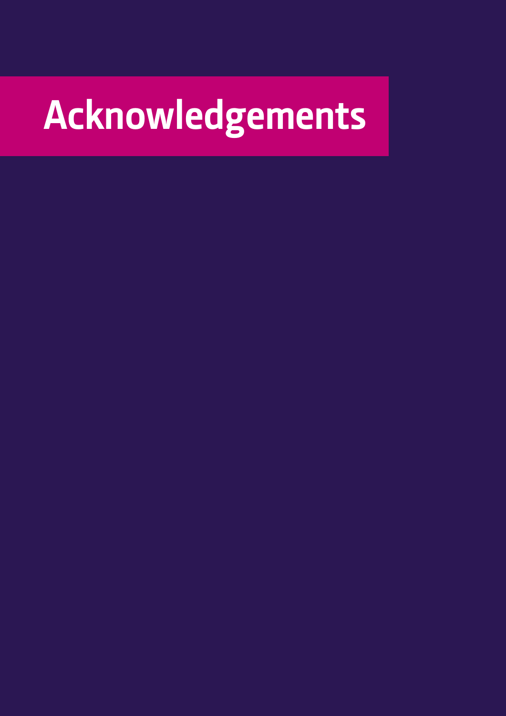# **Acknowledgements**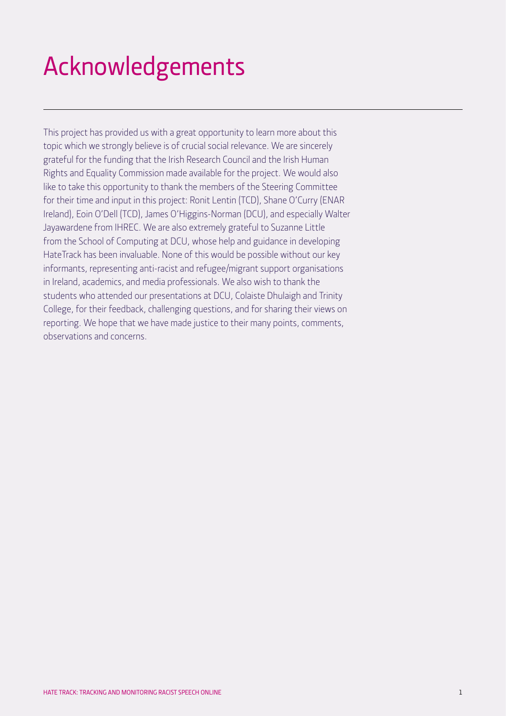# Acknowledgements

This project has provided us with a great opportunity to learn more about this topic which we strongly believe is of crucial social relevance. We are sincerely grateful for the funding that the Irish Research Council and the Irish Human Rights and Equality Commission made available for the project. We would also like to take this opportunity to thank the members of the Steering Committee for their time and input in this project: Ronit Lentin (TCD), Shane O'Curry (ENAR Ireland), Eoin O'Dell (TCD), James O'Higgins-Norman (DCU), and especially Walter Jayawardene from IHREC. We are also extremely grateful to Suzanne Little from the School of Computing at DCU, whose help and guidance in developing HateTrack has been invaluable. None of this would be possible without our key informants, representing anti-racist and refugee/migrant support organisations in Ireland, academics, and media professionals. We also wish to thank the students who attended our presentations at DCU, Colaiste Dhulaigh and Trinity College, for their feedback, challenging questions, and for sharing their views on reporting. We hope that we have made justice to their many points, comments, observations and concerns.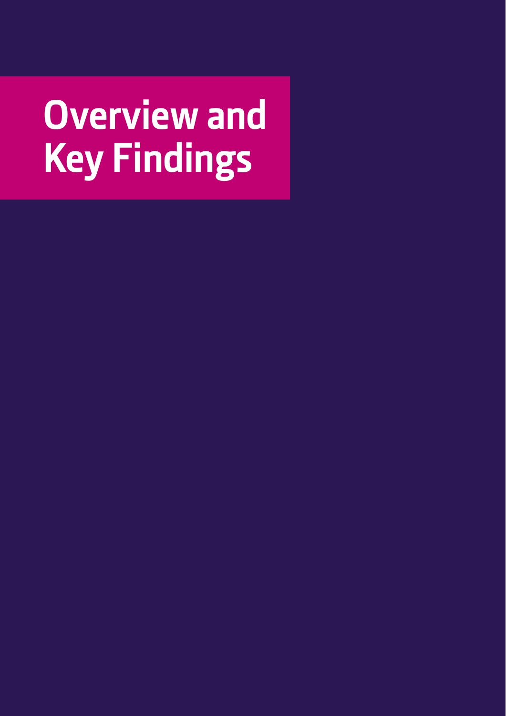# **Overview and Key Findings**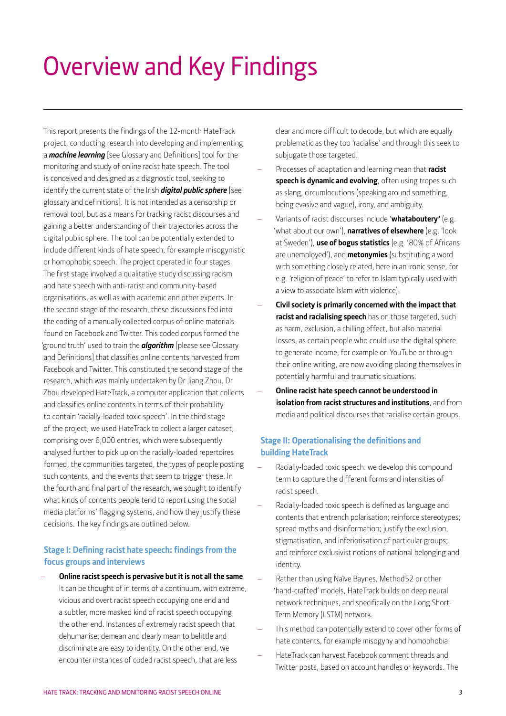# Overview and Key Findings

This report presents the findings of the 12-month HateTrack project, conducting research into developing and implementing a *machine learning* [see Glossary and Definitions] tool for the monitoring and study of online racist hate speech. The tool is conceived and designed as a diagnostic tool, seeking to identify the current state of the Irish *digital public sphere* [see glossary and definitions]. It is not intended as a censorship or removal tool, but as a means for tracking racist discourses and gaining a better understanding of their trajectories across the digital public sphere. The tool can be potentially extended to include different kinds of hate speech, for example misogynistic or homophobic speech. The project operated in four stages. The first stage involved a qualitative study discussing racism and hate speech with anti-racist and community-based organisations, as well as with academic and other experts. In the second stage of the research, these discussions fed into the coding of a manually collected corpus of online materials found on Facebook and Twitter. This coded corpus formed the 'ground truth' used to train the *algorithm* [please see Glossary and Definitions] that classifies online contents harvested from Facebook and Twitter. This constituted the second stage of the research, which was mainly undertaken by Dr Jiang Zhou. Dr Zhou developed HateTrack, a computer application that collects and classifies online contents in terms of their probability to contain 'racially-loaded toxic speech'. In the third stage of the project, we used HateTrack to collect a larger dataset, comprising over 6,000 entries, which were subsequently analysed further to pick up on the racially-loaded repertoires formed, the communities targeted, the types of people posting such contents, and the events that seem to trigger these. In the fourth and final part of the research, we sought to identify what kinds of contents people tend to report using the social media platforms' flagging systems, and how they justify these decisions. The key findings are outlined below.

### **Stage I: Defining racist hate speech: findings from the focus groups and interviews**

— **Online racist speech is pervasive but it is not all the same**. It can be thought of in terms of a continuum, with extreme, vicious and overt racist speech occupying one end and a subtler, more masked kind of racist speech occupying the other end. Instances of extremely racist speech that dehumanise, demean and clearly mean to belittle and discriminate are easy to identity. On the other end, we encounter instances of coded racist speech, that are less

clear and more difficult to decode, but which are equally problematic as they too 'racialise' and through this seek to subjugate those targeted.

- Processes of adaptation and learning mean that **racist speech is dynamic and evolving**, often using tropes such as slang, circumlocutions (speaking around something, being evasive and vague), irony, and ambiguity.
- Variants of racist discourses include '**whataboutery'** (e.g. 'what about our own'), **narratives of elsewhere** (e.g. 'look at Sweden'), **use of bogus statistics** (e.g. '80% of Africans are unemployed'), and **metonymies** (substituting a word with something closely related, here in an ironic sense, for e.g. 'religion of peace' to refer to Islam typically used with a view to associate Islam with violence).
- **Civil society is primarily concerned with the impact that racist and racialising speech** has on those targeted, such as harm, exclusion, a chilling effect, but also material losses, as certain people who could use the digital sphere to generate income, for example on YouTube or through their online writing, are now avoiding placing themselves in potentially harmful and traumatic situations.
- **Online racist hate speech cannot be understood in isolation from racist structures and institutions**, and from media and political discourses that racialise certain groups.

### **Stage II: Operationalising the definitions and building HateTrack**

- Racially-loaded toxic speech: we develop this compound term to capture the different forms and intensities of racist speech.
- Racially-loaded toxic speech is defined as language and contents that entrench polarisation; reinforce stereotypes; spread myths and disinformation; justify the exclusion, stigmatisation, and inferiorisation of particular groups; and reinforce exclusivist notions of national belonging and identity.
- Rather than using Naïve Baynes, Method52 or other 'hand-crafted' models, HateTrack builds on deep neural network techniques, and specifically on the Long Short-Term Memory (LSTM) network.
- This method can potentially extend to cover other forms of hate contents, for example misogyny and homophobia.
- HateTrack can harvest Facebook comment threads and Twitter posts, based on account handles or keywords. The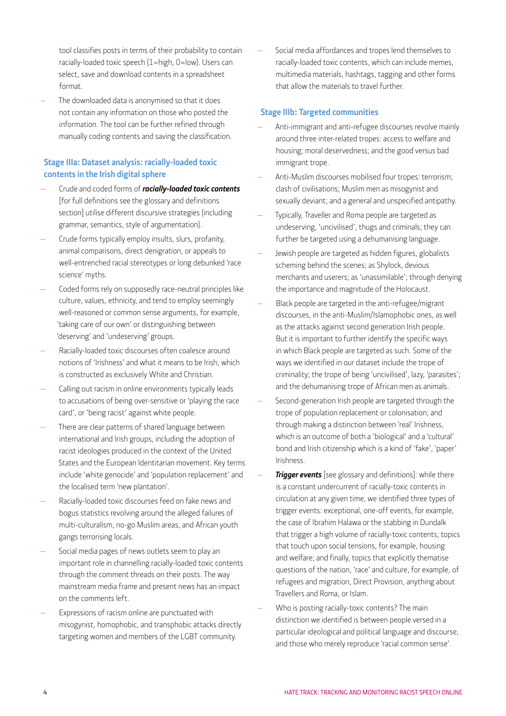tool classifies posts in terms of their probability to contain racially-loaded toxic speech (1=high, 0=low). Users can select, save and download contents in a spreadsheet format.

— The downloaded data is anonymised so that it does not contain any information on those who posted the information. The tool can be further refined through manually coding contents and saving the classification.

### **Stage IIIa: Dataset analysis: racially-loaded toxic contents in the Irish digital sphere**

- Crude and coded forms of *racially-loaded toxic contents* [for full definitions see the glossary and definitions section] utilise different discursive strategies (including grammar, semantics, style of argumentation).
- Crude forms typically employ insults, slurs, profanity, animal comparisons, direct denigration, or appeals to well-entrenched racial stereotypes or long debunked 'race science' myths.
- Coded forms rely on supposedly race-neutral principles like culture, values, ethnicity, and tend to employ seemingly well-reasoned or common sense arguments, for example, 'taking care of our own' or distinguishing between 'deserving' and 'undeserving' groups.
- Racially-loaded toxic discourses often coalesce around notions of 'Irishness' and what it means to be Irish, which is constructed as exclusively White and Christian.
- Calling out racism in online environments typically leads to accusations of being over-sensitive or 'playing the race card', or 'being racist' against white people.
- There are clear patterns of shared language between international and Irish groups, including the adoption of racist ideologies produced in the context of the United States and the European Identitarian movement. Key terms include 'white genocide' and 'population replacement' and the localised term 'new plantation'.
- Racially-loaded toxic discourses feed on fake news and bogus statistics revolving around the alleged failures of multi-culturalism, no-go Muslim areas, and African youth gangs terrorising locals.
- Social media pages of news outlets seem to play an important role in channelling racially-loaded toxic contents through the comment threads on their posts. The way mainstream media frame and present news has an impact on the comments left.
- Expressions of racism online are punctuated with misogynist, homophobic, and transphobic attacks directly targeting women and members of the LGBT community.

Social media affordances and tropes lend themselves to racially-loaded toxic contents, which can include memes, multimedia materials, hashtags, tagging and other forms that allow the materials to travel further.

### **Stage IIIb: Targeted communities**

- Anti-immigrant and anti-refugee discourses revolve mainly around three inter-related tropes: access to welfare and housing; moral deservedness; and the good versus bad immigrant trope.
- Anti-Muslim discourses mobilised four tropes: terrorism; clash of civilisations; Muslim men as misogynist and sexually deviant; and a general and unspecified antipathy.
- Typically, Traveller and Roma people are targeted as undeserving, 'uncivilised', thugs and criminals; they can further be targeted using a dehumanising language.
- Jewish people are targeted as hidden figures, globalists scheming behind the scenes; as Shylock, devious merchants and userers; as 'unassimilable'; through denying the importance and magnitude of the Holocaust.
- Black people are targeted in the anti-refugee/migrant discourses, in the anti-Muslim/Islamophobic ones, as well as the attacks against second generation Irish people. But it is important to further identify the specific ways in which Black people are targeted as such. Some of the ways we identified in our dataset include the trope of criminality; the trope of being 'uncivilised', lazy, 'parasites'; and the dehumanising trope of African men as animals.
- Second-generation Irish people are targeted through the trope of population replacement or colonisation; and through making a distinction between 'real' Irishness, which is an outcome of both a 'biological' and a 'cultural' bond and Irish citizenship which is a kind of 'fake', 'paper' Irishness.
- **Trigger events** [see glossary and definitions]: while there is a constant undercurrent of racially-toxic contents in circulation at any given time, we identified three types of trigger events: exceptional, one-off events, for example, the case of Ibrahim Halawa or the stabbing in Dundalk that trigger a high volume of racially-toxic contents; topics that touch upon social tensions, for example, housing and welfare; and finally, topics that explicitly thematise questions of the nation, 'race' and culture, for example, of refugees and migration, Direct Provision, anything about Travellers and Roma, or Islam.
- Who is posting racially-toxic contents? The main distinction we identified is between people versed in a particular ideological and political language and discourse, and those who merely reproduce 'racial common sense'.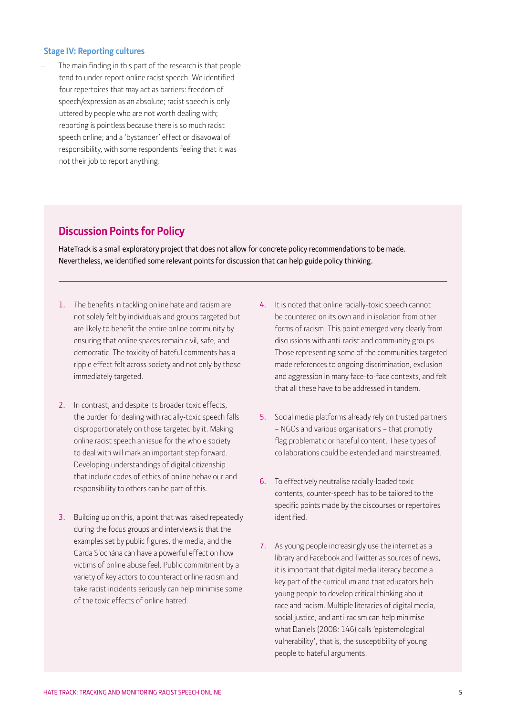### **Stage IV: Reporting cultures**

The main finding in this part of the research is that people tend to under-report online racist speech. We identified four repertoires that may act as barriers: freedom of speech/expression as an absolute; racist speech is only uttered by people who are not worth dealing with; reporting is pointless because there is so much racist speech online; and a 'bystander' effect or disavowal of responsibility, with some respondents feeling that it was not their job to report anything.

## **Discussion Points for Policy**

HateTrack is a small exploratory project that does not allow for concrete policy recommendations to be made. Nevertheless, we identified some relevant points for discussion that can help guide policy thinking.

- 1. The benefits in tackling online hate and racism are not solely felt by individuals and groups targeted but are likely to benefit the entire online community by ensuring that online spaces remain civil, safe, and democratic. The toxicity of hateful comments has a ripple effect felt across society and not only by those immediately targeted.
- 2. In contrast, and despite its broader toxic effects, the burden for dealing with racially-toxic speech falls disproportionately on those targeted by it. Making online racist speech an issue for the whole society to deal with will mark an important step forward. Developing understandings of digital citizenship that include codes of ethics of online behaviour and responsibility to others can be part of this.
- 3. Building up on this, a point that was raised repeatedly during the focus groups and interviews is that the examples set by public figures, the media, and the Garda Síochána can have a powerful effect on how victims of online abuse feel. Public commitment by a variety of key actors to counteract online racism and take racist incidents seriously can help minimise some of the toxic effects of online hatred.
- 4. It is noted that online racially-toxic speech cannot be countered on its own and in isolation from other forms of racism. This point emerged very clearly from discussions with anti-racist and community groups. Those representing some of the communities targeted made references to ongoing discrimination, exclusion and aggression in many face-to-face contexts, and felt that all these have to be addressed in tandem.
- 5. Social media platforms already rely on trusted partners – NGOs and various organisations – that promptly flag problematic or hateful content. These types of collaborations could be extended and mainstreamed.
- 6. To effectively neutralise racially-loaded toxic contents, counter-speech has to be tailored to the specific points made by the discourses or repertoires identified.
- 7. As young people increasingly use the internet as a library and Facebook and Twitter as sources of news, it is important that digital media literacy become a key part of the curriculum and that educators help young people to develop critical thinking about race and racism. Multiple literacies of digital media, social justice, and anti-racism can help minimise what Daniels (2008: 146) calls 'epistemological vulnerability', that is, the susceptibility of young people to hateful arguments.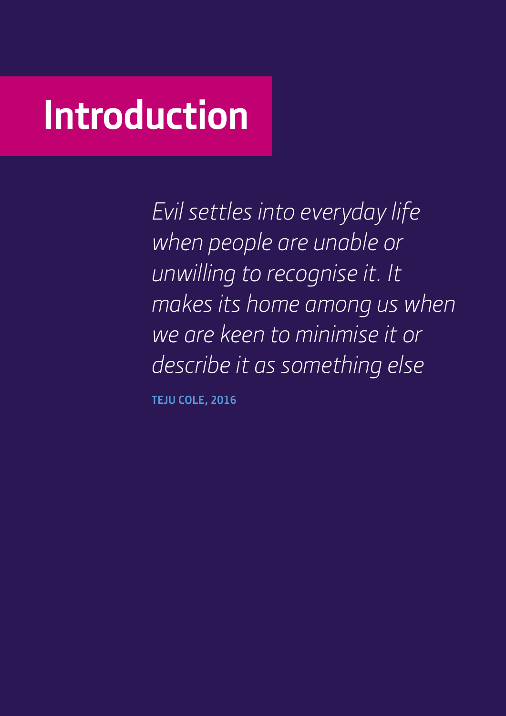# **Introduction**

*Evil settles into everyday life when people are unable or unwilling to recognise it. It makes its home among us when we are keen to minimise it or describe it as something else*

**TEJU COLE, 2016**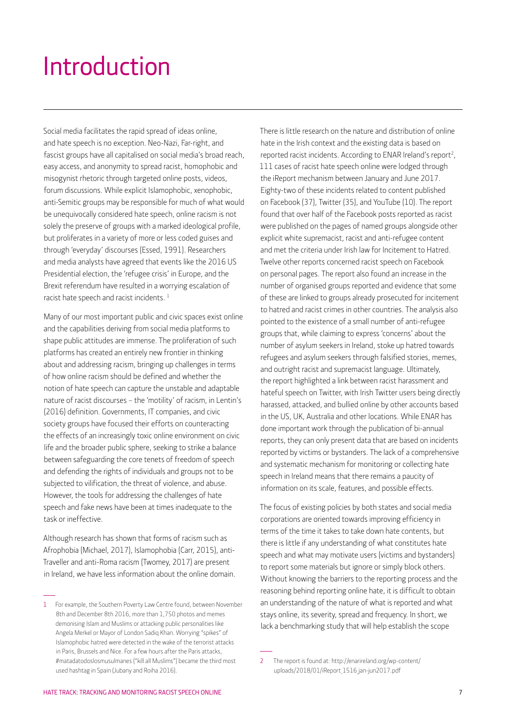# Introduction

Social media facilitates the rapid spread of ideas online, and hate speech is no exception. Neo-Nazi, Far-right, and fascist groups have all capitalised on social media's broad reach, easy access, and anonymity to spread racist, homophobic and misogynist rhetoric through targeted online posts, videos, forum discussions. While explicit Islamophobic, xenophobic, anti-Semitic groups may be responsible for much of what would be unequivocally considered hate speech, online racism is not solely the preserve of groups with a marked ideological profile, but proliferates in a variety of more or less coded guises and through 'everyday' discourses (Essed, 1991). Researchers and media analysts have agreed that events like the 2016 US Presidential election, the 'refugee crisis' in Europe, and the Brexit referendum have resulted in a worrying escalation of racist hate speech and racist incidents.<sup>1</sup>

Many of our most important public and civic spaces exist online and the capabilities deriving from social media platforms to shape public attitudes are immense. The proliferation of such platforms has created an entirely new frontier in thinking about and addressing racism, bringing up challenges in terms of how online racism should be defined and whether the notion of hate speech can capture the unstable and adaptable nature of racist discourses – the 'motility' of racism, in Lentin's (2016) definition. Governments, IT companies, and civic society groups have focused their efforts on counteracting the effects of an increasingly toxic online environment on civic life and the broader public sphere, seeking to strike a balance between safeguarding the core tenets of freedom of speech and defending the rights of individuals and groups not to be subjected to vilification, the threat of violence, and abuse. However, the tools for addressing the challenges of hate speech and fake news have been at times inadequate to the task or ineffective.

Although research has shown that forms of racism such as Afrophobia (Michael, 2017), Islamophobia (Carr, 2015), anti-Traveller and anti-Roma racism (Twomey, 2017) are present in Ireland, we have less information about the online domain. There is little research on the nature and distribution of online hate in the Irish context and the existing data is based on reported racist incidents. According to ENAR Ireland's report<sup>2</sup>, 111 cases of racist hate speech online were lodged through the iReport mechanism between January and June 2017. Eighty-two of these incidents related to content published on Facebook (37), Twitter (35), and YouTube (10). The report found that over half of the Facebook posts reported as racist were published on the pages of named groups alongside other explicit white supremacist, racist and anti-refugee content and met the criteria under Irish law for Incitement to Hatred. Twelve other reports concerned racist speech on Facebook on personal pages. The report also found an increase in the number of organised groups reported and evidence that some of these are linked to groups already prosecuted for incitement to hatred and racist crimes in other countries. The analysis also pointed to the existence of a small number of anti-refugee groups that, while claiming to express 'concerns' about the number of asylum seekers in Ireland, stoke up hatred towards refugees and asylum seekers through falsified stories, memes, and outright racist and supremacist language. Ultimately, the report highlighted a link between racist harassment and hateful speech on Twitter, with Irish Twitter users being directly harassed, attacked, and bullied online by other accounts based in the US, UK, Australia and other locations. While ENAR has done important work through the publication of bi-annual reports, they can only present data that are based on incidents reported by victims or bystanders. The lack of a comprehensive and systematic mechanism for monitoring or collecting hate speech in Ireland means that there remains a paucity of information on its scale, features, and possible effects.

The focus of existing policies by both states and social media corporations are oriented towards improving efficiency in terms of the time it takes to take down hate contents, but there is little if any understanding of what constitutes hate speech and what may motivate users (victims and bystanders) to report some materials but ignore or simply block others. Without knowing the barriers to the reporting process and the reasoning behind reporting online hate, it is difficult to obtain an understanding of the nature of what is reported and what stays online, its severity, spread and frequency. In short, we lack a benchmarking study that will help establish the scope

<sup>1</sup> For example, the Southern Poverty Law Centre found, between November 8th and December 8th 2016, more than 1,750 photos and memes demonising Islam and Muslims or attacking public personalities like Angela Merkel or Mayor of London Sadiq Khan. Worrying "spikes" of Islamophobic hatred were detected in the wake of the terrorist attacks in Paris, Brussels and Nice. For a few hours after the Paris attacks, #matadatodoslosmusulmanes ("kill all Muslims") became the third most used hashtag in Spain (Jubany and Roiha 2016).

<sup>2</sup> The report is found at: http://enarireland.org/wp-content/ uploads/2018/01/iReport 1516 jan-jun2017.pdf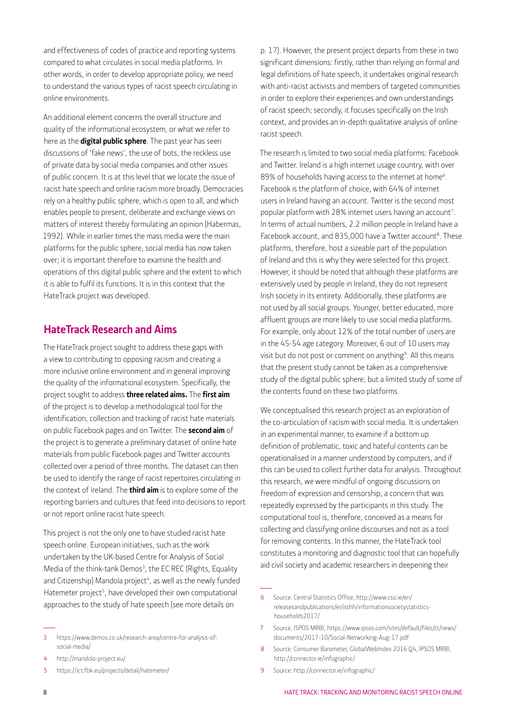and effectiveness of codes of practice and reporting systems compared to what circulates in social media platforms. In other words, in order to develop appropriate policy, we need to understand the various types of racist speech circulating in online environments.

An additional element concerns the overall structure and quality of the informational ecosystem, or what we refer to here as the **digital public sphere**. The past year has seen discussions of 'fake news', the use of bots, the reckless use of private data by social media companies and other issues of public concern. It is at this level that we locate the issue of racist hate speech and online racism more broadly. Democracies rely on a healthy public sphere, which is open to all, and which enables people to present, deliberate and exchange views on matters of interest thereby formulating an opinion (Habermas, 1992). While in earlier times the mass media were the main platforms for the public sphere, social media has now taken over; it is important therefore to examine the health and operations of this digital public sphere and the extent to which it is able to fulfil its functions. It is in this context that the HateTrack project was developed.

### **HateTrack Research and Aims**

The HateTrack project sought to address these gaps with a view to contributing to opposing racism and creating a more inclusive online environment and in general improving the quality of the informational ecosystem. Specifically, the project sought to address **three related aims.** The **first aim** of the project is to develop a methodological tool for the identification, collection and tracking of racist hate materials on public Facebook pages and on Twitter. The **second aim** of the project is to generate a preliminary dataset of online hate materials from public Facebook pages and Twitter accounts collected over a period of three months. The dataset can then be used to identify the range of racist repertoires circulating in the context of Ireland. The **third aim** is to explore some of the reporting barriers and cultures that feed into decisions to report or not report online racist hate speech.

This project is not the only one to have studied racist hate speech online. European initiatives, such as the work undertaken by the UK-based Centre for Analysis of Social Media of the think-tank Demos<sup>3</sup>, the EC REC (Rights, Equality and Citizenship) Mandola project<sup>4</sup>, as well as the newly funded Hatemeter project<sup>5</sup>, have developed their own computational approaches to the study of hate speech (see more details on

p. 17). However, the present project departs from these in two significant dimensions: firstly, rather than relying on formal and legal definitions of hate speech, it undertakes original research with anti-racist activists and members of targeted communities in order to explore their experiences and own understandings of racist speech; secondly, it focuses specifically on the Irish context, and provides an in-depth qualitative analysis of online racist speech.

The research is limited to two social media platforms: Facebook and Twitter. Ireland is a high internet usage country, with over 89% of households having access to the internet at home<sup>6</sup>. Facebook is the platform of choice, with 64% of internet users in Ireland having an account. Twitter is the second most popular platform with 28% internet users having an account<sup>7</sup>. In terms of actual numbers, 2.2 million people in Ireland have a Facebook account, and 835,000 have a Twitter account<sup>8</sup>. These platforms, therefore, host a sizeable part of the population of Ireland and this is why they were selected for this project. However, it should be noted that although these platforms are extensively used by people in Ireland, they do not represent Irish society in its entirety. Additionally, these platforms are not used by all social groups. Younger, better educated, more affluent groups are more likely to use social media platforms. For example, only about 12% of the total number of users are in the 45-54 age category. Moreover, 6 out of 10 users may visit but do not post or comment on anything<sup>9</sup>. All this means that the present study cannot be taken as a comprehensive study of the digital public sphere, but a limited study of some of the contents found on these two platforms.

We conceptualised this research project as an exploration of the co-articulation of racism with social media. It is undertaken in an experimental manner, to examine if a bottom up definition of problematic, toxic and hateful contents can be operationalised in a manner understood by computers, and if this can be used to collect further data for analysis. Throughout this research, we were mindful of ongoing discussions on freedom of expression and censorship, a concern that was repeatedly expressed by the participants in this study. The computational tool is, therefore, conceived as a means for collecting and classifying online discourses and not as a tool for removing contents. In this manner, the HateTrack tool constitutes a monitoring and diagnostic tool that can hopefully aid civil society and academic researchers in deepening their

<sup>3</sup> https://www.demos.co.uk/research-area/centre-for-analysis-ofsocial-media/

<sup>4</sup> http://mandola-project.eu/

<sup>5</sup> https://ict.fbk.eu/projects/detail/hatemeter/

<sup>6</sup> Source: Central Statistics Office, http://www.cso.ie/en/ releasesandpublications/er/isshh/informationsocietystatisticshouseholds2017/

<sup>7</sup> Source, ISPOS MRBI, https://www.ipsos.com/sites/default/files/ct/news/ documents/2017-10/Social-Networking-Aug-17.pdf

<sup>8</sup> Source: Consumer Barometer, GlobalWebIndex 2016 Q4, IPSOS MRBI, http://connector.ie/infographic/

<sup>9</sup> Source: http://connector.ie/infographic/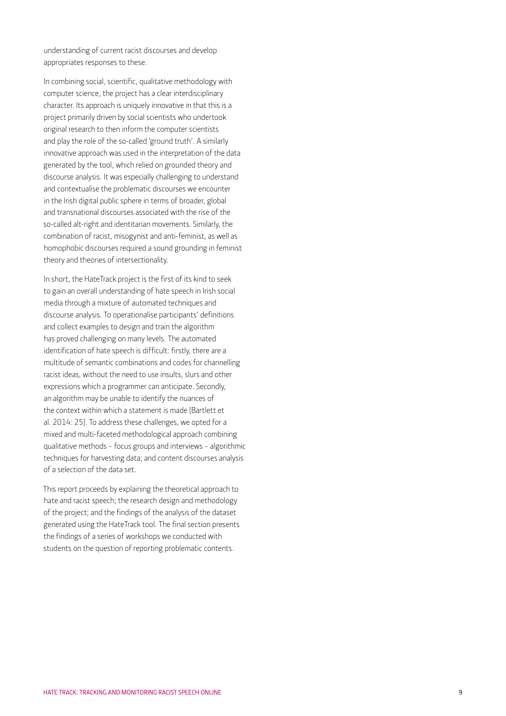understanding of current racist discourses and develop appropriates responses to these.

In combining social, scientific, qualitative methodology with computer science, the project has a clear interdisciplinary character. Its approach is uniquely innovative in that this is a project primarily driven by social scientists who undertook original research to then inform the computer scientists and play the role of the so-called 'ground truth'. A similarly innovative approach was used in the interpretation of the data generated by the tool, which relied on grounded theory and discourse analysis. It was especially challenging to understand and contextualise the problematic discourses we encounter in the Irish digital public sphere in terms of broader, global and transnational discourses associated with the rise of the so-called alt-right and identitarian movements. Similarly, the combination of racist, misogynist and anti-feminist, as well as homophobic discourses required a sound grounding in feminist theory and theories of intersectionality.

In short, the HateTrack project is the first of its kind to seek to gain an overall understanding of hate speech in Irish social media through a mixture of automated techniques and discourse analysis. To operationalise participants' definitions and collect examples to design and train the algorithm has proved challenging on many levels. The automated identification of hate speech is difficult: firstly, there are a multitude of semantic combinations and codes for channelling racist ideas, without the need to use insults, slurs and other expressions which a programmer can anticipate. Secondly, an algorithm may be unable to identify the nuances of the context within which a statement is made (Bartlett et al. 2014: 25). To address these challenges, we opted for a mixed and multi-faceted methodological approach combining qualitative methods – focus groups and interviews – algorithmic techniques for harvesting data; and content discourses analysis of a selection of the data set.

This report proceeds by explaining the theoretical approach to hate and racist speech; the research design and methodology of the project; and the findings of the analysis of the dataset generated using the HateTrack tool. The final section presents the findings of a series of workshops we conducted with students on the question of reporting problematic contents.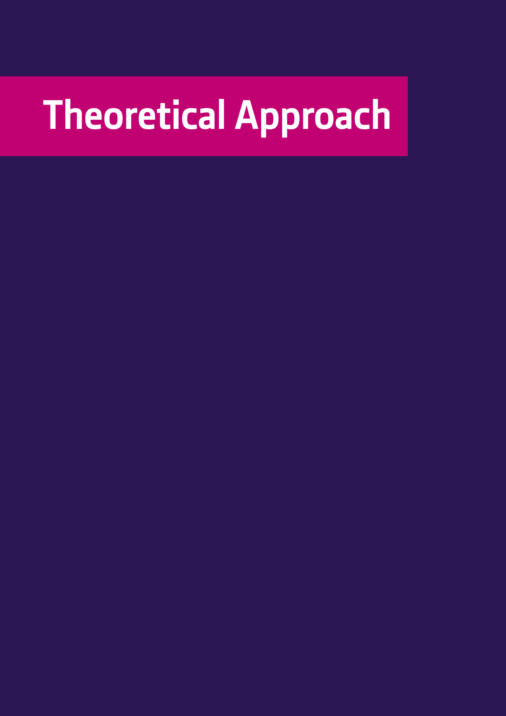# **Theoretical Approach**

- 
- 
- 
- 
-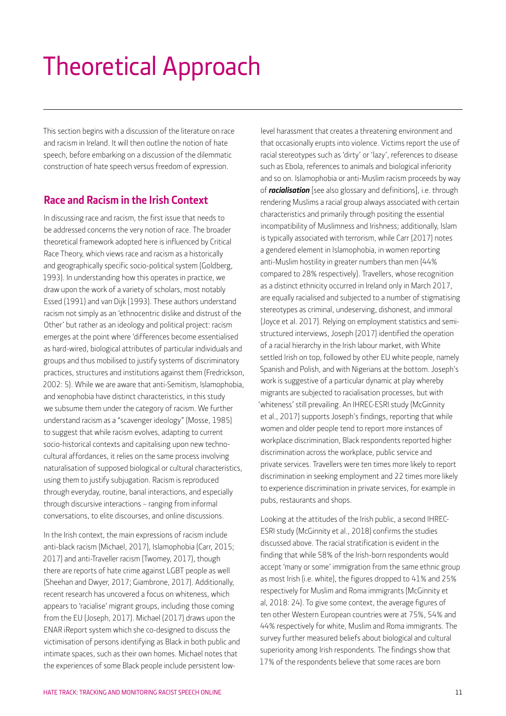# Theoretical Approach

This section begins with a discussion of the literature on race and racism in Ireland. It will then outline the notion of hate speech, before embarking on a discussion of the dilemmatic construction of hate speech versus freedom of expression.

### **Race and Racism in the Irish Context**

In discussing race and racism, the first issue that needs to be addressed concerns the very notion of race. The broader theoretical framework adopted here is influenced by Critical Race Theory, which views race and racism as a historically and geographically specific socio-political system (Goldberg, 1993). In understanding how this operates in practice, we draw upon the work of a variety of scholars, most notably Essed (1991) and van Dijk (1993). These authors understand racism not simply as an 'ethnocentric dislike and distrust of the Other' but rather as an ideology and political project: racism emerges at the point where 'differences become essentialised as hard-wired, biological attributes of particular individuals and groups and thus mobilised to justify systems of discriminatory practices, structures and institutions against them (Fredrickson, 2002: 5). While we are aware that anti-Semitism, Islamophobia, and xenophobia have distinct characteristics, in this study we subsume them under the category of racism. We further understand racism as a "scavenger ideology" (Mosse, 1985) to suggest that while racism evolves, adapting to current socio-historical contexts and capitalising upon new technocultural affordances, it relies on the same process involving naturalisation of supposed biological or cultural characteristics, using them to justify subjugation. Racism is reproduced through everyday, routine, banal interactions, and especially through discursive interactions – ranging from informal conversations, to elite discourses, and online discussions.

In the Irish context, the main expressions of racism include anti-black racism (Michael, 2017), Islamophobia (Carr, 2015; 2017) and anti-Traveller racism (Twomey, 2017), though there are reports of hate crime against LGBT people as well (Sheehan and Dwyer, 2017; Giambrone, 2017). Additionally, recent research has uncovered a focus on whiteness, which appears to 'racialise' migrant groups, including those coming from the EU (Joseph, 2017). Michael (2017) draws upon the ENAR iReport system which she co-designed to discuss the victimisation of persons identifying as Black in both public and intimate spaces, such as their own homes. Michael notes that the experiences of some Black people include persistent low-

level harassment that creates a threatening environment and that occasionally erupts into violence. Victims report the use of racial stereotypes such as 'dirty' or 'lazy', references to disease such as Ebola, references to animals and biological inferiority and so on. Islamophobia or anti-Muslim racism proceeds by way of *racialisation* [see also glossary and definitions], i.e. through rendering Muslims a racial group always associated with certain characteristics and primarily through positing the essential incompatibility of Muslimness and Irishness; additionally, Islam is typically associated with terrorism, while Carr (2017) notes a gendered element in Islamophobia, in women reporting anti-Muslim hostility in greater numbers than men (44% compared to 28% respectively). Travellers, whose recognition as a distinct ethnicity occurred in Ireland only in March 2017, are equally racialised and subjected to a number of stigmatising stereotypes as criminal, undeserving, dishonest, and immoral (Joyce et al. 2017). Relying on employment statistics and semistructured interviews, Joseph (2017) identified the operation of a racial hierarchy in the Irish labour market, with White settled Irish on top, followed by other EU white people, namely Spanish and Polish, and with Nigerians at the bottom. Joseph's work is suggestive of a particular dynamic at play whereby migrants are subjected to racialisation processes, but with 'whiteness' still prevailing. An IHREC-ESRI study (McGinnity et al., 2017) supports Joseph's findings, reporting that while women and older people tend to report more instances of workplace discrimination, Black respondents reported higher discrimination across the workplace, public service and private services. Travellers were ten times more likely to report discrimination in seeking employment and 22 times more likely to experience discrimination in private services, for example in pubs, restaurants and shops.

Looking at the attitudes of the Irish public, a second IHREC-ESRI study (McGinnity et al., 2018) confirms the studies discussed above. The racial stratification is evident in the finding that while 58% of the Irish-born respondents would accept 'many or some' immigration from the same ethnic group as most Irish (i.e. white), the figures dropped to 41% and 25% respectively for Muslim and Roma immigrants (McGinnity et al, 2018: 24). To give some context, the average figures of ten other Western European countries were at 75%, 54% and 44% respectively for white, Muslim and Roma immigrants. The survey further measured beliefs about biological and cultural superiority among Irish respondents. The findings show that 17% of the respondents believe that some races are born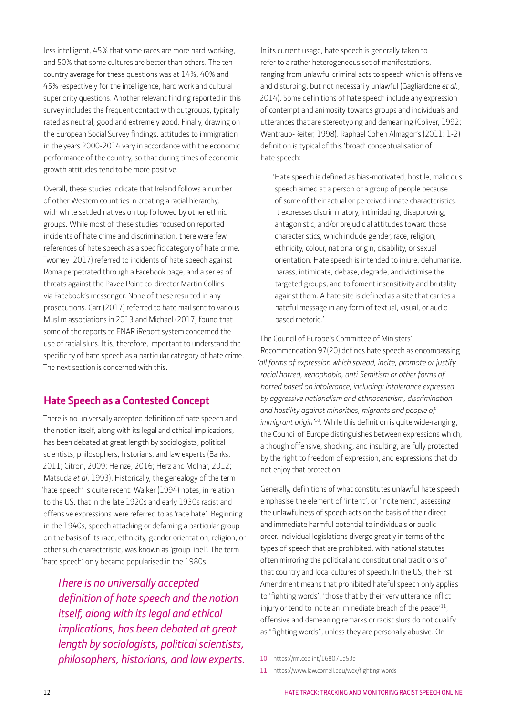less intelligent, 45% that some races are more hard-working, and 50% that some cultures are better than others. The ten country average for these questions was at 14%, 40% and 45% respectively for the intelligence, hard work and cultural superiority questions. Another relevant finding reported in this survey includes the frequent contact with outgroups, typically rated as neutral, good and extremely good. Finally, drawing on the European Social Survey findings, attitudes to immigration in the years 2000-2014 vary in accordance with the economic performance of the country, so that during times of economic growth attitudes tend to be more positive.

Overall, these studies indicate that Ireland follows a number of other Western countries in creating a racial hierarchy, with white settled natives on top followed by other ethnic groups. While most of these studies focused on reported incidents of hate crime and discrimination, there were few references of hate speech as a specific category of hate crime. Twomey (2017) referred to incidents of hate speech against Roma perpetrated through a Facebook page, and a series of threats against the Pavee Point co-director Martin Collins via Facebook's messenger. None of these resulted in any prosecutions. Carr (2017) referred to hate mail sent to various Muslim associations in 2013 and Michael (2017) found that some of the reports to ENAR iReport system concerned the use of racial slurs. It is, therefore, important to understand the specificity of hate speech as a particular category of hate crime. The next section is concerned with this.

## **Hate Speech as a Contested Concept**

There is no universally accepted definition of hate speech and the notion itself, along with its legal and ethical implications, has been debated at great length by sociologists, political scientists, philosophers, historians, and law experts (Banks, 2011; Citron, 2009; Heinze, 2016; Herz and Molnar, 2012; Matsuda *et al*, 1993). Historically, the genealogy of the term 'hate speech' is quite recent: Walker (1994) notes, in relation to the US, that in the late 1920s and early 1930s racist and offensive expressions were referred to as 'race hate'. Beginning in the 1940s, speech attacking or defaming a particular group on the basis of its race, ethnicity, gender orientation, religion, or other such characteristic, was known as 'group libel'. The term 'hate speech' only became popularised in the 1980s.

*There is no universally accepted definition of hate speech and the notion itself, along with its legal and ethical implications, has been debated at great length by sociologists, political scientists, philosophers, historians, and law experts.*

In its current usage, hate speech is generally taken to refer to a rather heterogeneous set of manifestations, ranging from unlawful criminal acts to speech which is offensive and disturbing, but not necessarily unlawful (Gagliardone *et al.*, 2014). Some definitions of hate speech include any expression of contempt and animosity towards groups and individuals and utterances that are stereotyping and demeaning (Coliver, 1992; Wentraub-Reiter, 1998). Raphael Cohen Almagor's (2011: 1-2) definition is typical of this 'broad' conceptualisation of hate speech:

'Hate speech is defined as bias-motivated, hostile, malicious speech aimed at a person or a group of people because of some of their actual or perceived innate characteristics. It expresses discriminatory, intimidating, disapproving, antagonistic, and/or prejudicial attitudes toward those characteristics, which include gender, race, religion, ethnicity, colour, national origin, disability, or sexual orientation. Hate speech is intended to injure, dehumanise, harass, intimidate, debase, degrade, and victimise the targeted groups, and to foment insensitivity and brutality against them. A hate site is defined as a site that carries a hateful message in any form of textual, visual, or audiobased rhetoric.'

The Council of Europe's Committee of Ministers' Recommendation 97(20) defines hate speech as encompassing *'all forms of expression which spread, incite, promote or justify racial hatred, xenophobia, anti-Semitism or other forms of hatred based on intolerance, including: intolerance expressed by aggressive nationalism and ethnocentrism, discrimination and hostility against minorities, migrants and people of immigrant origin'*10. While this definition is quite wide-ranging, the Council of Europe distinguishes between expressions which, although offensive, shocking, and insulting, are fully protected by the right to freedom of expression, and expressions that do not enjoy that protection.

Generally, definitions of what constitutes unlawful hate speech emphasise the element of 'intent', or 'incitement', assessing the unlawfulness of speech acts on the basis of their direct and immediate harmful potential to individuals or public order. Individual legislations diverge greatly in terms of the types of speech that are prohibited, with national statutes often mirroring the political and constitutional traditions of that country and local cultures of speech. In the US, the First Amendment means that prohibited hateful speech only applies to 'fighting words', 'those that by their very utterance inflict injury or tend to incite an immediate breach of the peace $'{}^{11}$ ; offensive and demeaning remarks or racist slurs do not qualify as "fighting words", unless they are personally abusive. On

<sup>10</sup> https://rm.coe.int/168071e53e

<sup>11</sup> https://www.law.cornell.edu/wex/fighting words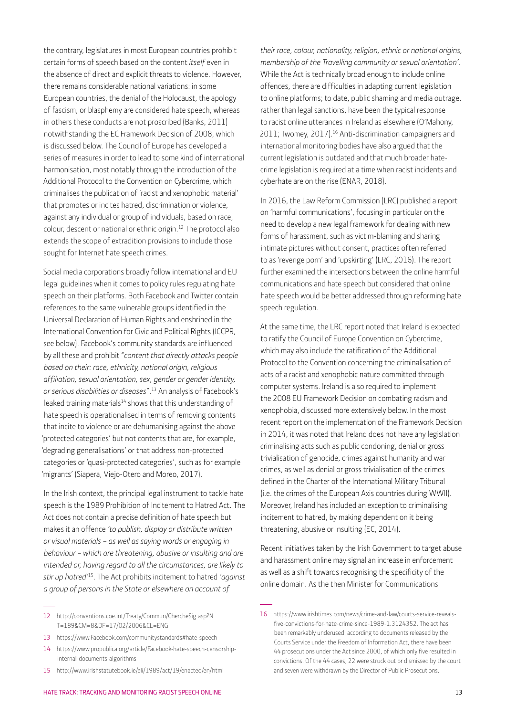the contrary, legislatures in most European countries prohibit certain forms of speech based on the content *itself* even in the absence of direct and explicit threats to violence. However, there remains considerable national variations: in some European countries, the denial of the Holocaust, the apology of fascism, or blasphemy are considered hate speech, whereas in others these conducts are not proscribed (Banks, 2011) notwithstanding the EC Framework Decision of 2008, which is discussed below. The Council of Europe has developed a series of measures in order to lead to some kind of international harmonisation, most notably through the introduction of the Additional Protocol to the Convention on Cybercrime, which criminalises the publication of 'racist and xenophobic material' that promotes or incites hatred, discrimination or violence, against any individual or group of individuals, based on race, colour, descent or national or ethnic origin.<sup>12</sup> The protocol also extends the scope of extradition provisions to include those sought for Internet hate speech crimes.

Social media corporations broadly follow international and EU legal guidelines when it comes to policy rules regulating hate speech on their platforms. Both Facebook and Twitter contain references to the same vulnerable groups identified in the Universal Declaration of Human Rights and enshrined in the International Convention for Civic and Political Rights (ICCPR, see below). Facebook's community standards are influenced by all these and prohibit "*content that directly attacks people based on their: race, ethnicity, national origin, religious affiliation, sexual orientation, sex, gender or gender identity, or serious disabilities or diseases*".13 An analysis of Facebook's leaked training materials $14$  shows that this understanding of hate speech is operationalised in terms of removing contents that incite to violence or are dehumanising against the above 'protected categories' but not contents that are, for example, 'degrading generalisations' or that address non-protected categories or 'quasi-protected categories', such as for example 'migrants' (Siapera, Viejo-Otero and Moreo, 2017).

In the Irish context, the principal legal instrument to tackle hate speech is the 1989 Prohibition of Incitement to Hatred Act. The Act does not contain a precise definition of hate speech but makes it an offence *'to publish, display or distribute written or visual materials – as well as saying words or engaging in behaviour – which are threatening, abusive or insulting and are intended or, having regard to all the circumstances, are likely to stir up hatred'*15. The Act prohibits incitement to hatred *'against a group of persons in the State or elsewhere on account of* 

- 12 http://conventions.coe.int/Treaty/Commun/ChercheSig.asp?N T=189&CM=8&DF=17/02/2006&CL=ENG
- 13 https://www.Facebook.com/communitystandards#hate-speech
- 14 https://www.propublica.org/article/Facebook-hate-speech-censorshipinternal-documents-algorithms
- 15 http://www.irishstatutebook.ie/eli/1989/act/19/enacted/en/html

*their race, colour, nationality, religion, ethnic or national origins, membership of the Travelling community or sexual orientation'*. While the Act is technically broad enough to include online offences, there are difficulties in adapting current legislation to online platforms; to date, public shaming and media outrage, rather than legal sanctions, have been the typical response to racist online utterances in Ireland as elsewhere (O'Mahony, 2011; Twomey, 2017).<sup>16</sup> Anti-discrimination campaigners and international monitoring bodies have also argued that the current legislation is outdated and that much broader hatecrime legislation is required at a time when racist incidents and cyberhate are on the rise (ENAR, 2018).

In 2016, the Law Reform Commission (LRC) published a report on 'harmful communications', focusing in particular on the need to develop a new legal framework for dealing with new forms of harassment, such as victim-blaming and sharing intimate pictures without consent, practices often referred to as 'revenge porn' and 'upskirting' (LRC, 2016). The report further examined the intersections between the online harmful communications and hate speech but considered that online hate speech would be better addressed through reforming hate speech regulation.

At the same time, the LRC report noted that Ireland is expected to ratify the Council of Europe Convention on Cybercrime, which may also include the ratification of the Additional Protocol to the Convention concerning the criminalisation of acts of a racist and xenophobic nature committed through computer systems. Ireland is also required to implement the 2008 EU Framework Decision on combating racism and xenophobia, discussed more extensively below. In the most recent report on the implementation of the Framework Decision in 2014, it was noted that Ireland does not have any legislation criminalising acts such as public condoning, denial or gross trivialisation of genocide, crimes against humanity and war crimes, as well as denial or gross trivialisation of the crimes defined in the Charter of the International Military Tribunal (i.e. the crimes of the European Axis countries during WWII). Moreover, Ireland has included an exception to criminalising incitement to hatred, by making dependent on it being threatening, abusive or insulting (EC, 2014).

Recent initiatives taken by the Irish Government to target abuse and harassment online may signal an increase in enforcement as well as a shift towards recognising the specificity of the online domain. As the then Minister for Communications

<sup>16</sup> https://www.irishtimes.com/news/crime-and-law/courts-service-revealsfive-convictions-for-hate-crime-since-1989-1.3124352. The act has been remarkably underused: according to documents released by the Courts Service under the Freedom of Information Act, there have been 44 prosecutions under the Act since 2000, of which only five resulted in convictions. Of the 44 cases, 22 were struck out or dismissed by the court and seven were withdrawn by the Director of Public Prosecutions.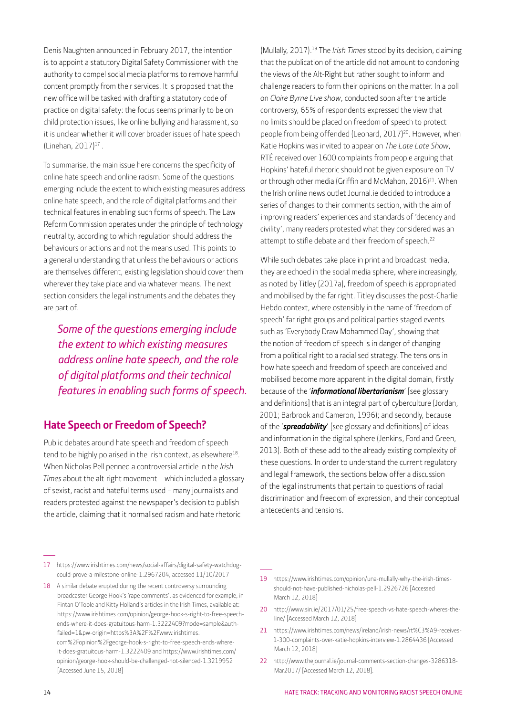Denis Naughten announced in February 2017, the intention is to appoint a statutory Digital Safety Commissioner with the authority to compel social media platforms to remove harmful content promptly from their services. It is proposed that the new office will be tasked with drafting a statutory code of practice on digital safety: the focus seems primarily to be on child protection issues, like online bullying and harassment, so it is unclear whether it will cover broader issues of hate speech (Linehan, 2017)17 .

To summarise, the main issue here concerns the specificity of online hate speech and online racism. Some of the questions emerging include the extent to which existing measures address online hate speech, and the role of digital platforms and their technical features in enabling such forms of speech. The Law Reform Commission operates under the principle of technology neutrality, according to which regulation should address the behaviours or actions and not the means used. This points to a general understanding that unless the behaviours or actions are themselves different, existing legislation should cover them wherever they take place and via whatever means. The next section considers the legal instruments and the debates they are part of.

*Some of the questions emerging include the extent to which existing measures address online hate speech, and the role of digital platforms and their technical features in enabling such forms of speech.*

## **Hate Speech or Freedom of Speech?**

Public debates around hate speech and freedom of speech tend to be highly polarised in the Irish context, as elsewhere<sup>18</sup>. When Nicholas Pell penned a controversial article in the *Irish Times* about the alt-right movement – which included a glossary of sexist, racist and hateful terms used – many journalists and readers protested against the newspaper's decision to publish the article, claiming that it normalised racism and hate rhetoric

(Mullally, 2017).19 The *Irish Times* stood by its decision, claiming that the publication of the article did not amount to condoning the views of the Alt-Right but rather sought to inform and challenge readers to form their opinions on the matter. In a poll on *Claire Byrne Live show*, conducted soon after the article controversy, 65% of respondents expressed the view that no limits should be placed on freedom of speech to protect people from being offended (Leonard, 2017)<sup>20</sup>. However, when Katie Hopkins was invited to appear on *The Late Late Show*, RTÉ received over 1600 complaints from people arguing that Hopkins' hateful rhetoric should not be given exposure on TV or through other media (Griffin and McMahon, 2016)<sup>21</sup>. When the Irish online news outlet Journal.ie decided to introduce a series of changes to their comments section, with the aim of improving readers' experiences and standards of 'decency and civility', many readers protested what they considered was an attempt to stifle debate and their freedom of speech.<sup>22</sup>

While such debates take place in print and broadcast media, they are echoed in the social media sphere, where increasingly, as noted by Titley (2017a), freedom of speech is appropriated and mobilised by the far right. Titley discusses the post-Charlie Hebdo context, where ostensibly in the name of 'freedom of speech' far right groups and political parties staged events such as 'Everybody Draw Mohammed Day', showing that the notion of freedom of speech is in danger of changing from a political right to a racialised strategy. The tensions in how hate speech and freedom of speech are conceived and mobilised become more apparent in the digital domain, firstly because of the '*informational libertarianism*' [see glossary and definitions] that is an integral part of cyberculture (Jordan, 2001; Barbrook and Cameron, 1996); and secondly, because of the '*spreadability*' [see glossary and definitions] of ideas and information in the digital sphere (Jenkins, Ford and Green, 2013). Both of these add to the already existing complexity of these questions. In order to understand the current regulatory and legal framework, the sections below offer a discussion of the legal instruments that pertain to questions of racial discrimination and freedom of expression, and their conceptual antecedents and tensions.

17 https://www.irishtimes.com/news/social-affairs/digital-safety-watchdogcould-prove-a-milestone-online-1.2967204, accessed 11/10/2017

18 A similar debate erupted during the recent controversy surrounding broadcaster George Hook's 'rape comments', as evidenced for example, in Fintan O'Toole and Kitty Holland's articles in the Irish Times, available at: https://www.irishtimes.com/opinion/george-hook-s-right-to-free-speechends-where-it-does-gratuitous-harm-1.3222409?mode=sample&authfailed=1&pw-origin=https%3A%2F%2Fwww.irishtimes. com%2Fopinion%2Fgeorge-hook-s-right-to-free-speech-ends-whereit-does-gratuitous-harm-1.3222409 and https://www.irishtimes.com/ opinion/george-hook-should-be-challenged-not-silenced-1.3219952 [Accessed June 15, 2018]

- 19 https://www.irishtimes.com/opinion/una-mullally-why-the-irish-timesshould-not-have-published-nicholas-pell-1.2926726 [Accessed March 12, 2018]
- 20 http://www.sin.ie/2017/01/25/free-speech-vs-hate-speech-wheres-theline/ [Accessed March 12, 2018]
- 21 https://www.irishtimes.com/news/ireland/irish-news/rt%C3%A9-receives-1-300-complaints-over-katie-hopkins-interview-1.2864436 [Accessed March 12, 2018]
- 22 http://www.thejournal.ie/journal-comments-section-changes-3286318- Mar2017/ [Accessed March 12, 2018].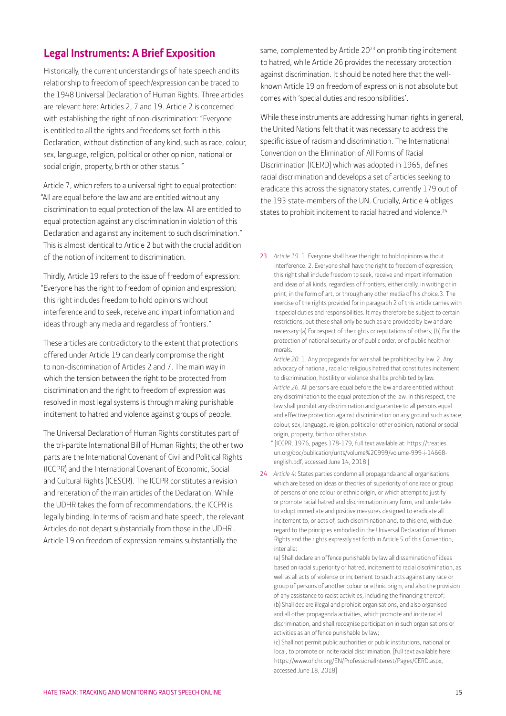### **Legal Instruments: A Brief Exposition**

Historically, the current understandings of hate speech and its relationship to freedom of speech/expression can be traced to the 1948 Universal Declaration of Human Rights. Three articles are relevant here: Articles 2, 7 and 19. Article 2 is concerned with establishing the right of non-discrimination: "Everyone is entitled to all the rights and freedoms set forth in this Declaration, without distinction of any kind, such as race, colour, sex, language, religion, political or other opinion, national or social origin, property, birth or other status."

Article 7, which refers to a universal right to equal protection: "All are equal before the law and are entitled without any discrimination to equal protection of the law. All are entitled to equal protection against any discrimination in violation of this Declaration and against any incitement to such discrimination." This is almost identical to Article 2 but with the crucial addition of the notion of incitement to discrimination.

Thirdly, Article 19 refers to the issue of freedom of expression: "Everyone has the right to freedom of opinion and expression; this right includes freedom to hold opinions without interference and to seek, receive and impart information and ideas through any media and regardless of frontiers."

These articles are contradictory to the extent that protections offered under Article 19 can clearly compromise the right to non-discrimination of Articles 2 and 7. The main way in which the tension between the right to be protected from discrimination and the right to freedom of expression was resolved in most legal systems is through making punishable incitement to hatred and violence against groups of people.

The Universal Declaration of Human Rights constitutes part of the tri-partite International Bill of Human Rights; the other two parts are the International Covenant of Civil and Political Rights (ICCPR) and the International Covenant of Economic, Social and Cultural Rights (ICESCR). The ICCPR constitutes a revision and reiteration of the main articles of the Declaration. While the UDHR takes the form of recommendations, the ICCPR is legally binding. In terms of racism and hate speech, the relevant Articles do not depart substantially from those in the UDHR . Article 19 on freedom of expression remains substantially the

same, complemented by Article 20<sup>23</sup> on prohibiting incitement to hatred, while Article 26 provides the necessary protection against discrimination. It should be noted here that the wellknown Article 19 on freedom of expression is not absolute but comes with 'special duties and responsibilities'.

While these instruments are addressing human rights in general, the United Nations felt that it was necessary to address the specific issue of racism and discrimination. The International Convention on the Elimination of All Forms of Racial Discrimination (ICERD) which was adopted in 1965, defines racial discrimination and develops a set of articles seeking to eradicate this across the signatory states, currently 179 out of the 193 state-members of the UN. Crucially, Article 4 obliges states to prohibit incitement to racial hatred and violence.<sup>24</sup>

23 *Article 19.* 1. Everyone shall have the right to hold opinions without interference. 2. Everyone shall have the right to freedom of expression; this right shall include freedom to seek, receive and impart information and ideas of all kinds, regardless of frontiers, either orally, in writing or in print, in the form of art, or through any other media of his choice.3. The exercise of the rights provided for in paragraph 2 of this article carries with it special duties and responsibilities. It may therefore be subject to certain restrictions, but these shall only be such as are provided by law and are necessary:(a) For respect of the rights or reputations of others; (b) For the protection of national security or of public order, or of public health or morals.

*Article 20.* 1. Any propaganda for war shall be prohibited by law. 2. Any advocacy of national, racial or religious hatred that constitutes incitement to discrimination, hostility or violence shall be prohibited by law. *Article 26.* All persons are equal before the law and are entitled without any discrimination to the equal protection of the law. In this respect, the law shall prohibit any discrimination and guarantee to all persons equal and effective protection against discrimination on any ground such as race, colour, sex, language, religion, political or other opinion, national or social origin, property, birth or other status.

" [ICCPR, 1976, pages 178-179, full text available at: https://treaties. un.org/doc/publication/unts/volume%20999/volume-999-i-14668 english.pdf, accessed June 14, 2018 ]

24 *Article 4*: States parties condemn all propaganda and all organisations which are based on ideas or theories of superiority of one race or group of persons of one colour or ethnic origin, or which attempt to justify or promote racial hatred and discrimination in any form, and undertake to adopt immediate and positive measures designed to eradicate all incitement to, or acts of, such discrimination and, to this end, with due regard to the principles embodied in the Universal Declaration of Human Rights and the rights expressly set forth in Article 5 of this Convention, inter alia:

(a) Shall declare an offence punishable by law all dissemination of ideas based on racial superiority or hatred, incitement to racial discrimination, as well as all acts of violence or incitement to such acts against any race or group of persons of another colour or ethnic origin, and also the provision of any assistance to racist activities, including the financing thereof; (b) Shall declare illegal and prohibit organisations, and also organised and all other propaganda activities, which promote and incite racial discrimination, and shall recognise participation in such organisations or activities as an offence punishable by law;

(c) Shall not permit public authorities or public institutions, national or local, to promote or incite racial discrimination. [full text available here: https://www.ohchr.org/EN/ProfessionalInterest/Pages/CERD.aspx, accessed June 18, 2018]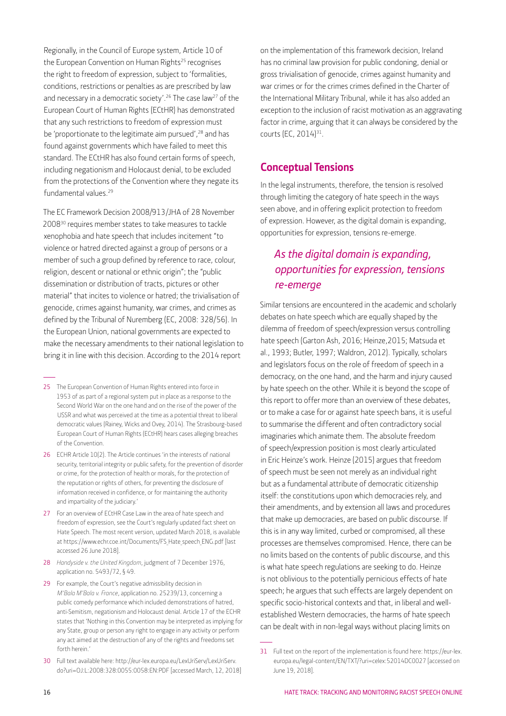Regionally, in the Council of Europe system, Article 10 of the European Convention on Human Rights<sup>25</sup> recognises the right to freedom of expression, subject to 'formalities, conditions, restrictions or penalties as are prescribed by law and necessary in a democratic society'.<sup>26</sup> The case law<sup>27</sup> of the European Court of Human Rights (ECtHR) has demonstrated that any such restrictions to freedom of expression must be 'proportionate to the legitimate aim pursued', $^{28}$  and has found against governments which have failed to meet this standard. The ECtHR has also found certain forms of speech, including negationism and Holocaust denial, to be excluded from the protections of the Convention where they negate its fundamental values.29

The EC Framework Decision 2008/913/JHA of 28 November 200830 requires member states to take measures to tackle xenophobia and hate speech that includes incitement "to violence or hatred directed against a group of persons or a member of such a group defined by reference to race, colour, religion, descent or national or ethnic origin"; the "public dissemination or distribution of tracts, pictures or other material" that incites to violence or hatred; the trivialisation of genocide, crimes against humanity, war crimes, and crimes as defined by the Tribunal of Nuremberg (EC, 2008: 328/56). In the European Union, national governments are expected to make the necessary amendments to their national legislation to bring it in line with this decision. According to the 2014 report

- 27 For an overview of ECtHR Case Law in the area of hate speech and freedom of expression, see the Court's regularly updated fact sheet on Hate Speech. The most recent version, updated March 2018, is available at https://www.echr.coe.int/Documents/FS\_Hate\_speech\_ENG.pdf [last accessed 26 June 2018].
- 28 *Handyside v. the United Kingdom*, judgment of 7 December 1976, application no. 5493/72, § 49.
- 29 For example, the Court's negative admissibility decision in *M'Bala M'Bala v. France*, application no. 25239/13, concerning a public comedy performance which included demonstrations of hatred, anti-Semitism, negationism and Holocaust denial. Article 17 of the ECHR states that 'Nothing in this Convention may be interpreted as implying for any State, group or person any right to engage in any activity or perform any act aimed at the destruction of any of the rights and freedoms set forth herein.'
- 30 Full text available here: http://eur-lex.europa.eu/LexUriServ/LexUriServ. do?uri=OJ:L:2008:328:0055:0058:EN:PDF [accessed March, 12, 2018]

on the implementation of this framework decision, Ireland has no criminal law provision for public condoning, denial or gross trivialisation of genocide, crimes against humanity and war crimes or for the crimes crimes defined in the Charter of the International Military Tribunal, while it has also added an exception to the inclusion of racist motivation as an aggravating factor in crime, arguing that it can always be considered by the courts (EC, 2014)31.

### **Conceptual Tensions**

In the legal instruments, therefore, the tension is resolved through limiting the category of hate speech in the ways seen above, and in offering explicit protection to freedom of expression. However, as the digital domain is expanding, opportunities for expression, tensions re-emerge.

# *As the digital domain is expanding, opportunities for expression, tensions re-emerge*

Similar tensions are encountered in the academic and scholarly debates on hate speech which are equally shaped by the dilemma of freedom of speech/expression versus controlling hate speech (Garton Ash, 2016; Heinze,2015; Matsuda et al., 1993; Butler, 1997; Waldron, 2012). Typically, scholars and legislators focus on the role of freedom of speech in a democracy, on the one hand, and the harm and injury caused by hate speech on the other. While it is beyond the scope of this report to offer more than an overview of these debates, or to make a case for or against hate speech bans, it is useful to summarise the different and often contradictory social imaginaries which animate them. The absolute freedom of speech/expression position is most clearly articulated in Eric Heinze's work. Heinze (2015) argues that freedom of speech must be seen not merely as an individual right but as a fundamental attribute of democratic citizenship itself: the constitutions upon which democracies rely, and their amendments, and by extension all laws and procedures that make up democracies, are based on public discourse. If this is in any way limited, curbed or compromised, all these processes are themselves compromised. Hence, there can be no limits based on the contents of public discourse, and this is what hate speech regulations are seeking to do. Heinze is not oblivious to the potentially pernicious effects of hate speech; he argues that such effects are largely dependent on specific socio-historical contexts and that, in liberal and wellestablished Western democracies, the harms of hate speech can be dealt with in non-legal ways without placing limits on

<sup>25</sup> The European Convention of Human Rights entered into force in 1953 of as part of a regional system put in place as a response to the Second World War on the one hand and on the rise of the power of the USSR and what was perceived at the time as a potential threat to liberal democratic values (Rainey, Wicks and Ovey, 2014). The Strasbourg-based European Court of Human Rights (ECtHR) hears cases alleging breaches of the Convention.

<sup>26</sup> ECHR Article 10(2). The Article continues 'in the interests of national security, territorial integrity or public safety, for the prevention of disorder or crime, for the protection of health or morals, for the protection of the reputation or rights of others, for preventing the disclosure of information received in confidence, or for maintaining the authority and impartiality of the judiciary.'

<sup>31</sup> Full text on the report of the implementation is found here: https://eur-lex. europa.eu/legal-content/EN/TXT/?uri=celex:52014DC0027 [accessed on June 19, 2018].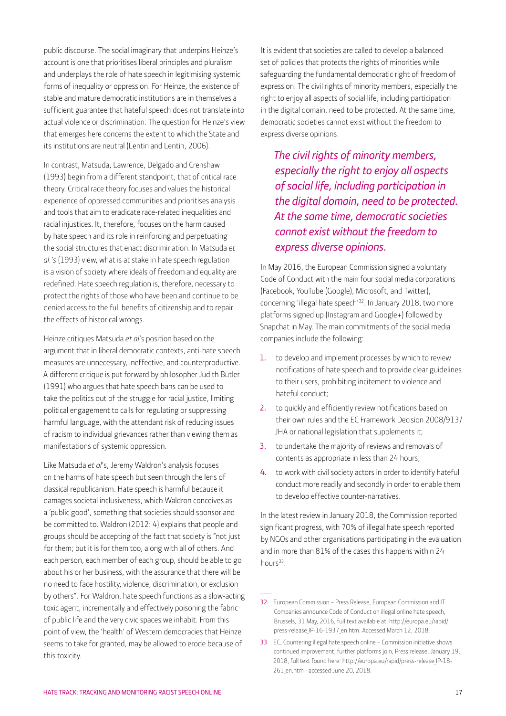public discourse. The social imaginary that underpins Heinze's account is one that prioritises liberal principles and pluralism and underplays the role of hate speech in legitimising systemic forms of inequality or oppression. For Heinze, the existence of stable and mature democratic institutions are in themselves a sufficient guarantee that hateful speech does not translate into actual violence or discrimination. The question for Heinze's view that emerges here concerns the extent to which the State and its institutions are neutral (Lentin and Lentin, 2006).

In contrast, Matsuda, Lawrence, Delgado and Crenshaw (1993) begin from a different standpoint, that of critical race theory. Critical race theory focuses and values the historical experience of oppressed communities and prioritises analysis and tools that aim to eradicate race-related inequalities and racial injustices. It, therefore, focuses on the harm caused by hate speech and its role in reinforcing and perpetuating the social structures that enact discrimination. In Matsuda *et al.'s* (1993) view, what is at stake in hate speech regulation is a vision of society where ideals of freedom and equality are redefined. Hate speech regulation is, therefore, necessary to protect the rights of those who have been and continue to be denied access to the full benefits of citizenship and to repair the effects of historical wrongs.

Heinze critiques Matsuda *et al*'s position based on the argument that in liberal democratic contexts, anti-hate speech measures are unnecessary, ineffective, and counterproductive. A different critique is put forward by philosopher Judith Butler (1991) who argues that hate speech bans can be used to take the politics out of the struggle for racial justice, limiting political engagement to calls for regulating or suppressing harmful language, with the attendant risk of reducing issues of racism to individual grievances rather than viewing them as manifestations of systemic oppression.

Like Matsuda *et al*'s, Jeremy Waldron's analysis focuses on the harms of hate speech but seen through the lens of classical republicanism. Hate speech is harmful because it damages societal inclusiveness, which Waldron conceives as a 'public good', something that societies should sponsor and be committed to. Waldron (2012: 4) explains that people and groups should be accepting of the fact that society is "not just for them; but it is for them too, along with all of others. And each person, each member of each group, should be able to go about his or her business, with the assurance that there will be no need to face hostility, violence, discrimination, or exclusion by others". For Waldron, hate speech functions as a slow-acting toxic agent, incrementally and effectively poisoning the fabric of public life and the very civic spaces we inhabit. From this point of view, the 'health' of Western democracies that Heinze seems to take for granted, may be allowed to erode because of this toxicity.

It is evident that societies are called to develop a balanced set of policies that protects the rights of minorities while safeguarding the fundamental democratic right of freedom of expression. The civil rights of minority members, especially the right to enjoy all aspects of social life, including participation in the digital domain, need to be protected. At the same time, democratic societies cannot exist without the freedom to express diverse opinions.

*The civil rights of minority members, especially the right to enjoy all aspects of social life, including participation in the digital domain, need to be protected. At the same time, democratic societies cannot exist without the freedom to express diverse opinions.*

In May 2016, the European Commission signed a voluntary Code of Conduct with the main four social media corporations (Facebook, YouTube (Google), Microsoft, and Twitter), concerning 'illegal hate speech'32. In January 2018, two more platforms signed up (Instagram and Google+) followed by Snapchat in May. The main commitments of the social media companies include the following:

- 1. to develop and implement processes by which to review notifications of hate speech and to provide clear guidelines to their users, prohibiting incitement to violence and hateful conduct;
- 2. to quickly and efficiently review notifications based on their own rules and the EC Framework Decision 2008/913/ JHA or national legislation that supplements it;
- 3. to undertake the majority of reviews and removals of contents as appropriate in less than 24 hours;
- 4. to work with civil society actors in order to identify hateful conduct more readily and secondly in order to enable them to develop effective counter-narratives.

In the latest review in January 2018, the Commission reported significant progress, with 70% of illegal hate speech reported by NGOs and other organisations participating in the evaluation and in more than 81% of the cases this happens within 24 hours<sup>33</sup>.

<sup>32</sup> European Commission – Press Release, European Commission and IT Companies announce Code of Conduct on illegal online hate speech, Brussels, 31 May, 2016, full text available at: http://europa.eu/rapid/ press-release\_IP-16-1937\_en.htm. Accessed March 12, 2018.

<sup>33</sup> EC, Countering illegal hate speech online – Commission initiative shows continued improvement, further platforms join, Press release, January 19, 2018, full text found here: http://europa.eu/rapid/press-release\_IP-18- 261 en.htm - accessed June 20, 2018.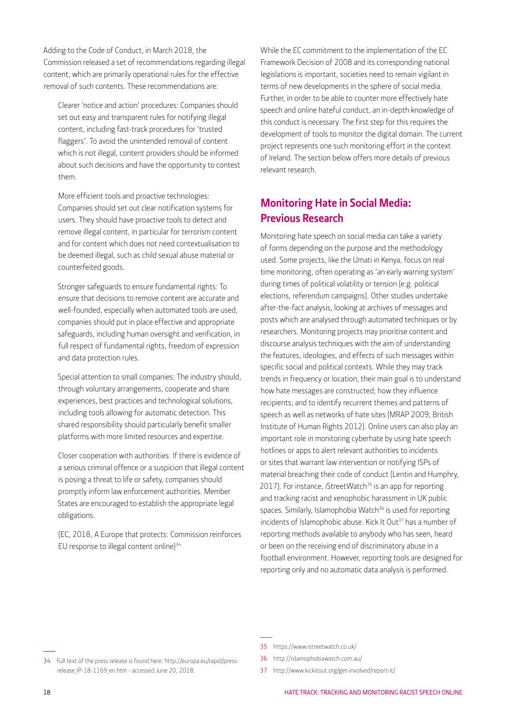Adding to the Code of Conduct, in March 2018, the Commission released a set of recommendations regarding illegal content, which are primarily operational rules for the effective removal of such contents. These recommendations are:

Clearer 'notice and action' procedures: Companies should set out easy and transparent rules for notifying illegal content, including fast-track procedures for 'trusted flaggers'. To avoid the unintended removal of content which is not illegal, content providers should be informed about such decisions and have the opportunity to contest them.

More efficient tools and proactive technologies: Companies should set out clear notification systems for users. They should have proactive tools to detect and remove illegal content, in particular for terrorism content and for content which does not need contextualisation to be deemed illegal, such as child sexual abuse material or counterfeited goods.

Stronger safeguards to ensure fundamental rights: To ensure that decisions to remove content are accurate and well-founded, especially when automated tools are used, companies should put in place effective and appropriate safeguards, including human oversight and verification, in full respect of fundamental rights, freedom of expression and data protection rules.

Special attention to small companies: The industry should, through voluntary arrangements, cooperate and share experiences, best practices and technological solutions, including tools allowing for automatic detection. This shared responsibility should particularly benefit smaller platforms with more limited resources and expertise.

Closer cooperation with authorities: If there is evidence of a serious criminal offence or a suspicion that illegal content is posing a threat to life or safety, companies should promptly inform law enforcement authorities. Member States are encouraged to establish the appropriate legal obligations.

(EC, 2018, A Europe that protects: Commission reinforces EU response to illegal content online)<sup>34</sup>

While the EC commitment to the implementation of the EC Framework Decision of 2008 and its corresponding national legislations is important, societies need to remain vigilant in terms of new developments in the sphere of social media. Further, in order to be able to counter more effectively hate speech and online hateful conduct, an in-depth knowledge of this conduct is necessary. The first step for this requires the development of tools to monitor the digital domain. The current project represents one such monitoring effort in the context of Ireland. The section below offers more details of previous relevant research.

## **Monitoring Hate in Social Media: Previous Research**

Monitoring hate speech on social media can take a variety of forms depending on the purpose and the methodology used. Some projects, like the Umati in Kenya, focus on real time monitoring, often operating as 'an early warning system' during times of political volatility or tension (e.g. political elections, referendum campaigns). Other studies undertake after-the-fact analysis, looking at archives of messages and posts which are analysed through automated techniques or by researchers. Monitoring projects may prioritise content and discourse analysis techniques with the aim of understanding the features, ideologies, and effects of such messages within specific social and political contexts. While they may track trends in frequency or location, their main goal is to understand how hate messages are constructed; how they influence recipients; and to identify recurrent themes and patterns of speech as well as networks of hate sites (MRAP 2009; British Institute of Human Rights 2012). Online users can also play an important role in monitoring cyberhate by using hate speech hotlines or apps to alert relevant authorities to incidents or sites that warrant law intervention or notifying ISPs of material breaching their code of conduct (Lentin and Humphry, 2017). For instance, iStreetWatch $35$  is an app for reporting and tracking racist and xenophobic harassment in UK public spaces. Similarly, Islamophobia Watch<sup>36</sup> is used for reporting incidents of Islamophobic abuse. Kick It Out<sup>37</sup> has a number of reporting methods available to anybody who has seen, heard or been on the receiving end of discriminatory abuse in a football environment. However, reporting tools are designed for reporting only and no automatic data analysis is performed.

<sup>34</sup> Full text of the press release is found here: http://europa.eu/rapid/pressrelease IP-18-1169 en.htm - accessed June 20, 2018.

<sup>35</sup> https://www.istreetwatch.co.uk/

<sup>36</sup> http://islamophobiawatch.com.au/

<sup>37</sup> http://www.kickitout.org/get-involved/report-it/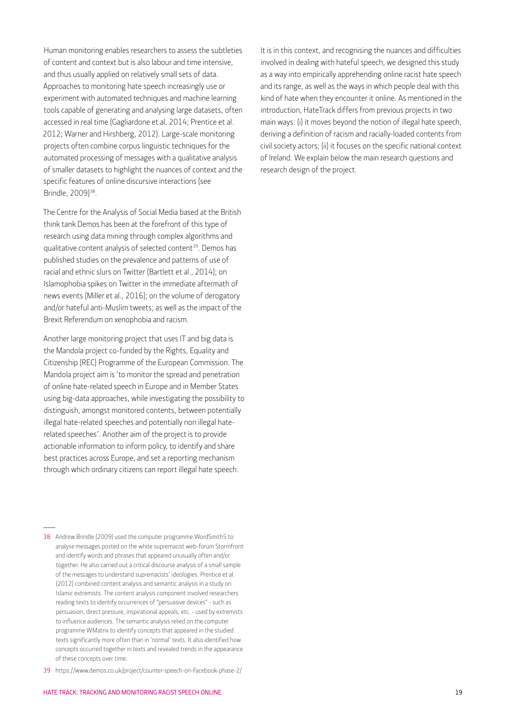Human monitoring enables researchers to assess the subtleties of content and context but is also labour and time intensive, and thus usually applied on relatively small sets of data. Approaches to monitoring hate speech increasingly use or experiment with automated techniques and machine learning tools capable of generating and analysing large datasets, often accessed in real time (Gagliardone et al. 2014; Prentice et al. 2012; Warner and Hirshberg, 2012). Large-scale monitoring projects often combine corpus linguistic techniques for the automated processing of messages with a qualitative analysis of smaller datasets to highlight the nuances of context and the specific features of online discursive interactions (see Brindle, 2009)38.

The Centre for the Analysis of Social Media based at the British think tank Demos has been at the forefront of this type of research using data mining through complex algorithms and qualitative content analysis of selected content<sup>39</sup>. Demos has published studies on the prevalence and patterns of use of racial and ethnic slurs on Twitter (Bartlett et al., 2014); on Islamophobia spikes on Twitter in the immediate aftermath of news events (Miller et al., 2016); on the volume of derogatory and/or hateful anti-Muslim tweets; as well as the impact of the Brexit Referendum on xenophobia and racism.

Another large monitoring project that uses IT and big data is the Mandola project co-funded by the Rights, Equality and Citizenship (REC) Programme of the European Commission. The Mandola project aim is 'to monitor the spread and penetration of online hate-related speech in Europe and in Member States using big-data approaches, while investigating the possibility to distinguish, amongst monitored contents, between potentially illegal hate-related speeches and potentially non illegal haterelated speeches'. Another aim of the project is to provide actionable information to inform policy, to identify and share best practices across Europe, and set a reporting mechanism through which ordinary citizens can report illegal hate speech.

38 Andrew Brindle (2009) used the computer programme WordSmith5 to analyse messages posted on the white supremacist web-forum Stormfront and identify words and phrases that appeared unusually often and/or together. He also carried out a critical discourse analysis of a small sample of the messages to understand supremacists' ideologies. Prentice et al. (2012) combined content analysis and semantic analysis in a study on Islamic extremists. The content analysis component involved researchers reading texts to identify occurrences of "persuasive devices" - such as persuasion, direct pressure, inspirational appeals, etc. - used by extremists to influence audiences. The semantic analysis relied on the computer programme WMatrix to identify concepts that appeared in the studied texts significantly more often than in 'normal' texts. It also identified how concepts occurred together in texts and revealed trends in the appearance of these concepts over time.

39 https://www.demos.co.uk/project/counter-speech-on-Facebook-phase-2/

It is in this context, and recognising the nuances and difficulties involved in dealing with hateful speech, we designed this study as a way into empirically apprehending online racist hate speech and its range, as well as the ways in which people deal with this kind of hate when they encounter it online. As mentioned in the introduction, HateTrack differs from previous projects in two main ways: (i) it moves beyond the notion of illegal hate speech, deriving a definition of racism and racially-loaded contents from civil society actors; (ii) it focuses on the specific national context of Ireland. We explain below the main research questions and research design of the project.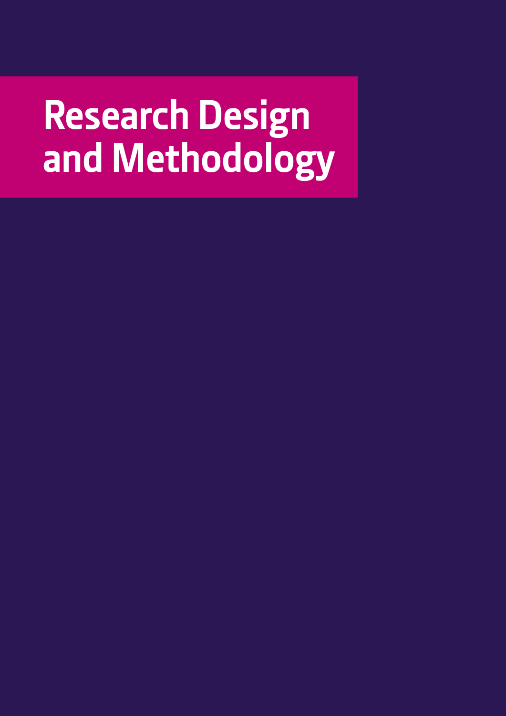# **Research Design and Methodology**

- 
- -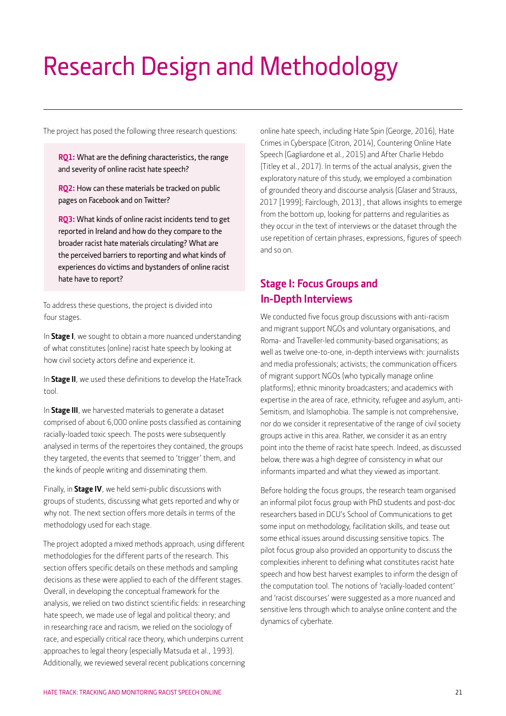# Research Design and Methodology

The project has posed the following three research questions:

**RQ1:** What are the defining characteristics, the range and severity of online racist hate speech?

**RQ2:** How can these materials be tracked on public pages on Facebook and on Twitter?

**RQ3:** What kinds of online racist incidents tend to get reported in Ireland and how do they compare to the broader racist hate materials circulating? What are the perceived barriers to reporting and what kinds of experiences do victims and bystanders of online racist hate have to report?

To address these questions, the project is divided into four stages.

In **Stage I**, we sought to obtain a more nuanced understanding of what constitutes (online) racist hate speech by looking at how civil society actors define and experience it.

In **Stage II**, we used these definitions to develop the HateTrack tool.

In **Stage III**, we harvested materials to generate a dataset comprised of about 6,000 online posts classified as containing racially-loaded toxic speech. The posts were subsequently analysed in terms of the repertoires they contained, the groups they targeted, the events that seemed to 'trigger' them, and the kinds of people writing and disseminating them.

Finally, in **Stage IV**, we held semi-public discussions with groups of students, discussing what gets reported and why or why not. The next section offers more details in terms of the methodology used for each stage.

The project adopted a mixed methods approach, using different methodologies for the different parts of the research. This section offers specific details on these methods and sampling decisions as these were applied to each of the different stages. Overall, in developing the conceptual framework for the analysis, we relied on two distinct scientific fields: in researching hate speech, we made use of legal and political theory; and in researching race and racism, we relied on the sociology of race, and especially critical race theory, which underpins current approaches to legal theory (especially Matsuda et al., 1993). Additionally, we reviewed several recent publications concerning

online hate speech, including Hate Spin (George, 2016), Hate Crimes in Cyberspace (Citron, 2014), Countering Online Hate Speech (Gagliardone et al., 2015) and After Charlie Hebdo (Titley et al., 2017). In terms of the actual analysis, given the exploratory nature of this study, we employed a combination of grounded theory and discourse analysis (Glaser and Strauss, 2017 [1999]; Fairclough, 2013) , that allows insights to emerge from the bottom up, looking for patterns and regularities as they occur in the text of interviews or the dataset through the use repetition of certain phrases, expressions, figures of speech and so on.

## **Stage I: Focus Groups and In-Depth Interviews**

We conducted five focus group discussions with anti-racism and migrant support NGOs and voluntary organisations, and Roma- and Traveller-led community-based organisations; as well as twelve one-to-one, in-depth interviews with: journalists and media professionals; activists; the communication officers of migrant support NGOs (who typically manage online platforms); ethnic minority broadcasters; and academics with expertise in the area of race, ethnicity, refugee and asylum, anti-Semitism, and Islamophobia. The sample is not comprehensive, nor do we consider it representative of the range of civil society groups active in this area. Rather, we consider it as an entry point into the theme of racist hate speech. Indeed, as discussed below, there was a high degree of consistency in what our informants imparted and what they viewed as important.

Before holding the focus groups, the research team organised an informal pilot focus group with PhD students and post-doc researchers based in DCU's School of Communications to get some input on methodology, facilitation skills, and tease out some ethical issues around discussing sensitive topics. The pilot focus group also provided an opportunity to discuss the complexities inherent to defining what constitutes racist hate speech and how best harvest examples to inform the design of the computation tool. The notions of 'racially-loaded content' and 'racist discourses' were suggested as a more nuanced and sensitive lens through which to analyse online content and the dynamics of cyberhate.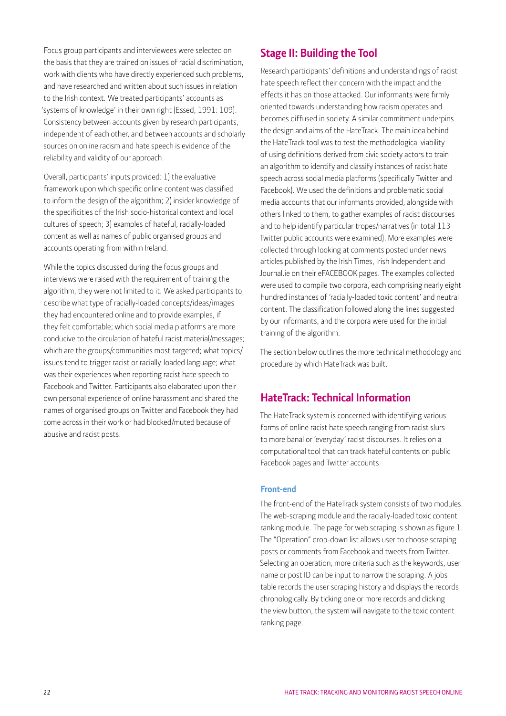Focus group participants and interviewees were selected on the basis that they are trained on issues of racial discrimination, work with clients who have directly experienced such problems, and have researched and written about such issues in relation to the Irish context. We treated participants' accounts as 'systems of knowledge' in their own right (Essed, 1991: 109). Consistency between accounts given by research participants, independent of each other, and between accounts and scholarly sources on online racism and hate speech is evidence of the reliability and validity of our approach.

Overall, participants' inputs provided: 1) the evaluative framework upon which specific online content was classified to inform the design of the algorithm; 2) insider knowledge of the specificities of the Irish socio-historical context and local cultures of speech; 3) examples of hateful, racially-loaded content as well as names of public organised groups and accounts operating from within Ireland.

While the topics discussed during the focus groups and interviews were raised with the requirement of training the algorithm, they were not limited to it. We asked participants to describe what type of racially-loaded concepts/ideas/images they had encountered online and to provide examples, if they felt comfortable; which social media platforms are more conducive to the circulation of hateful racist material/messages; which are the groups/communities most targeted; what topics/ issues tend to trigger racist or racially-loaded language; what was their experiences when reporting racist hate speech to Facebook and Twitter. Participants also elaborated upon their own personal experience of online harassment and shared the names of organised groups on Twitter and Facebook they had come across in their work or had blocked/muted because of abusive and racist posts.

## **Stage II: Building the Tool**

Research participants' definitions and understandings of racist hate speech reflect their concern with the impact and the effects it has on those attacked. Our informants were firmly oriented towards understanding how racism operates and becomes diffused in society. A similar commitment underpins the design and aims of the HateTrack. The main idea behind the HateTrack tool was to test the methodological viability of using definitions derived from civic society actors to train an algorithm to identify and classify instances of racist hate speech across social media platforms (specifically Twitter and Facebook). We used the definitions and problematic social media accounts that our informants provided, alongside with others linked to them, to gather examples of racist discourses and to help identify particular tropes/narratives (in total 113 Twitter public accounts were examined). More examples were collected through looking at comments posted under news articles published by the Irish Times, Irish Independent and Journal.ie on their eFACEBOOK pages. The examples collected were used to compile two corpora, each comprising nearly eight hundred instances of 'racially-loaded toxic content' and neutral content. The classification followed along the lines suggested by our informants, and the corpora were used for the initial training of the algorithm.

The section below outlines the more technical methodology and procedure by which HateTrack was built.

### **HateTrack: Technical Information**

The HateTrack system is concerned with identifying various forms of online racist hate speech ranging from racist slurs to more banal or 'everyday' racist discourses. It relies on a computational tool that can track hateful contents on public Facebook pages and Twitter accounts.

### **Front-end**

The front-end of the HateTrack system consists of two modules. The web-scraping module and the racially-loaded toxic content ranking module. The page for web scraping is shown as figure 1. The "Operation" drop-down list allows user to choose scraping posts or comments from Facebook and tweets from Twitter. Selecting an operation, more criteria such as the keywords, user name or post ID can be input to narrow the scraping. A jobs table records the user scraping history and displays the records chronologically. By ticking one or more records and clicking the view button, the system will navigate to the toxic content ranking page.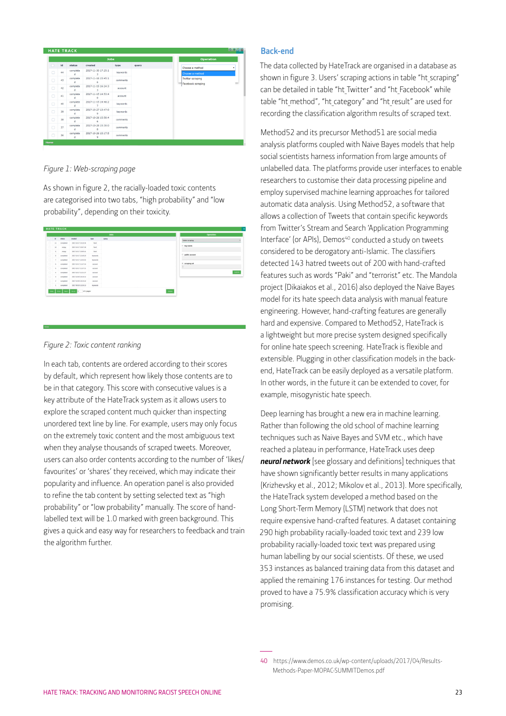|        |    |                            | <b>Jobs</b>                          | <b>Operation</b> |       |                                              |  |
|--------|----|----------------------------|--------------------------------------|------------------|-------|----------------------------------------------|--|
|        | id | status                     | created                              | type             | query | Choose a method                              |  |
|        | 44 | complete<br>d              | 2017-11-30 17:25:1<br>3              | keywords         |       | Choose a method                              |  |
| o      | 43 | complete<br>$\overline{d}$ | 2017-11-16 15:45:1<br>A.             | comments         |       | <b>Twitter scraping</b><br>Facebook scraping |  |
| o      | 42 | complete<br>d              | 2017-11-15 16:24:3<br>3              | account          |       |                                              |  |
| $\Box$ | 41 | complete<br>d              | 2017-11-15 14:53:4<br>$\circ$        | account          |       |                                              |  |
| $\Box$ | 40 | complete<br>d              | 2017-11-15 14:48:2<br>$\overline{ }$ | keywords         |       |                                              |  |
| ō      | 39 | complete<br>d              | 2017-10-27 13:47:0<br>9              | keywords         |       |                                              |  |
| n      | 38 | complete<br>d              | 2017-10-26 15:50:4<br>6              | comments         |       |                                              |  |
| $\Box$ | 37 | complete<br>d              | 2017-10-26 15:30:0<br>8              | comments         |       |                                              |  |
| $\Box$ | 36 | complete<br>d              | 2017-10-26 15:17:5<br>9              | comments         |       |                                              |  |

*Figure 1: Web-scraping page*

As shown in figure 2, the racially-loaded toxic contents are categorised into two tabs, "high probability" and "low probability", depending on their toxicity.

| Jobs    |               |           |                     |          |       |                         | Operation |  |  |
|---------|---------------|-----------|---------------------|----------|-------|-------------------------|-----------|--|--|
|         | M             | status    | created             | type     | query | <b>Twitter scraping</b> |           |  |  |
| o       | 11            | completed | 2017-00-17 13:50:34 | feed     |       |                         |           |  |  |
| o       | 10            | empty     | 2017-00-17 13:07:39 | feed     |       | <b>C.</b> key words     |           |  |  |
| o       | $\mathbf{r}$  | empty     | 2017-00-17 13:05:41 | feed     |       |                         |           |  |  |
| 16      | $\alpha$      | completed | 2017-00-17 12:48:20 | keywords |       | public account          |           |  |  |
| $\Box$  |               | completed | 2017-00-17 12:03:52 | keywords |       |                         |           |  |  |
| $\Box$  | $\sim$        | completed | 2017-00-17 11:47:16 | account  |       | scraping url<br>٠       |           |  |  |
| o       | $\leq$        | completed | 2017-00-17 11:37:25 | account  |       |                         |           |  |  |
| $\circ$ | $\lambda$     | completed | 2017-00-17 11:21:27 | account  |       |                         | Submit    |  |  |
| o       | $\mathcal{I}$ | completed | 2017-00-05 16:05:14 | account  |       |                         |           |  |  |
| o       | $\lambda$     | completed | 2017-00-05 18:15:42 | account  |       |                         |           |  |  |
| ō       |               | completed | 2017-09-20 12:20:13 | keywords |       |                         |           |  |  |

### *Figure 2: Toxic content ranking*

In each tab, contents are ordered according to their scores by default, which represent how likely those contents are to be in that category. This score with consecutive values is a key attribute of the HateTrack system as it allows users to explore the scraped content much quicker than inspecting unordered text line by line. For example, users may only focus on the extremely toxic content and the most ambiguous text when they analyse thousands of scraped tweets. Moreover, users can also order contents according to the number of 'likes/ favourites' or 'shares' they received, which may indicate their popularity and influence. An operation panel is also provided to refine the tab content by setting selected text as "high probability" or "low probability" manually. The score of handlabelled text will be 1.0 marked with green background. This gives a quick and easy way for researchers to feedback and train the algorithm further.

### **Back-end**

The data collected by HateTrack are organised in a database as shown in figure 3. Users' scraping actions in table "ht scraping" can be detailed in table "ht Twitter" and "ht Facebook" while table "ht method", "ht category" and "ht result" are used for recording the classification algorithm results of scraped text.

Method52 and its precursor Method51 are social media analysis platforms coupled with Naive Bayes models that help social scientists harness information from large amounts of unlabelled data. The platforms provide user interfaces to enable researchers to customise their data processing pipeline and employ supervised machine learning approaches for tailored automatic data analysis. Using Method52, a software that allows a collection of Tweets that contain specific keywords from Twitter's Stream and Search 'Application Programming Interface' (or APIs). Demos<sup>40</sup> conducted a study on tweets considered to be derogatory anti-Islamic. The classifiers detected 143 hatred tweets out of 200 with hand-crafted features such as words "Paki" and "terrorist" etc. The Mandola project (Dikaiakos et al., 2016) also deployed the Naive Bayes model for its hate speech data analysis with manual feature engineering. However, hand-crafting features are generally hard and expensive. Compared to Method52, HateTrack is a lightweight but more precise system designed specifically for online hate speech screening. HateTrack is flexible and extensible. Plugging in other classification models in the backend, HateTrack can be easily deployed as a versatile platform. In other words, in the future it can be extended to cover, for example, misogynistic hate speech.

Deep learning has brought a new era in machine learning. Rather than following the old school of machine learning techniques such as Naive Bayes and SVM etc., which have reached a plateau in performance, HateTrack uses deep *neural network* [see glossary and definitions] techniques that have shown significantly better results in many applications (Krizhevsky et al., 2012; Mikolov et al., 2013). More specifically, the HateTrack system developed a method based on the Long Short-Term Memory (LSTM) network that does not require expensive hand-crafted features. A dataset containing 290 high probability racially-loaded toxic text and 239 low probability racially-loaded toxic text was prepared using human labelling by our social scientists. Of these, we used 353 instances as balanced training data from this dataset and applied the remaining 176 instances for testing. Our method proved to have a 75.9% classification accuracy which is very promising.

<sup>40</sup> https://www.demos.co.uk/wp-content/uploads/2017/04/Results-Methods-Paper-MOPAC-SUMMITDemos.pdf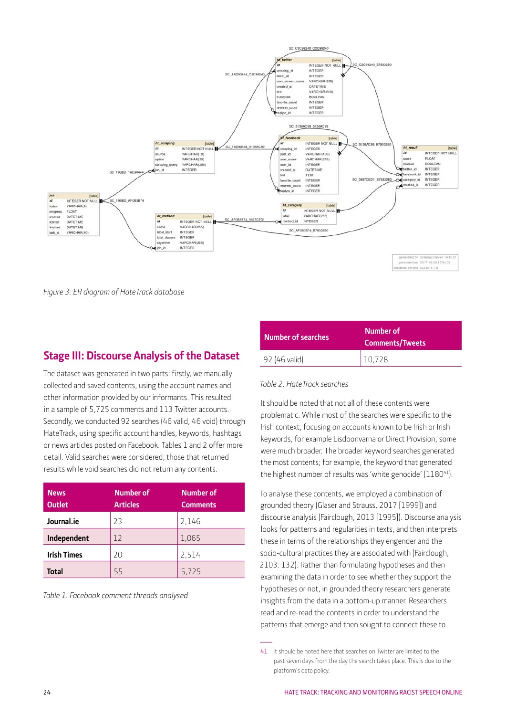

*Figure 3: ER diagram of HateTrack database*

### **Stage III: Discourse Analysis of the Dataset**

The dataset was generated in two parts: firstly, we manually collected and saved contents, using the account names and other information provided by our informants. This resulted in a sample of 5,725 comments and 113 Twitter accounts. Secondly, we conducted 92 searches (46 valid, 46 void) through HateTrack, using specific account handles, keywords, hashtags or news articles posted on Facebook. Tables 1 and 2 offer more detail. Valid searches were considered; those that returned results while void searches did not return any contents.

| <b>News</b><br><b>Outlet</b> | <b>Number of</b><br><b>Articles</b> | <b>Number of</b><br><b>Comments</b> |
|------------------------------|-------------------------------------|-------------------------------------|
| Journal.ie                   | 23                                  | 2,146                               |
| Independent                  | 12                                  | 1,065                               |
| <b>Irish Times</b>           | 20                                  | 2,514                               |
| <b>Total</b>                 | 55                                  | 5,725                               |

*Table 1. Facebook comment threads analysed*

| <b>Number of searches</b> | Number of<br><b>Comments/Tweets</b> |  |  |
|---------------------------|-------------------------------------|--|--|
| 92 (46 valid)             | 10,728                              |  |  |

#### *Table 2. HateTrack searches*

It should be noted that not all of these contents were problematic. While most of the searches were specific to the Irish context, focusing on accounts known to be Irish or Irish keywords, for example Lisdoonvarna or Direct Provision, some were much broader. The broader keyword searches generated the most contents; for example, the keyword that generated the highest number of results was 'white genocide'  $(11804)$ .

To analyse these contents, we employed a combination of grounded theory (Glaser and Strauss, 2017 [1999]) and discourse analysis (Fairclough, 2013 [1995]). Discourse analysis looks for patterns and regularities in texts, and then interprets these in terms of the relationships they engender and the socio-cultural practices they are associated with (Fairclough, 2103: 132). Rather than formulating hypotheses and then examining the data in order to see whether they support the hypotheses or not, in grounded theory researchers generate insights from the data in a bottom-up manner. Researchers read and re-read the contents in order to understand the patterns that emerge and then sought to connect these to

41 It should be noted here that searches on Twitter are limited to the past seven days from the day the search takes place. This is due to the platform's data policy.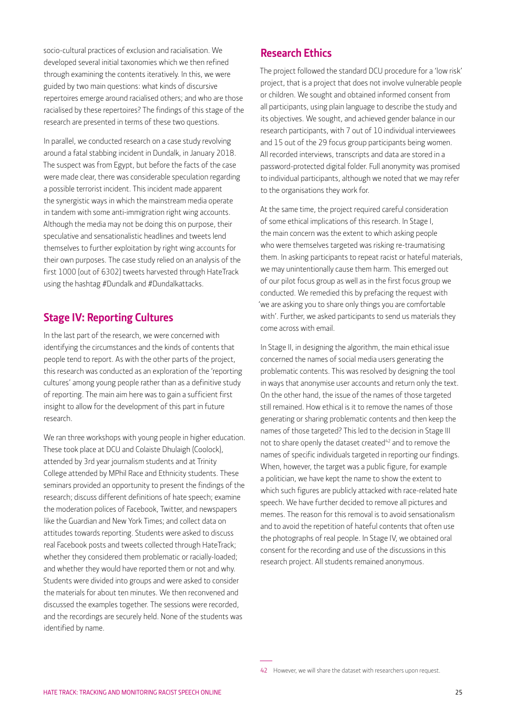socio-cultural practices of exclusion and racialisation. We developed several initial taxonomies which we then refined through examining the contents iteratively. In this, we were guided by two main questions: what kinds of discursive repertoires emerge around racialised others; and who are those racialised by these repertoires? The findings of this stage of the research are presented in terms of these two questions.

In parallel, we conducted research on a case study revolving around a fatal stabbing incident in Dundalk, in January 2018. The suspect was from Egypt, but before the facts of the case were made clear, there was considerable speculation regarding a possible terrorist incident. This incident made apparent the synergistic ways in which the mainstream media operate in tandem with some anti-immigration right wing accounts. Although the media may not be doing this on purpose, their speculative and sensationalistic headlines and tweets lend themselves to further exploitation by right wing accounts for their own purposes. The case study relied on an analysis of the first 1000 (out of 6302) tweets harvested through HateTrack using the hashtag #Dundalk and #Dundalkattacks.

### **Stage IV: Reporting Cultures**

In the last part of the research, we were concerned with identifying the circumstances and the kinds of contents that people tend to report. As with the other parts of the project, this research was conducted as an exploration of the 'reporting cultures' among young people rather than as a definitive study of reporting. The main aim here was to gain a sufficient first insight to allow for the development of this part in future research.

We ran three workshops with young people in higher education. These took place at DCU and Colaiste Dhulaigh (Coolock), attended by 3rd year journalism students and at Trinity College attended by MPhil Race and Ethnicity students. These seminars provided an opportunity to present the findings of the research; discuss different definitions of hate speech; examine the moderation polices of Facebook, Twitter, and newspapers like the Guardian and New York Times; and collect data on attitudes towards reporting. Students were asked to discuss real Facebook posts and tweets collected through HateTrack; whether they considered them problematic or racially-loaded; and whether they would have reported them or not and why. Students were divided into groups and were asked to consider the materials for about ten minutes. We then reconvened and discussed the examples together. The sessions were recorded, and the recordings are securely held. None of the students was identified by name.

### **Research Ethics**

The project followed the standard DCU procedure for a 'low risk' project, that is a project that does not involve vulnerable people or children. We sought and obtained informed consent from all participants, using plain language to describe the study and its objectives. We sought, and achieved gender balance in our research participants, with 7 out of 10 individual interviewees and 15 out of the 29 focus group participants being women. All recorded interviews, transcripts and data are stored in a password-protected digital folder. Full anonymity was promised to individual participants, although we noted that we may refer to the organisations they work for.

At the same time, the project required careful consideration of some ethical implications of this research. In Stage I, the main concern was the extent to which asking people who were themselves targeted was risking re-traumatising them. In asking participants to repeat racist or hateful materials, we may unintentionally cause them harm. This emerged out of our pilot focus group as well as in the first focus group we conducted. We remedied this by prefacing the request with 'we are asking you to share only things you are comfortable with'. Further, we asked participants to send us materials they come across with email.

In Stage II, in designing the algorithm, the main ethical issue concerned the names of social media users generating the problematic contents. This was resolved by designing the tool in ways that anonymise user accounts and return only the text. On the other hand, the issue of the names of those targeted still remained. How ethical is it to remove the names of those generating or sharing problematic contents and then keep the names of those targeted? This led to the decision in Stage III not to share openly the dataset created<sup>42</sup> and to remove the names of specific individuals targeted in reporting our findings. When, however, the target was a public figure, for example a politician, we have kept the name to show the extent to which such figures are publicly attacked with race-related hate speech. We have further decided to remove all pictures and memes. The reason for this removal is to avoid sensationalism and to avoid the repetition of hateful contents that often use the photographs of real people. In Stage IV, we obtained oral consent for the recording and use of the discussions in this research project. All students remained anonymous.

42 However, we will share the dataset with researchers upon request.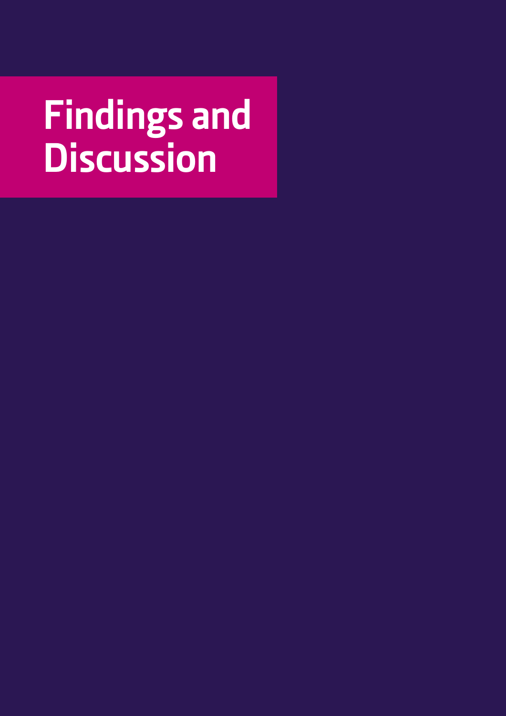# **Findings and Discussion**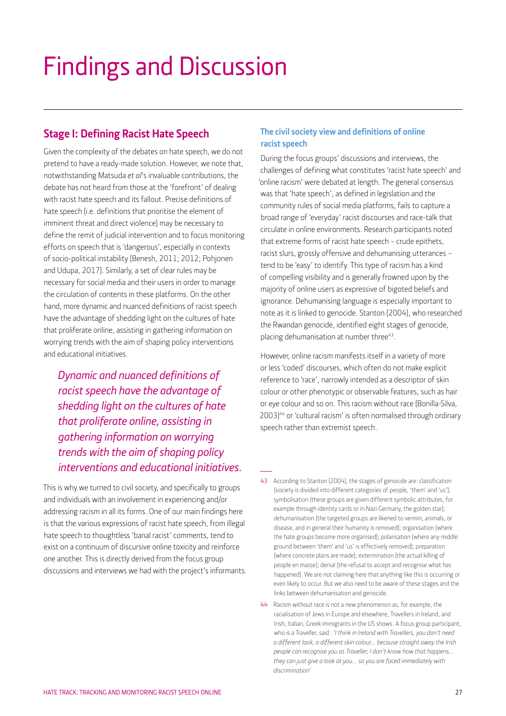# Findings and Discussion

## **Stage I: Defining Racist Hate Speech**

Given the complexity of the debates on hate speech, we do not pretend to have a ready-made solution. However, we note that, notwithstanding Matsuda *et al*'s invaluable contributions, the debate has not heard from those at the 'forefront' of dealing with racist hate speech and its fallout. Precise definitions of hate speech (i.e. definitions that prioritise the element of imminent threat and direct violence) may be necessary to define the remit of judicial intervention and to focus monitoring efforts on speech that is 'dangerous', especially in contexts of socio-political instability (Benesh, 2011; 2012; Pohjonen and Udupa, 2017). Similarly, a set of clear rules may be necessary for social media and their users in order to manage the circulation of contents in these platforms. On the other hand, more dynamic and nuanced definitions of racist speech have the advantage of shedding light on the cultures of hate that proliferate online, assisting in gathering information on worrying trends with the aim of shaping policy interventions and educational initiatives.

*Dynamic and nuanced definitions of racist speech have the advantage of shedding light on the cultures of hate that proliferate online, assisting in gathering information on worrying trends with the aim of shaping policy interventions and educational initiatives.*

This is why we turned to civil society, and specifically to groups and individuals with an involvement in experiencing and/or addressing racism in all its forms. One of our main findings here is that the various expressions of racist hate speech, from illegal hate speech to thoughtless 'banal racist' comments, tend to exist on a continuum of discursive online toxicity and reinforce one another. This is directly derived from the focus group discussions and interviews we had with the project's informants.

### **The civil society view and definitions of online racist speech**

During the focus groups' discussions and interviews, the challenges of defining what constitutes 'racist hate speech' and 'online racism' were debated at length. The general consensus was that 'hate speech', as defined in legislation and the community rules of social media platforms, fails to capture a broad range of 'everyday' racist discourses and race-talk that circulate in online environments. Research participants noted that extreme forms of racist hate speech – crude epithets, racist slurs, grossly offensive and dehumanising utterances – tend to be 'easy' to identify. This type of racism has a kind of compelling visibility and is generally frowned upon by the majority of online users as expressive of bigoted beliefs and ignorance. Dehumanising language is especially important to note as it is linked to genocide. Stanton (2004), who researched the Rwandan genocide, identified eight stages of genocide, placing dehumanisation at number three<sup>43</sup>.

However, online racism manifests itself in a variety of more or less 'coded' discourses, which often do not make explicit reference to 'race', narrowly intended as a descriptor of skin colour or other phenotypic or observable features, such as hair or eye colour and so on. This racism without race (Bonilla-Silva, 2003)<sup>44</sup> or 'cultural racism' is often normalised through ordinary speech rather than extremist speech.

<sup>43</sup> According to Stanton (2004), the stages of genocide are: classification (society is divided into different categories of people, 'them' and 'us'); symbolisation (these groups are given different symbolic attributes, for example through identity cards or in Nazi Germany, the golden star); dehumanisation (the targeted groups are likened to vermin, animals, or disease, and in general their humanity is removed); organisation (where the hate groups become more organised); polarisation (where any middle ground between 'them' and 'us' is effectively removed); preparation (where concrete plans are made); extermination (the actual killing of people en masse); denial (the refusal to accept and recognise what has happened). We are not claiming here that anything like this is occurring or even likely to occur. But we also need to be aware of these stages and the links between dehumanisation and genocide.

<sup>44</sup> Racism without race is not a new phenomenon as, for example, the racialisation of Jews in Europe and elsewhere, Travellers in Ireland, and Irish, Italian, Greek immigrants in the US shows. A focus group participant, who is a Traveller, said : *'I think in Ireland with Travellers, you don't need a different look, a different skin colour... because straight away the Irish people can recognise you as Traveller, I don't know how that happens... they can just give a look at you... so you are faced immediately with discrimination'*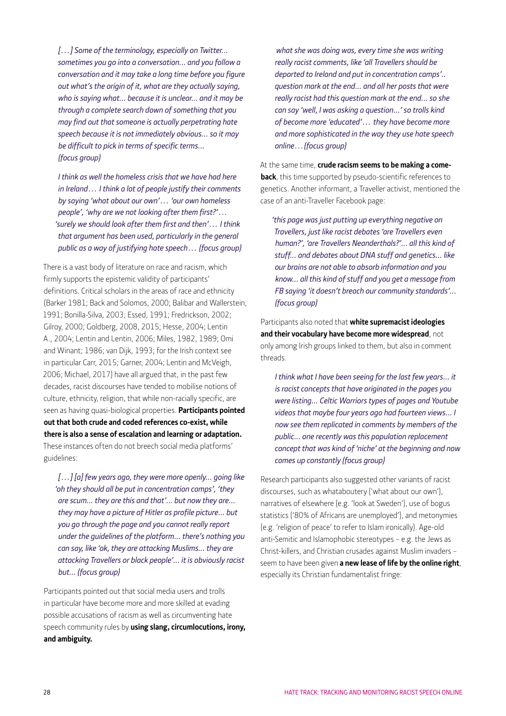*[…] Some of the terminology, especially on Twitter... sometimes you go into a conversation... and you follow a conversation and it may take a long time before you figure out what's the origin of it, what are they actually saying, who is saying what... because it is unclear... and it may be through a complete search down of something that you may find out that someone is actually perpetrating hate speech because it is not immediately obvious... so it may be difficult to pick in terms of specific terms... (focus group)*

*I think as well the homeless crisis that we have had here in Ireland… I think a lot of people justify their comments by saying 'what about our own'… 'our own homeless people', 'why are we not looking after them first?'… 'surely we should look after them first and then'… I think that argument has been used, particularly in the general public as a way of justifying hate speech… (focus group)*

There is a vast body of literature on race and racism, which firmly supports the epistemic validity of participants' definitions. Critical scholars in the areas of race and ethnicity (Barker 1981; Back and Solomos, 2000; Balibar and Wallerstein, 1991; Bonilla-Silva, 2003; Essed, 1991; Fredrickson, 2002; Gilroy, 2000; Goldberg, 2008, 2015; Hesse, 2004; Lentin A., 2004; Lentin and Lentin, 2006; Miles, 1982, 1989; Omi and Winant; 1986; van Dijk, 1993; for the Irish context see in particular Carr, 2015; Garner, 2004; Lentin and McVeigh, 2006; Michael, 2017) have all argued that, in the past few decades, racist discourses have tended to mobilise notions of culture, ethnicity, religion, that while non-racially specific, are seen as having quasi-biological properties. **Participants pointed out that both crude and coded references co-exist, while there is also a sense of escalation and learning or adaptation.**  These instances often do not breech social media platforms' guidelines:

*[…] [a] few years ago, they were more openly... going like 'oh they should all be put in concentration camps', 'they are scum... they are this and that'... but now they are... they may have a picture of Hitler as profile picture... but you go through the page and you cannot really report under the guidelines of the platform... there's nothing you can say, like 'ok, they are attacking Muslims... they are attacking Travellers or black people'... it is obviously racist but... (focus group)*

Participants pointed out that social media users and trolls in particular have become more and more skilled at evading possible accusations of racism as well as circumventing hate speech community rules by **using slang, circumlocutions, irony, and ambiguity.** 

 *what she was doing was, every time she was writing really racist comments, like 'all Travellers should be deported to Ireland and put in concentration camps'.. question mark at the end... and all her posts that were really racist had this question mark at the end... so she can say 'well, I was asking a question...' so trolls kind of become more 'educated'… they have become more and more sophisticated in the way they use hate speech online…(focus group)*

At the same time, **crude racism seems to be making a comeback**, this time supported by pseudo-scientific references to genetics. Another informant, a Traveller activist, mentioned the case of an anti-Traveller Facebook page:

*'this page was just putting up everything negative on Travellers, just like racist debates 'are Travellers even human?', 'are Travellers Neanderthals?'... all this kind of stuff... and debates about DNA stuff and genetics... like our brains are not able to absorb information and you know... all this kind of stuff and you get a message from FB saying 'it doesn't breach our community standards'... (focus group)*

Participants also noted that **white supremacist ideologies and their vocabulary have become more widespread**, not only among Irish groups linked to them, but also in comment threads.

*I think what I have been seeing for the last few years... it is racist concepts that have originated in the pages you were listing... Celtic Warriors types of pages and Youtube videos that maybe four years ago had fourteen views... I now see them replicated in comments by members of the public... one recently was this population replacement concept that was kind of 'niche' at the beginning and now comes up constantly (focus group)*

Research participants also suggested other variants of racist discourses, such as whataboutery ('what about our own'), narratives of elsewhere (e.g. 'look at Sweden'), use of bogus statistics ('80% of Africans are unemployed'), and metonymies (e.g. 'religion of peace' to refer to Islam ironically). Age-old anti-Semitic and Islamophobic stereotypes – e.g. the Jews as Christ-killers, and Christian crusades against Muslim invaders – seem to have been given **a new lease of life by the online right**, especially its Christian fundamentalist fringe: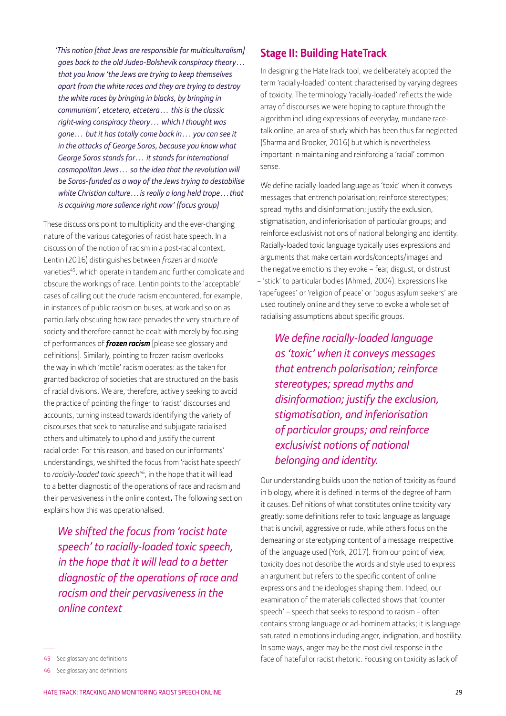*'This notion [that Jews are responsible for multiculturalism] goes back to the old Judeo-Bolshevik conspiracy theory… that you know 'the Jews are trying to keep themselves apart from the white races and they are trying to destroy the white races by bringing in blacks, by bringing in communism', etcetera, etcetera… this is the classic right-wing conspiracy theory… which I thought was gone… but it has totally come back in… you can see it in the attacks of George Soros, because you know what George Soros stands for… it stands for international cosmopolitan Jews… so the idea that the revolution will be Soros-funded as a way of the Jews trying to destabilise white Christian culture…is really a long held trope…that is acquiring more salience right now' (focus group)*

These discussions point to multiplicity and the ever-changing nature of the various categories of racist hate speech. In a discussion of the notion of racism in a post-racial context, Lentin (2016) distinguishes between *frozen* and *motile* varieties<sup>45</sup>, which operate in tandem and further complicate and obscure the workings of race. Lentin points to the 'acceptable' cases of calling out the crude racism encountered, for example, in instances of public racism on buses, at work and so on as particularly obscuring how race pervades the very structure of society and therefore cannot be dealt with merely by focusing of performances of *frozen racism* [please see glossary and definitions]. Similarly, pointing to frozen racism overlooks the way in which 'motile' racism operates: as the taken for granted backdrop of societies that are structured on the basis of racial divisions. We are, therefore, actively seeking to avoid the practice of pointing the finger to 'racist' discourses and accounts, turning instead towards identifying the variety of discourses that seek to naturalise and subjugate racialised others and ultimately to uphold and justify the current racial order. For this reason, and based on our informants' understandings, we shifted the focus from 'racist hate speech' to *racially-loaded toxic speech<sup>46</sup>*, in the hope that it will lead to a better diagnostic of the operations of race and racism and their pervasiveness in the online context**.** The following section explains how this was operationalised.

*We shifted the focus from 'racist hate speech' to racially-loaded toxic speech, in the hope that it will lead to a better diagnostic of the operations of race and racism and their pervasiveness in the online context*

### **Stage II: Building HateTrack**

In designing the HateTrack tool, we deliberately adopted the term 'racially-loaded' content characterised by varying degrees of toxicity. The terminology 'racially-loaded' reflects the wide array of discourses we were hoping to capture through the algorithm including expressions of everyday, mundane racetalk online, an area of study which has been thus far neglected (Sharma and Brooker, 2016) but which is nevertheless important in maintaining and reinforcing a 'racial' common sense.

We define racially-loaded language as 'toxic' when it conveys messages that entrench polarisation; reinforce stereotypes; spread myths and disinformation; justify the exclusion, stigmatisation, and inferiorisation of particular groups; and reinforce exclusivist notions of national belonging and identity. Racially-loaded toxic language typically uses expressions and arguments that make certain words/concepts/images and the negative emotions they evoke – fear, disgust, or distrust – 'stick' to particular bodies (Ahmed, 2004). Expressions like 'rapefugees' or 'religion of peace' or 'bogus asylum seekers' are used routinely online and they serve to evoke a whole set of racialising assumptions about specific groups.

*We define racially-loaded language as 'toxic' when it conveys messages that entrench polarisation; reinforce stereotypes; spread myths and disinformation; justify the exclusion, stigmatisation, and inferiorisation of particular groups; and reinforce exclusivist notions of national belonging and identity.* 

Our understanding builds upon the notion of toxicity as found in biology, where it is defined in terms of the degree of harm it causes. Definitions of what constitutes online toxicity vary greatly: some definitions refer to toxic language as language that is uncivil, aggressive or rude, while others focus on the demeaning or stereotyping content of a message irrespective of the language used (York, 2017). From our point of view, toxicity does not describe the words and style used to express an argument but refers to the specific content of online expressions and the ideologies shaping them. Indeed, our examination of the materials collected shows that 'counter speech' – speech that seeks to respond to racism – often contains strong language or ad-hominem attacks; it is language saturated in emotions including anger, indignation, and hostility. In some ways, anger may be the most civil response in the face of hateful or racist rhetoric. Focusing on toxicity as lack of

<sup>45</sup> See glossary and definitions

See glossary and definitions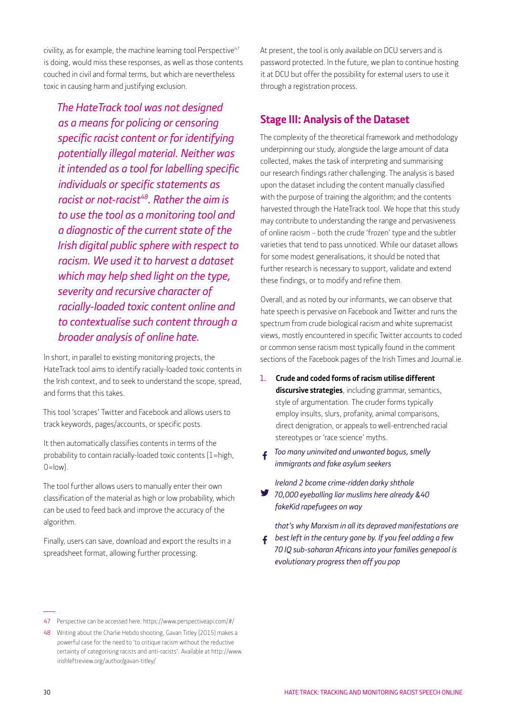civility, as for example, the machine learning tool Perspective<sup>47</sup> is doing, would miss these responses, as well as those contents couched in civil and formal terms, but which are nevertheless toxic in causing harm and justifying exclusion.

*The HateTrack tool was not designed as a means for policing or censoring specific racist content or for identifying potentially illegal material. Neither was it intended as a tool for labelling specific individuals or specific statements as*  racist or not-racist<sup>48</sup>. Rather the aim is *to use the tool as a monitoring tool and a diagnostic of the current state of the Irish digital public sphere with respect to racism. We used it to harvest a dataset which may help shed light on the type, severity and recursive character of racially-loaded toxic content online and to contextualise such content through a broader analysis of online hate.*

In short, in parallel to existing monitoring projects, the HateTrack tool aims to identify racially-loaded toxic contents in the Irish context, and to seek to understand the scope, spread, and forms that this takes.

This tool 'scrapes' Twitter and Facebook and allows users to track keywords, pages/accounts, or specific posts.

It then automatically classifies contents in terms of the probability to contain racially-loaded toxic contents (1=high,  $0 = low$ ).

The tool further allows users to manually enter their own classification of the material as high or low probability, which can be used to feed back and improve the accuracy of the algorithm.

Finally, users can save, download and export the results in a spreadsheet format, allowing further processing.

At present, the tool is only available on DCU servers and is password protected. In the future, we plan to continue hosting it at DCU but offer the possibility for external users to use it through a registration process.

### **Stage III: Analysis of the Dataset**

The complexity of the theoretical framework and methodology underpinning our study, alongside the large amount of data collected, makes the task of interpreting and summarising our research findings rather challenging. The analysis is based upon the dataset including the content manually classified with the purpose of training the algorithm; and the contents harvested through the HateTrack tool. We hope that this study may contribute to understanding the range and pervasiveness of online racism – both the crude 'frozen' type and the subtler varieties that tend to pass unnoticed. While our dataset allows for some modest generalisations, it should be noted that further research is necessary to support, validate and extend these findings, or to modify and refine them.

Overall, and as noted by our informants, we can observe that hate speech is pervasive on Facebook and Twitter and runs the spectrum from crude biological racism and white supremacist views, mostly encountered in specific Twitter accounts to coded or common sense racism most typically found in the comment sections of the Facebook pages of the Irish Times and Journal.ie.

- 1. **Crude and coded forms of racism utilise different discursive strategies**, including grammar, semantics, style of argumentation. The cruder forms typically employ insults, slurs, profanity, animal comparisons, direct denigration, or appeals to well-entrenched racial stereotypes or 'race science' myths.
- *Too many uninvited and unwanted bogus, smelly immigrants and fake asylum seekers* f

*Ireland 2 bcome crime-ridden darky shthole 70,000 eyeballing liar muslims here already &40 fakeKid rapefugees on way*

*that's why Marxism in all its depraved manifestations are best left in the century gone by. If you feel adding a few 70 IQ sub-saharan Africans into your families genepool is evolutionary progress then off you pop*

<sup>47</sup> Perspective can be accessed here: https://www.perspectiveapi.com/#/

<sup>48</sup> Writing about the Charlie Hebdo shooting, Gavan Titley (2015) makes a powerful case for the need to 'to critique racism without the reductive certainty of categorising racists and anti-racists'. Available at http://www. irishleftreview.org/author/gavan-titley/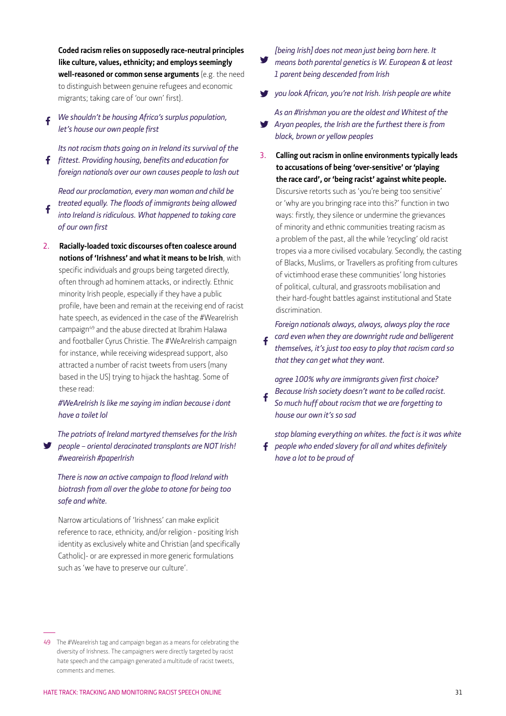**Coded racism relies on supposedly race-neutral principles like culture, values, ethnicity; and employs seemingly well-reasoned or common sense arguments** (e.g. the need to distinguish between genuine refugees and economic migrants; taking care of 'our own' first).

- *We shouldn't be housing Africa's surplus population, let's house our own people first* f
- *Its not racism thats going on in Ireland its survival of the fittest. Providing housing, benefits and education for foreign nationals over our own causes people to lash out*

*Read our proclamation, every man woman and child be treated equally. The floods of immigrants being allowed into Ireland is ridiculous. What happened to taking care of our own first*

2. **Racially-loaded toxic discourses often coalesce around notions of 'Irishness' and what it means to be Irish**, with specific individuals and groups being targeted directly, often through ad hominem attacks, or indirectly. Ethnic minority Irish people, especially if they have a public profile, have been and remain at the receiving end of racist hate speech, as evidenced in the case of the #WeareIrish campaign49 and the abuse directed at Ibrahim Halawa and footballer Cyrus Christie. The #WeAreIrish campaign for instance, while receiving widespread support, also attracted a number of racist tweets from users (many based in the US) trying to hijack the hashtag. Some of these read:

### *#WeAreIrish Is like me saying im indian because i dont have a toilet lol*

*The patriots of Ireland martyred themselves for the Irish people – oriental deracinated transplants are NOT Irish! #weareirish #paperIrish*

y

f

*There is now an active campaign to flood Ireland with biotrash from all over the globe to atone for being too safe and white.*

Narrow articulations of 'Irishness' can make explicit reference to race, ethnicity, and/or religion - positing Irish identity as exclusively white and Christian (and specifically Catholic)- or are expressed in more generic formulations such as 'we have to preserve our culture'.

49 The #WeareIrish tag and campaign began as a means for celebrating the diversity of Irishness. The campaigners were directly targeted by racist hate speech and the campaign generated a multitude of racist tweets, comments and memes.

- *[being Irish] does not mean just being born here. It means both parental genetics is W. European & at least 1 parent being descended from Irish* y
- *you look African, you're not Irish. Irish people are white*

*As an #Irishman you are the oldest and Whitest of the Aryan peoples, the Irish are the furthest there is from* 

- *black, brown or yellow peoples*
- 3. **Calling out racism in online environments typically leads to accusations of being 'over-sensitive' or 'playing the race card', or 'being racist' against white people.**  Discursive retorts such as 'you're being too sensitive' or 'why are you bringing race into this?' function in two ways: firstly, they silence or undermine the grievances of minority and ethnic communities treating racism as a problem of the past, all the while 'recycling' old racist tropes via a more civilised vocabulary. Secondly, the casting of Blacks, Muslims, or Travellers as profiting from cultures of victimhood erase these communities' long histories of political, cultural, and grassroots mobilisation and their hard-fought battles against institutional and State discrimination.

*Foreign nationals always, always, always play the race card even when they are downright rude and belligerent themselves, it's just too easy to play that racism card so that they can get what they want.* f

*agree 100% why are immigrants given first choice? Because Irish society doesn't want to be called racist. So much huff about racism that we are forgetting to house our own it's so sad* f

*stop blaming everything on whites. the fact is it was white people who ended slavery for all and whites definitely have a lot to be proud of*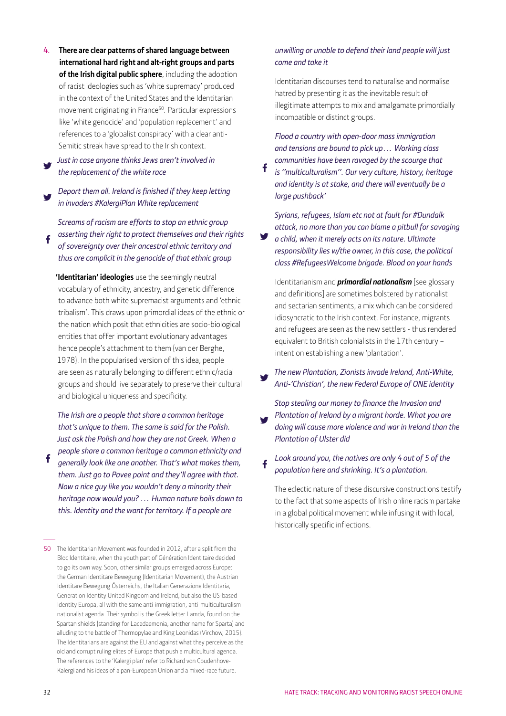4. **There are clear patterns of shared language between international hard right and alt-right groups and parts of the Irish digital public sphere**, including the adoption of racist ideologies such as 'white supremacy' produced in the context of the United States and the Identitarian movement originating in France50. Particular expressions like 'white genocide' and 'population replacement' and references to a 'globalist conspiracy' with a clear anti-Semitic streak have spread to the Irish context.

### *Just in case anyone thinks Jews aren't involved in the replacement of the white race*

y

y

*Deport them all. Ireland is finished if they keep letting in invaders #KalergiPlan White replacement*

*Screams of racism are efforts to stop an ethnic group asserting their right to protect themselves and their rights of sovereignty over their ancestral ethnic territory and thus are complicit in the genocide of that ethnic group* f

**'Identitarian' ideologies** use the seemingly neutral vocabulary of ethnicity, ancestry, and genetic difference to advance both white supremacist arguments and 'ethnic tribalism'. This draws upon primordial ideas of the ethnic or the nation which posit that ethnicities are socio-biological entities that offer important evolutionary advantages hence people's attachment to them (van der Berghe, 1978). In the popularised version of this idea, people are seen as naturally belonging to different ethnic/racial groups and should live separately to preserve their cultural and biological uniqueness and specificity.

*The Irish are a people that share a common heritage that's unique to them. The same is said for the Polish. Just ask the Polish and how they are not Greek. When a people share a common heritage a common ethnicity and generally look like one another. That's what makes them, them. Just go to Pavee point and they'll agree with that. Now a nice guy like you wouldn't deny a minority their heritage now would you? … Human nature boils down to this. Identity and the want for territory. If a people are* 

50 The Identitarian Movement was founded in 2012, after a split from the Bloc Identitaire, when the youth part of Génération Identitaire decided to go its own way. Soon, other similar groups emerged across Europe: the German Identitäre Bewegung (Identitarian Movement), the Austrian Identitäre Bewegung Österreichs, the Italian Generazione Identitaria, Generation Identity United Kingdom and Ireland, but also the US-based Identity Europa, all with the same anti-immigration, anti-multiculturalism nationalist agenda. Their symbol is the Greek letter Lamda, found on the Spartan shields (standing for Lacedaemonia, another name for Sparta) and alluding to the battle of Thermopylae and King Leonidas (Virchow, 2015). The Identitarians are against the EU and against what they perceive as the old and corrupt ruling elites of Europe that push a multicultural agenda. The references to the 'Kalergi plan' refer to Richard von Coudenhove-Kalergi and his ideas of a pan-European Union and a mixed-race future.

### *unwilling or unable to defend their land people will just come and take it*

Identitarian discourses tend to naturalise and normalise hatred by presenting it as the inevitable result of illegitimate attempts to mix and amalgamate primordially incompatible or distinct groups.

*Flood a country with open-door mass immigration and tensions are bound to pick up… Working class communities have been ravaged by the scourge that is ''multiculturalism''. Our very culture, history, heritage and identity is at stake, and there will eventually be a large pushback'*

f

*Syrians, refugees, Islam etc not at fault for #Dundalk attack, no more than you can blame a pitbull for savaging a child, when it merely acts on its nature. Ultimate responsibility lies w/the owner, in this case, the political class #RefugeesWelcome brigade. Blood on your hands* y

Identitarianism and *primordial nationalism* [see glossary and definitions] are sometimes bolstered by nationalist and sectarian sentiments, a mix which can be considered idiosyncratic to the Irish context. For instance, migrants and refugees are seen as the new settlers - thus rendered equivalent to British colonialists in the 17th century – intent on establishing a new 'plantation'.

*The new Plantation, Zionists invade Ireland, Anti-White, Anti-'Christian', the new Federal Europe of ONE identity* y

*Stop stealing our money to finance the Invasion and Plantation of Ireland by a migrant horde. What you are doing will cause more violence and war in Ireland than the Plantation of Ulster did* y

*Look around you, the natives are only 4 out of 5 of the population here and shrinking. It's a plantation.*

The eclectic nature of these discursive constructions testify to the fact that some aspects of Irish online racism partake in a global political movement while infusing it with local, historically specific inflections.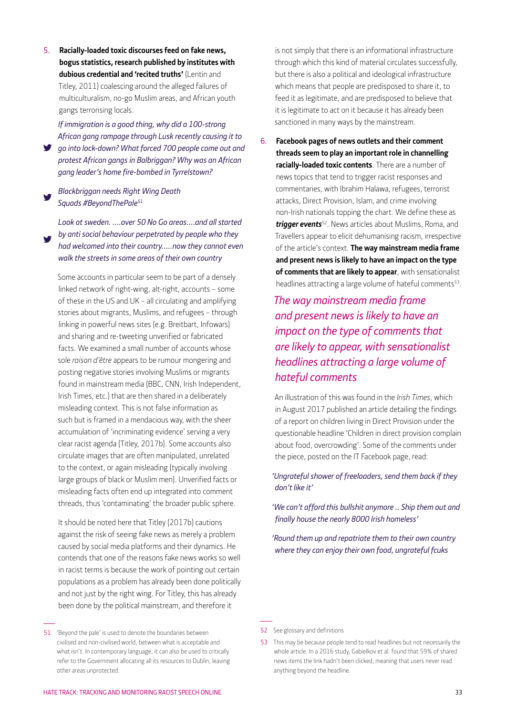5. **Racially-loaded toxic discourses feed on fake news, bogus statistics, research published by institutes with dubious credential and 'recited truths'** (Lentin and Titley, 2011) coalescing around the alleged failures of multiculturalism, no-go Muslim areas, and African youth gangs terrorising locals.

*If immigration is a good thing, why did a 100-strong African gang rampage through Lusk recently causing it to go into lock-down? What forced 700 people come out and protest African gangs in Balbriggan? Why was an African gang leader's home fire-bombed in Tyrrelstown?*  y

### *Blackbriggan needs Right Wing Death Squads #BeyondThePale51*

y

y

*Look at sweden. ....over 50 No Go areas....and all started by anti social behaviour perpetrated by people who they had welcomed into their country.....now they cannot even walk the streets in some areas of their own country*

Some accounts in particular seem to be part of a densely linked network of right-wing, alt-right, accounts – some of these in the US and UK – all circulating and amplifying stories about migrants, Muslims, and refugees – through linking in powerful news sites (e.g. Breitbart, Infowars) and sharing and re-tweeting unverified or fabricated facts. We examined a small number of accounts whose sole *raison d'être* appears to be rumour mongering and posting negative stories involving Muslims or migrants found in mainstream media (BBC, CNN, Irish Independent, Irish Times, etc.) that are then shared in a deliberately misleading context. This is not false information as such but is framed in a mendacious way, with the sheer accumulation of 'incriminating evidence' serving a very clear racist agenda (Titley, 2017b). Some accounts also circulate images that are often manipulated, unrelated to the context, or again misleading (typically involving large groups of black or Muslim men). Unverified facts or misleading facts often end up integrated into comment threads, thus 'contaminating' the broader public sphere.

It should be noted here that Titley (2017b) cautions against the risk of seeing fake news as merely a problem caused by social media platforms and their dynamics. He contends that one of the reasons fake news works so well in racist terms is because the work of pointing out certain populations as a problem has already been done politically and not just by the right wing. For Titley, this has already been done by the political mainstream, and therefore it

is not simply that there is an informational infrastructure through which this kind of material circulates successfully, but there is also a political and ideological infrastructure which means that people are predisposed to share it, to feed it as legitimate, and are predisposed to believe that it is legitimate to act on it because it has already been sanctioned in many ways by the mainstream.

6. **Facebook pages of news outlets and their comment threads seem to play an important role in channelling racially-loaded toxic contents**. There are a number of news topics that tend to trigger racist responses and commentaries, with Ibrahim Halawa, refugees, terrorist attacks, Direct Provision, Islam, and crime involving non-Irish nationals topping the chart. We define these as *trigger events*52. News articles about Muslims, Roma, and Travellers appear to elicit dehumanising racism, irrespective of the article's context. **The way mainstream media frame and present news is likely to have an impact on the type of comments that are likely to appear**, with sensationalist headlines attracting a large volume of hateful comments<sup>53</sup>.

# *The way mainstream media frame and present news is likely to have an impact on the type of comments that are likely to appear, with sensationalist headlines attracting a large volume of hateful comments*

An illustration of this was found in the *Irish Times*, which in August 2017 published an article detailing the findings of a report on children living in Direct Provision under the questionable headline 'Children in direct provision complain about food, overcrowding'. Some of the comments under the piece, posted on the IT Facebook page, read:

*'Ungrateful shower of freeloaders, send them back if they don't like it'*

*'We can't afford this bullshit anymore .. Ship them out and finally house the nearly 8000 Irish homeless'*

*'Round them up and repatriate them to their own country where they can enjoy their own food, ungrateful fcuks*

<sup>51</sup> 'Beyond the pale' is used to denote the boundaries between civilised and non-civilised world, between what is acceptable and what isn't. In contemporary language, it can also be used to critically refer to the Government allocating all its resources to Dublin, leaving other areas unprotected.

<sup>52</sup> See glossary and definitions

<sup>53</sup> This may be because people tend to read headlines but not necessarily the whole article. In a 2016 study, Gabielkov et al. found that 59% of shared news items the link hadn't been clicked, meaning that users never read anything beyond the headline.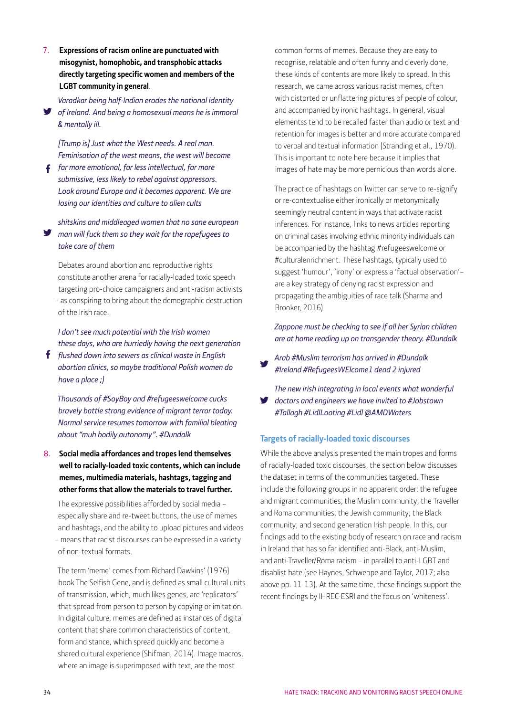7. **Expressions of racism online are punctuated with misogynist, homophobic, and transphobic attacks directly targeting specific women and members of the LGBT community in general**.

*Varadkar being half-Indian erodes the national identity of Ireland. And being a homosexual means he is immoral & mentally ill.* 

*[Trump is] Just what the West needs. A real man. Feminisation of the west means, the west will become* 

*far more emotional, far less intellectual, far more submissive, less likely to rebel against oppressors. Look around Europe and it becomes apparent. We are losing our identities and culture to alien cults*

*shitskins and middleaged women that no sane european man will fuck them so they wait for the rapefugees to take care of them*

Debates around abortion and reproductive rights constitute another arena for racially-loaded toxic speech targeting pro-choice campaigners and anti-racism activists – as conspiring to bring about the demographic destruction of the Irish race.

*I don't see much potential with the Irish women these days, who are hurriedly having the next generation* 

*flushed down into sewers as clinical waste in English abortion clinics, so maybe traditional Polish women do have a place ;)* 

*Thousands of #SoyBoy and #refugeeswelcome cucks bravely battle strong evidence of migrant terror today. Normal service resumes tomorrow with familial bleating about "muh bodily autonomy". #Dundalk*

8. **Social media affordances and tropes lend themselves well to racially-loaded toxic contents, which can include memes, multimedia materials, hashtags, tagging and other forms that allow the materials to travel further.**

The expressive possibilities afforded by social media – especially share and re-tweet buttons, the use of memes and hashtags, and the ability to upload pictures and videos – means that racist discourses can be expressed in a variety of non-textual formats.

The term 'meme' comes from Richard Dawkins' (1976) book The Selfish Gene, and is defined as small cultural units of transmission, which, much likes genes, are 'replicators' that spread from person to person by copying or imitation. In digital culture, memes are defined as instances of digital content that share common characteristics of content, form and stance, which spread quickly and become a shared cultural experience (Shifman, 2014). Image macros, where an image is superimposed with text, are the most

common forms of memes. Because they are easy to recognise, relatable and often funny and cleverly done, these kinds of contents are more likely to spread. In this research, we came across various racist memes, often with distorted or unflattering pictures of people of colour, and accompanied by ironic hashtags. In general, visual elementss tend to be recalled faster than audio or text and retention for images is better and more accurate compared to verbal and textual information (Stranding et al., 1970). This is important to note here because it implies that images of hate may be more pernicious than words alone.

The practice of hashtags on Twitter can serve to re-signify or re-contextualise either ironically or metonymically seemingly neutral content in ways that activate racist inferences. For instance, links to news articles reporting on criminal cases involving ethnic minority individuals can be accompanied by the hashtag #refugeeswelcome or #culturalenrichment. These hashtags, typically used to suggest 'humour', 'irony' or express a 'factual observation'– are a key strategy of denying racist expression and propagating the ambiguities of race talk (Sharma and Brooker, 2016)

*Zappone must be checking to see if all her Syrian children are at home reading up on transgender theory. #Dundalk*

*Arab #Muslim terrorism has arrived in #Dundalk #Ireland #RefugeesWElcome1 dead 2 injured* y

*The new irish integrating in local events what wonderful doctors and engineers we have invited to #Jobstown #Tallagh #LidlLooting #Lidl @AMDWaters*

### **Targets of racially-loaded toxic discourses**

While the above analysis presented the main tropes and forms of racially-loaded toxic discourses, the section below discusses the dataset in terms of the communities targeted. These include the following groups in no apparent order: the refugee and migrant communities; the Muslim community; the Traveller and Roma communities; the Jewish community; the Black community; and second generation Irish people. In this, our findings add to the existing body of research on race and racism in Ireland that has so far identified anti-Black, anti-Muslim, and anti-Traveller/Roma racism – in parallel to anti-LGBT and disablist hate (see Haynes, Schweppe and Taylor, 2017; also above pp. 11-13). At the same time, these findings support the recent findings by IHREC-ESRI and the focus on 'whiteness'.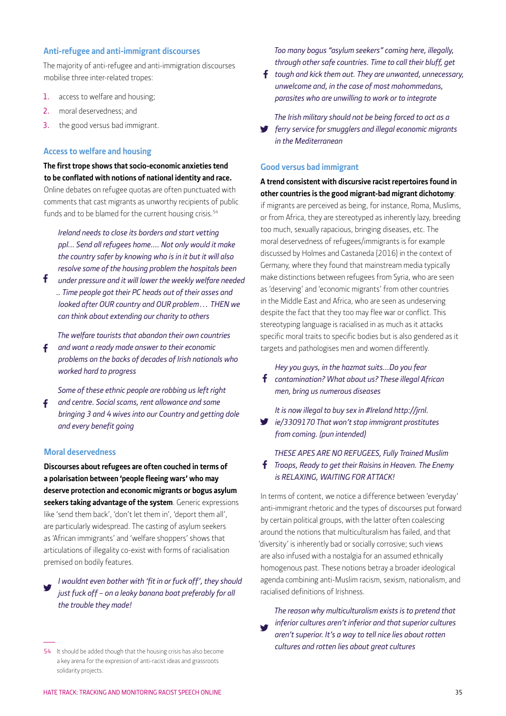### **Anti-refugee and anti-immigrant discourses**

The majority of anti-refugee and anti-immigration discourses mobilise three inter-related tropes:

- 1. access to welfare and housing;
- 2. moral deservedness; and
- 3. the good versus bad immigrant.

#### **Access to welfare and housing**

**The first trope shows that socio-economic anxieties tend to be conflated with notions of national identity and race.** Online debates on refugee quotas are often punctuated with comments that cast migrants as unworthy recipients of public funds and to be blamed for the current housing crisis.<sup>54</sup>

*Ireland needs to close its borders and start vetting ppl... Send all refugees home.... Not only would it make the country safer by knowing who is in it but it will also resolve some of the housing problem the hospitals been* 

*under pressure and it will lower the weekly welfare needed .. Time people got their PC heads out of their asses and looked after OUR country and OUR problem… THEN we can think about extending our charity to others* f

*The welfare tourists that abandon their own countries* 

*and want a ready made answer to their economic problems on the backs of decades of Irish nationals who worked hard to progress* £

*Some of these ethnic people are robbing us left right and centre. Social scams, rent allowance and some bringing 3 and 4 wives into our Country and getting dole and every benefit going* f

### **Moral deservedness**

**Discourses about refugees are often couched in terms of a polarisation between 'people fleeing wars' who may deserve protection and economic migrants or bogus asylum seekers taking advantage of the system**. Generic expressions like 'send them back', 'don't let them in', 'deport them all', are particularly widespread. The casting of asylum seekers as 'African immigrants' and 'welfare shoppers' shows that articulations of illegality co-exist with forms of racialisation premised on bodily features.

*I wouldnt even bother with 'fit in or fuck off', they should just fuck off – on a leaky banana boat preferably for all the trouble they made!* y

*Too many bogus "asylum seekers" coming here, illegally, through other safe countries. Time to call their bluff, get* 

*tough and kick them out. They are unwanted, unnecessary, unwelcome and, in the case of most mohommedans, parasites who are unwilling to work or to integrate*

*The Irish military should not be being forced to act as a ferry service for smugglers and illegal economic migrants in the Mediterranean*

#### **Good versus bad immigrant**

**A trend consistent with discursive racist repertoires found in other countries is the good migrant-bad migrant dichotomy**:

if migrants are perceived as being, for instance, Roma, Muslims, or from Africa, they are stereotyped as inherently lazy, breeding too much, sexually rapacious, bringing diseases, etc. The moral deservedness of refugees/immigrants is for example discussed by Holmes and Castaneda (2016) in the context of Germany, where they found that mainstream media typically make distinctions between refugees from Syria, who are seen as 'deserving' and 'economic migrants' from other countries in the Middle East and Africa, who are seen as undeserving despite the fact that they too may flee war or conflict. This stereotyping language is racialised in as much as it attacks specific moral traits to specific bodies but is also gendered as it targets and pathologises men and women differently.

*Hey you guys, in the hazmat suits...Do you fear contamination? What about us? These illegal African men, bring us numerous diseases*

*It is now illegal to buy sex in #Ireland http://jrnl. ie/3309170 That won't stop immigrant prostitutes from coming. (pun intended)*

*THESE APES ARE NO REFUGEES, Fully Trained Muslim Troops, Ready to get their Raisins in Heaven. The Enemy is RELAXING, WAITING FOR ATTACK!* 

In terms of content, we notice a difference between 'everyday' anti-immigrant rhetoric and the types of discourses put forward by certain political groups, with the latter often coalescing around the notions that multiculturalism has failed, and that 'diversity' is inherently bad or socially corrosive; such views are also infused with a nostalgia for an assumed ethnically homogenous past. These notions betray a broader ideological agenda combining anti-Muslim racism, sexism, nationalism, and racialised definitions of Irishness.

*The reason why multiculturalism exists is to pretend that inferior cultures aren't inferior and that superior cultures aren't superior. It's a way to tell nice lies about rotten cultures and rotten lies about great cultures* y

<sup>54</sup> It should be added though that the housing crisis has also become a key arena for the expression of anti-racist ideas and grassroots solidarity projects.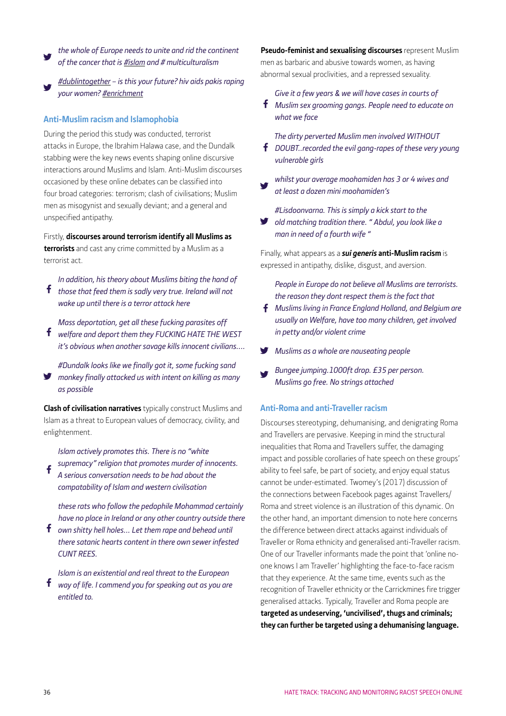- *the whole of Europe needs to unite and rid the continent of the cancer that is #islam and # multiculturalism* y
- *#dublintogether is this your future? hiv aids pakis raping your women? #enrichment* y

### **Anti-Muslim racism and Islamophobia**

During the period this study was conducted, terrorist attacks in Europe, the Ibrahim Halawa case, and the Dundalk stabbing were the key news events shaping online discursive interactions around Muslims and Islam. Anti-Muslim discourses occasioned by these online debates can be classified into four broad categories: terrorism; clash of civilisations; Muslim men as misogynist and sexually deviant; and a general and unspecified antipathy.

Firstly, **discourses around terrorism identify all Muslims as terrorists** and cast any crime committed by a Muslim as a terrorist act.

*In addition, his theory about Muslims biting the hand of those that feed them is sadly very true. Ireland will not wake up until there is a terror attack here*

*Mass deportation, get all these fucking parasites off welfare and deport them they FUCKING HATE THE WEST it's obvious when another savage kills innocent civilians....* 

*#Dundalk looks like we finally got it, some fucking sand monkey finally attacked us with intent on killing as many as possible* y

**Clash of civilisation narratives** typically construct Muslims and Islam as a threat to European values of democracy, civility, and enlightenment.

*Islam actively promotes this. There is no "white supremacy" religion that promotes murder of innocents. A serious conversation needs to be had about the compatability of Islam and western civilisation* f

*these rats who follow the pedophile Mohammad certainly have no place in Ireland or any other country outside there* 

 ${\mathsf f}$  own shitty hell holes... Let them rape and behead until *there satanic hearts content in there own sewer infested CUNT REES.* 

*Islam is an existential and real threat to the European way of life. I commend you for speaking out as you are entitled to.* f

**Pseudo-feminist and sexualising discourses** represent Muslim men as barbaric and abusive towards women, as having abnormal sexual proclivities, and a repressed sexuality.

*Give it a few years & we will have cases in courts of* 

*Muslim sex grooming gangs. People need to educate on what we face*

*The dirty perverted Muslim men involved WITHOUT* 

- *DOUBT..recorded the evil gang-rapes of these very young vulnerable girls*
- *whilst your average moohamiden has 3 or 4 wives and at least a dozen mini moohamiden's* y

*#Lisdoonvarna. This is simply a kick start to the* 

*old matching tradition there. " Abdul, you look like a man in need of a fourth wife "*

Finally, what appears as a *sui generis* **anti-Muslim racism** is expressed in antipathy, dislike, disgust, and aversion.

*People in Europe do not believe all Muslims are terrorists. the reason they dont respect them is the fact that* 

- *Muslims living in France England Holland, and Belgium are usually on Welfare, have too many children, get involved in petty and/or violent crime*
- *Muslims as a whole are nauseating people*
- *Bungee jumping.1000ft drop. £35 per person. Muslims go free. No strings attached* y

#### **Anti-Roma and anti-Traveller racism**

Discourses stereotyping, dehumanising, and denigrating Roma and Travellers are pervasive. Keeping in mind the structural inequalities that Roma and Travellers suffer, the damaging impact and possible corollaries of hate speech on these groups' ability to feel safe, be part of society, and enjoy equal status cannot be under-estimated. Twomey's (2017) discussion of the connections between Facebook pages against Travellers/ Roma and street violence is an illustration of this dynamic. On the other hand, an important dimension to note here concerns the difference between direct attacks against individuals of Traveller or Roma ethnicity and generalised anti-Traveller racism. One of our Traveller informants made the point that 'online noone knows I am Traveller' highlighting the face-to-face racism that they experience. At the same time, events such as the recognition of Traveller ethnicity or the Carrickmines fire trigger generalised attacks. Typically, Traveller and Roma people are **targeted as undeserving, 'uncivilised', thugs and criminals; they can further be targeted using a dehumanising language.**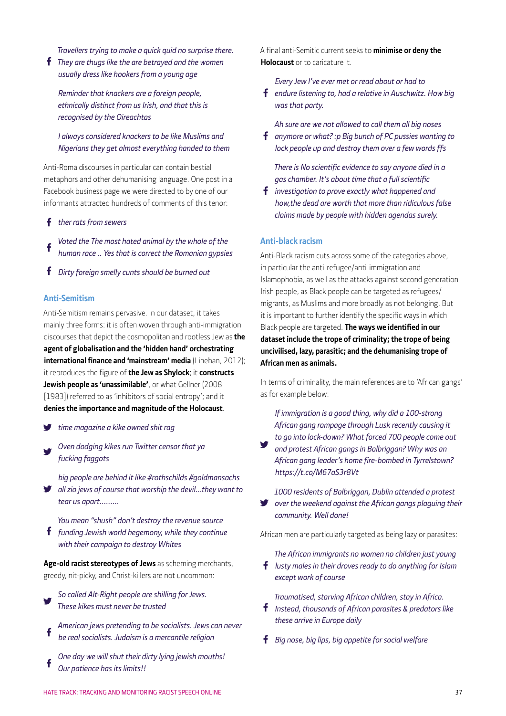*Travellers trying to make a quick quid no surprise there.* 

*They are thugs like the are betrayed and the women usually dress like hookers from a young age*

*Reminder that knackers are a foreign people, ethnically distinct from us Irish, and that this is recognised by the Oireachtas*

*I always considered knackers to be like Muslims and Nigerians they get almost everything handed to them*

Anti-Roma discourses in particular can contain bestial metaphors and other dehumanising language. One post in a Facebook business page we were directed to by one of our informants attracted hundreds of comments of this tenor:

- *ther rats from sewers* £
- *Voted the The most hated animal by the whole of the human race .. Yes that is correct the Romanian gypsies* f
- *Dirty foreign smelly cunts should be burned out* f

#### **Anti-Semitism**

Anti-Semitism remains pervasive. In our dataset, it takes mainly three forms: it is often woven through anti-immigration discourses that depict the cosmopolitan and rootless Jew as **the agent of globalisation and the 'hidden hand' orchestrating international finance and 'mainstream' media** (Linehan, 2012); it reproduces the figure of **the Jew as Shylock**; it **constructs Jewish people as 'unassimilable'**, or what Gellner (2008 [1983]) referred to as 'inhibitors of social entropy': and it **denies the importance and magnitude of the Holocaust**.

- *time magazine a kike owned shit rag* y
- *Oven dodging kikes run Twitter censor that ya fucking faggots* y
- *big people are behind it like #rothschilds #goldmansachs all zio jews of course that worship the devil...they want to tear us apart.........*

*You mean "shush" don't destroy the revenue source funding Jewish world hegemony, while they continue with their campaign to destroy Whites*

**Age-old racist stereotypes of Jews** as scheming merchants, greedy, nit-picky, and Christ-killers are not uncommon:

- *So called Alt-Right people are shilling for Jews. These kikes must never be trusted* y
- *American jews pretending to be socialists. Jews can never be real socialists. Judaism is a mercantile religion* £
- *One day we will shut their dirty lying jewish mouths! Our patience has its limits!!* f

A final anti-Semitic current seeks to **minimise or deny the Holocaust** or to caricature it.

- *Every Jew I've ever met or read about or had to endure listening to, had a relative in Auschwitz. How big was that party.*
- *Ah sure are we not allowed to call them all big noses anymore or what? :p Big bunch of PC pussies wanting to lock people up and destroy them over a few words ffs*

*There is No scientific evidence to say anyone died in a gas chamber. It's about time that a full scientific* 

*investigation to prove exactly what happened and how,the dead are worth that more than ridiculous false claims made by people with hidden agendas surely.* 

### **Anti-black racism**

Anti-Black racism cuts across some of the categories above, in particular the anti-refugee/anti-immigration and Islamophobia, as well as the attacks against second generation Irish people, as Black people can be targeted as refugees/ migrants, as Muslims and more broadly as not belonging. But it is important to further identify the specific ways in which Black people are targeted. **The ways we identified in our dataset include the trope of criminality; the trope of being uncivilised, lazy, parasitic; and the dehumanising trope of African men as animals.** 

In terms of criminality, the main references are to 'African gangs' as for example below:

*If immigration is a good thing, why did a 100-strong African gang rampage through Lusk recently causing it to go into lock-down? What forced 700 people come out and protest African gangs in Balbriggan? Why was an African gang leader's home fire-bombed in Tyrrelstown? https://t.co/M67aS3r8Vt* y

*1000 residents of Balbriggan, Dublin attended a protest over the weekend against the African gangs plaguing their community. Well done!* 

African men are particularly targeted as being lazy or parasites:

*The African immigrants no women no children just young* 

*lusty males in their droves ready to do anything for Islam except work of course*

*Traumatised, starving African children, stay in Africa.* 

- *Instead, thousands of African parasites & predators like these arrive in Europe daily*
- *Big nose, big lips, big appetite for social welfare*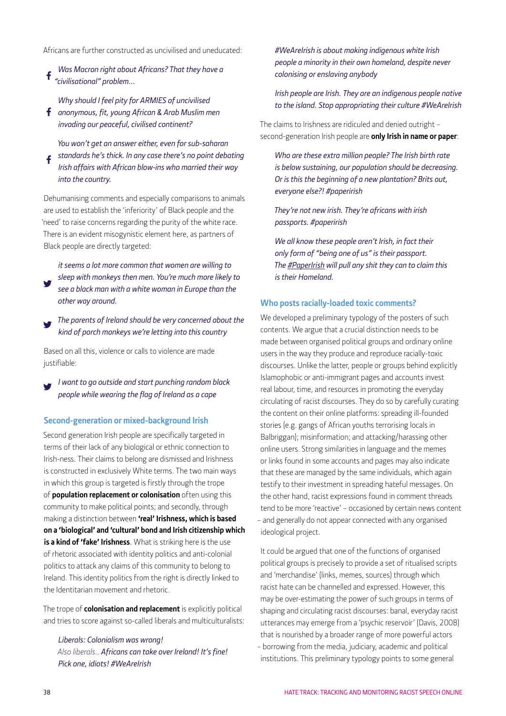Africans are further constructed as uncivilised and uneducated:

*Was Macron right about Africans? That they have a "civilisational" problem...*  f

*Why should I feel pity for ARMIES of uncivilised anonymous, fit, young African & Arab Muslim men invading our peaceful, civilised continent?* 

*You won't get an answer either, even for sub-saharan standards he's thick. In any case there's no point debating Irish affairs with African blow-ins who married their way into the country.*  f

Dehumanising comments and especially comparisons to animals are used to establish the 'inferiority' of Black people and the 'need' to raise concerns regarding the purity of the white race. There is an evident misogynistic element here, as partners of Black people are directly targeted:

*it seems a lot more common that women are willing to sleep with monkeys then men. You're much more likely to see a black man with a white woman in Europe than the other way around.*  y

*The parents of Ireland should be very concerned about the kind of porch monkeys we're letting into this country*  y

Based on all this, violence or calls to violence are made justifiable:

*I want to go outside and start punching random black people while wearing the flag of Ireland as a cape*  y

#### **Second-generation or mixed-background Irish**

Second generation Irish people are specifically targeted in terms of their lack of any biological or ethnic connection to Irish-ness. Their claims to belong are dismissed and Irishness is constructed in exclusively White terms. The two main ways in which this group is targeted is firstly through the trope of **population replacement or colonisation** often using this community to make political points; and secondly, through making a distinction between **'real' Irishness, which is based on a 'biological' and 'cultural' bond and Irish citizenship which is a kind of 'fake' Irishness**. What is striking here is the use of rhetoric associated with identity politics and anti-colonial politics to attack any claims of this community to belong to Ireland. This identity politics from the right is directly linked to the Identitarian movement and rhetoric.

The trope of **colonisation and replacement** is explicitly political and tries to score against so-called liberals and multiculturalists:

*Liberals: Colonialism was wrong! Also liberals.. Africanscan take over Ireland! It'sfine! Pick one, idiots! #WeAreIrish*

*#WeAreIrish is about making indigenous white Irish people a minority in their own homeland, despite never colonising or enslaving anybody*

*Irish people are Irish. They are an indigenous people native to the island. Stop appropriating their culture #WeAreIrish*

The claims to Irishness are ridiculed and denied outright – second-generation Irish people are **only Irish in name or paper**:

*Who are these extra million people? The Irish birth rate is below sustaining, our population should be decreasing. Or is this the beginning of a new plantation? Brits out, everyone else?! #paperirish*

*They're not new irish. They're africans with irish passports. #paperirish*

*We all know these people aren't Irish, in fact their only form of "being one of us" is their passport. The #PaperIrish will pull any shit they can to claim this is their Homeland.*

### **Who posts racially-loaded toxic comments?**

We developed a preliminary typology of the posters of such contents. We argue that a crucial distinction needs to be made between organised political groups and ordinary online users in the way they produce and reproduce racially-toxic discourses. Unlike the latter, people or groups behind explicitly Islamophobic or anti-immigrant pages and accounts invest real labour, time, and resources in promoting the everyday circulating of racist discourses. They do so by carefully curating the content on their online platforms: spreading ill-founded stories (e.g. gangs of African youths terrorising locals in Balbriggan); misinformation; and attacking/harassing other online users. Strong similarities in language and the memes or links found in some accounts and pages may also indicate that these are managed by the same individuals, which again testify to their investment in spreading hateful messages. On the other hand, racist expressions found in comment threads tend to be more 'reactive' – occasioned by certain news content – and generally do not appear connected with any organised ideological project.

It could be argued that one of the functions of organised political groups is precisely to provide a set of ritualised scripts and 'merchandise' (links, memes, sources) through which racist hate can be channelled and expressed. However, this may be over-estimating the power of such groups in terms of shaping and circulating racist discourses: banal, everyday racist utterances may emerge from a 'psychic reservoir' (Davis, 2008) that is nourished by a broader range of more powerful actors – borrowing from the media, judiciary, academic and political institutions. This preliminary typology points to some general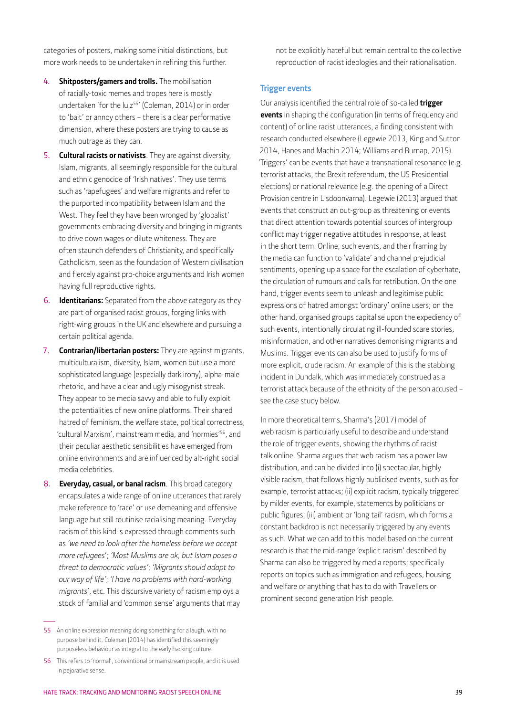categories of posters, making some initial distinctions, but more work needs to be undertaken in refining this further.

- 4. **Shitposters/gamers and trolls.** The mobilisation of racially-toxic memes and tropes here is mostly undertaken 'for the lulz<sup>55</sup>' (Coleman, 2014) or in order to 'bait' or annoy others – there is a clear performative dimension, where these posters are trying to cause as much outrage as they can.
- 5. **Cultural racists or nativists**. They are against diversity, Islam, migrants, all seemingly responsible for the cultural and ethnic genocide of 'Irish natives'. They use terms such as 'rapefugees' and welfare migrants and refer to the purported incompatibility between Islam and the West. They feel they have been wronged by 'globalist' governments embracing diversity and bringing in migrants to drive down wages or dilute whiteness. They are often staunch defenders of Christianity, and specifically Catholicism, seen as the foundation of Western civilisation and fiercely against pro-choice arguments and Irish women having full reproductive rights.
- 6. **Identitarians:** Separated from the above category as they are part of organised racist groups, forging links with right-wing groups in the UK and elsewhere and pursuing a certain political agenda.
- 7. **Contrarian/libertarian posters:** They are against migrants, multiculturalism, diversity, Islam, women but use a more sophisticated language (especially dark irony), alpha-male rhetoric, and have a clear and ugly misogynist streak. They appear to be media savvy and able to fully exploit the potentialities of new online platforms. Their shared hatred of feminism, the welfare state, political correctness, 'cultural Marxism', mainstream media, and 'normies'56, and their peculiar aesthetic sensibilities have emerged from online environments and are influenced by alt-right social media celebrities.
- 8. **Everyday, casual, or banal racism**. This broad category encapsulates a wide range of online utterances that rarely make reference to 'race' or use demeaning and offensive language but still routinise racialising meaning. Everyday racism of this kind is expressed through comments such as *'we need to look after the homeless before we accept more refugees*'; *'Most Muslims are ok, but Islam poses a threat to democratic values'*; *'Migrants should adapt to our way of life'*; *'I have no problems with hard-working migrants*', etc. This discursive variety of racism employs a stock of familial and 'common sense' arguments that may

not be explicitly hateful but remain central to the collective reproduction of racist ideologies and their rationalisation.

### **Trigger events**

Our analysis identified the central role of so-called **trigger events** in shaping the configuration (in terms of frequency and content) of online racist utterances, a finding consistent with research conducted elsewhere (Legewie 2013, King and Sutton 2014, Hanes and Machin 2014; Williams and Burnap, 2015). 'Triggers' can be events that have a transnational resonance (e.g. terrorist attacks, the Brexit referendum, the US Presidential elections) or national relevance (e.g. the opening of a Direct Provision centre in Lisdoonvarna). Legewie (2013) argued that events that construct an out-group as threatening or events that direct attention towards potential sources of intergroup conflict may trigger negative attitudes in response, at least in the short term. Online, such events, and their framing by the media can function to 'validate' and channel prejudicial sentiments, opening up a space for the escalation of cyberhate, the circulation of rumours and calls for retribution. On the one hand, trigger events seem to unleash and legitimise public expressions of hatred amongst 'ordinary' online users; on the other hand, organised groups capitalise upon the expediency of such events, intentionally circulating ill-founded scare stories, misinformation, and other narratives demonising migrants and Muslims. Trigger events can also be used to justify forms of more explicit, crude racism. An example of this is the stabbing incident in Dundalk, which was immediately construed as a terrorist attack because of the ethnicity of the person accused – see the case study below.

In more theoretical terms, Sharma's (2017) model of web racism is particularly useful to describe and understand the role of trigger events, showing the rhythms of racist talk online. Sharma argues that web racism has a power law distribution, and can be divided into (i) spectacular, highly visible racism, that follows highly publicised events, such as for example, terrorist attacks; (ii) explicit racism, typically triggered by milder events, for example, statements by politicians or public figures; (iii) ambient or 'long tail' racism, which forms a constant backdrop is not necessarily triggered by any events as such. What we can add to this model based on the current research is that the mid-range 'explicit racism' described by Sharma can also be triggered by media reports; specifically reports on topics such as immigration and refugees, housing and welfare or anything that has to do with Travellers or prominent second generation Irish people.

<sup>55</sup> An online expression meaning doing something for a laugh, with no purpose behind it. Coleman (2014) has identified this seemingly purposeless behaviour as integral to the early hacking culture.

<sup>56</sup> This refers to 'normal', conventional or mainstream people, and it is used in pejorative sense.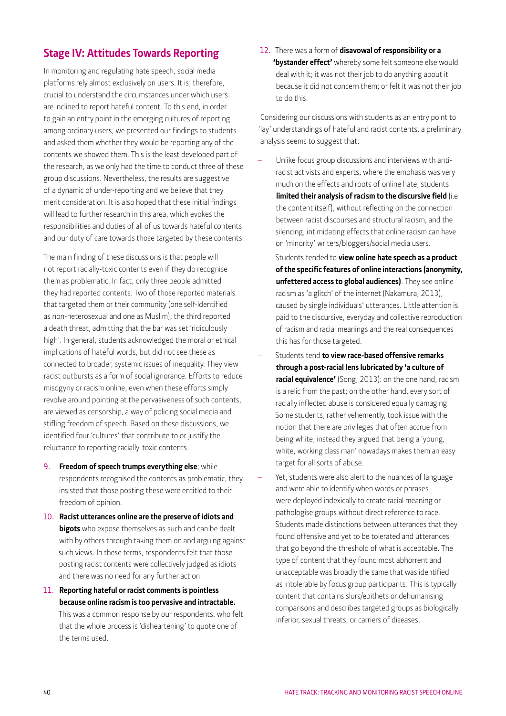## **Stage IV: Attitudes Towards Reporting**

In monitoring and regulating hate speech, social media platforms rely almost exclusively on users. It is, therefore, crucial to understand the circumstances under which users are inclined to report hateful content. To this end, in order to gain an entry point in the emerging cultures of reporting among ordinary users, we presented our findings to students and asked them whether they would be reporting any of the contents we showed them. This is the least developed part of the research, as we only had the time to conduct three of these group discussions. Nevertheless, the results are suggestive of a dynamic of under-reporting and we believe that they merit consideration. It is also hoped that these initial findings will lead to further research in this area, which evokes the responsibilities and duties of all of us towards hateful contents and our duty of care towards those targeted by these contents.

The main finding of these discussions is that people will not report racially-toxic contents even if they do recognise them as problematic. In fact, only three people admitted they had reported contents. Two of those reported materials that targeted them or their community (one self-identified as non-heterosexual and one as Muslim); the third reported a death threat, admitting that the bar was set 'ridiculously high'. In general, students acknowledged the moral or ethical implications of hateful words, but did not see these as connected to broader, systemic issues of inequality. They view racist outbursts as a form of social ignorance. Efforts to reduce misogyny or racism online, even when these efforts simply revolve around pointing at the pervasiveness of such contents, are viewed as censorship, a way of policing social media and stifling freedom of speech. Based on these discussions, we identified four 'cultures' that contribute to or justify the reluctance to reporting racially-toxic contents.

- 9. **Freedom of speech trumps everything else**; while respondents recognised the contents as problematic, they insisted that those posting these were entitled to their freedom of opinion.
- 10. **Racist utterances online are the preserve of idiots and bigots** who expose themselves as such and can be dealt with by others through taking them on and arguing against such views. In these terms, respondents felt that those posting racist contents were collectively judged as idiots and there was no need for any further action.
- 11. **Reporting hateful or racist comments is pointless because online racism is too pervasive and intractable.** This was a common response by our respondents, who felt that the whole process is 'disheartening' to quote one of the terms used.

12. There was a form of **disavowal of responsibility or a 'bystander effect'** whereby some felt someone else would deal with it; it was not their job to do anything about it because it did not concern them; or felt it was not their job to do this.

Considering our discussions with students as an entry point to 'lay' understandings of hateful and racist contents, a preliminary analysis seems to suggest that:

- Unlike focus group discussions and interviews with antiracist activists and experts, where the emphasis was very much on the effects and roots of online hate, students **limited their analysis of racism to the discursive field** (i.e. the content itself), without reflecting on the connection between racist discourses and structural racism, and the silencing, intimidating effects that online racism can have on 'minority' writers/bloggers/social media users.
- Students tended to **view online hate speech as a product of the specific features of online interactions (anonymity, unfettered access to global audiences)**. They see online racism as 'a glitch' of the internet (Nakamura, 2013), caused by single individuals' utterances. Little attention is paid to the discursive, everyday and collective reproduction of racism and racial meanings and the real consequences this has for those targeted.
- Students tend **to view race-based offensive remarks through a post-racial lens lubricated by 'a culture of racial equivalence'** (Song, 2013): on the one hand, racism is a relic from the past; on the other hand, every sort of racially inflected abuse is considered equally damaging. Some students, rather vehemently, took issue with the notion that there are privileges that often accrue from being white; instead they argued that being a 'young, white, working class man' nowadays makes them an easy target for all sorts of abuse.
- Yet, students were also alert to the nuances of language and were able to identify when words or phrases were deployed indexically to create racial meaning or pathologise groups without direct reference to race. Students made distinctions between utterances that they found offensive and yet to be tolerated and utterances that go beyond the threshold of what is acceptable. The type of content that they found most abhorrent and unacceptable was broadly the same that was identified as intolerable by focus group participants. This is typically content that contains slurs/epithets or dehumanising comparisons and describes targeted groups as biologically inferior, sexual threats, or carriers of diseases.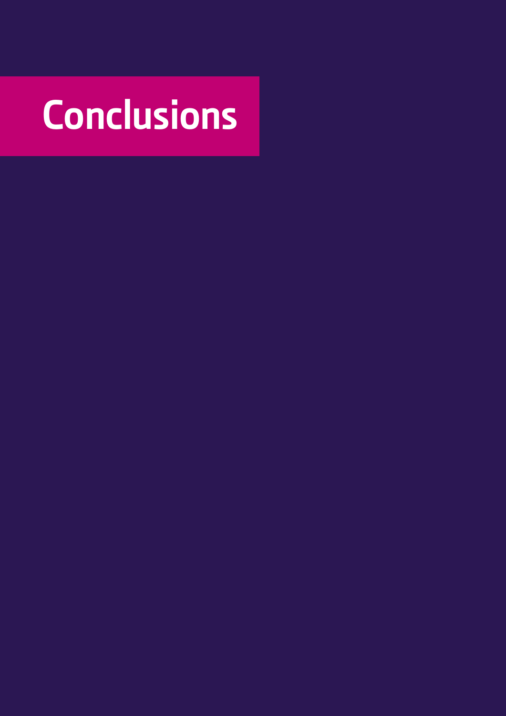# **Conclusions**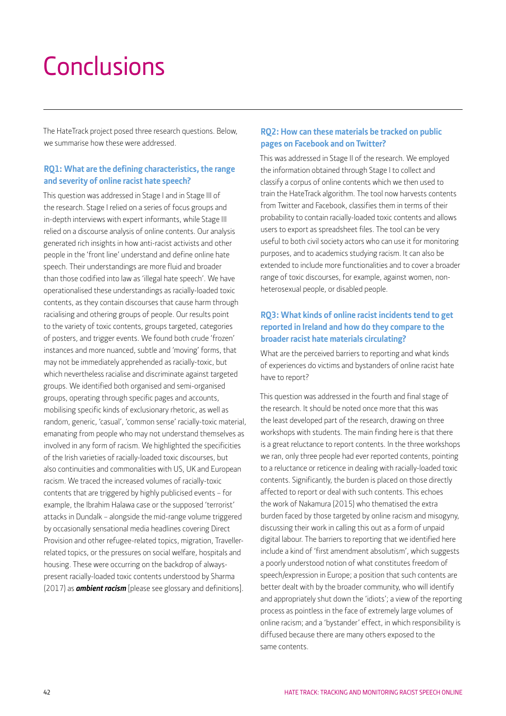# **Conclusions**

The HateTrack project posed three research questions. Below, we summarise how these were addressed.

### **RQ1: What are the defining characteristics, the range and severity of online racist hate speech?**

This question was addressed in Stage I and in Stage III of the research. Stage I relied on a series of focus groups and in-depth interviews with expert informants, while Stage III relied on a discourse analysis of online contents. Our analysis generated rich insights in how anti-racist activists and other people in the 'front line' understand and define online hate speech. Their understandings are more fluid and broader than those codified into law as 'illegal hate speech'. We have operationalised these understandings as racially-loaded toxic contents, as they contain discourses that cause harm through racialising and othering groups of people. Our results point to the variety of toxic contents, groups targeted, categories of posters, and trigger events. We found both crude 'frozen' instances and more nuanced, subtle and 'moving' forms, that may not be immediately apprehended as racially-toxic, but which nevertheless racialise and discriminate against targeted groups. We identified both organised and semi-organised groups, operating through specific pages and accounts, mobilising specific kinds of exclusionary rhetoric, as well as random, generic, 'casual', 'common sense' racially-toxic material, emanating from people who may not understand themselves as involved in any form of racism. We highlighted the specificities of the Irish varieties of racially-loaded toxic discourses, but also continuities and commonalities with US, UK and European racism. We traced the increased volumes of racially-toxic contents that are triggered by highly publicised events – for example, the Ibrahim Halawa case or the supposed 'terrorist' attacks in Dundalk – alongside the mid-range volume triggered by occasionally sensational media headlines covering Direct Provision and other refugee-related topics, migration, Travellerrelated topics, or the pressures on social welfare, hospitals and housing. These were occurring on the backdrop of alwayspresent racially-loaded toxic contents understood by Sharma (2017) as *ambient racism* [please see glossary and definitions].

### **RQ2: How can these materials be tracked on public pages on Facebook and on Twitter?**

This was addressed in Stage II of the research. We employed the information obtained through Stage I to collect and classify a corpus of online contents which we then used to train the HateTrack algorithm. The tool now harvests contents from Twitter and Facebook, classifies them in terms of their probability to contain racially-loaded toxic contents and allows users to export as spreadsheet files. The tool can be very useful to both civil society actors who can use it for monitoring purposes, and to academics studying racism. It can also be extended to include more functionalities and to cover a broader range of toxic discourses, for example, against women, nonheterosexual people, or disabled people.

### **RQ3: What kinds of online racist incidents tend to get reported in Ireland and how do they compare to the broader racist hate materials circulating?**

What are the perceived barriers to reporting and what kinds of experiences do victims and bystanders of online racist hate have to report?

This question was addressed in the fourth and final stage of the research. It should be noted once more that this was the least developed part of the research, drawing on three workshops with students. The main finding here is that there is a great reluctance to report contents. In the three workshops we ran, only three people had ever reported contents, pointing to a reluctance or reticence in dealing with racially-loaded toxic contents. Significantly, the burden is placed on those directly affected to report or deal with such contents. This echoes the work of Nakamura (2015) who thematised the extra burden faced by those targeted by online racism and misogyny, discussing their work in calling this out as a form of unpaid digital labour. The barriers to reporting that we identified here include a kind of 'first amendment absolutism', which suggests a poorly understood notion of what constitutes freedom of speech/expression in Europe; a position that such contents are better dealt with by the broader community, who will identify and appropriately shut down the 'idiots'; a view of the reporting process as pointless in the face of extremely large volumes of online racism; and a 'bystander' effect, in which responsibility is diffused because there are many others exposed to the same contents.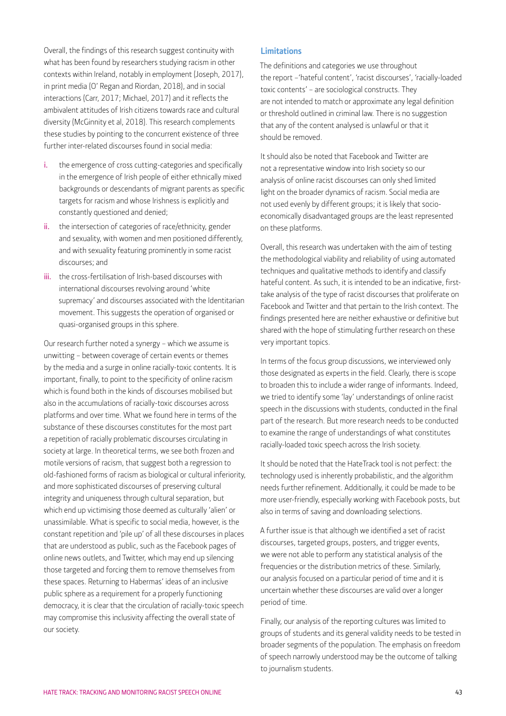Overall, the findings of this research suggest continuity with what has been found by researchers studying racism in other contexts within Ireland, notably in employment (Joseph, 2017), in print media (O' Regan and Riordan, 2018), and in social interactions (Carr, 2017; Michael, 2017) and it reflects the ambivalent attitudes of Irish citizens towards race and cultural diversity (McGinnity et al, 2018). This research complements these studies by pointing to the concurrent existence of three further inter-related discourses found in social media:

- i. the emergence of cross cutting-categories and specifically in the emergence of Irish people of either ethnically mixed backgrounds or descendants of migrant parents as specific targets for racism and whose Irishness is explicitly and constantly questioned and denied;
- ii. the intersection of categories of race/ethnicity, gender and sexuality, with women and men positioned differently, and with sexuality featuring prominently in some racist discourses; and
- iii. the cross-fertilisation of Irish-based discourses with international discourses revolving around 'white supremacy' and discourses associated with the Identitarian movement. This suggests the operation of organised or quasi-organised groups in this sphere.

Our research further noted a synergy – which we assume is unwitting – between coverage of certain events or themes by the media and a surge in online racially-toxic contents. It is important, finally, to point to the specificity of online racism which is found both in the kinds of discourses mobilised but also in the accumulations of racially-toxic discourses across platforms and over time. What we found here in terms of the substance of these discourses constitutes for the most part a repetition of racially problematic discourses circulating in society at large. In theoretical terms, we see both frozen and motile versions of racism, that suggest both a regression to old-fashioned forms of racism as biological or cultural inferiority, and more sophisticated discourses of preserving cultural integrity and uniqueness through cultural separation, but which end up victimising those deemed as culturally 'alien' or unassimilable. What is specific to social media, however, is the constant repetition and 'pile up' of all these discourses in places that are understood as public, such as the Facebook pages of online news outlets, and Twitter, which may end up silencing those targeted and forcing them to remove themselves from these spaces. Returning to Habermas' ideas of an inclusive public sphere as a requirement for a properly functioning democracy, it is clear that the circulation of racially-toxic speech may compromise this inclusivity affecting the overall state of our society.

### **Limitations**

The definitions and categories we use throughout the report –'hateful content', 'racist discourses', 'racially-loaded toxic contents' – are sociological constructs. They are not intended to match or approximate any legal definition or threshold outlined in criminal law. There is no suggestion that any of the content analysed is unlawful or that it should be removed.

It should also be noted that Facebook and Twitter are not a representative window into Irish society so our analysis of online racist discourses can only shed limited light on the broader dynamics of racism. Social media are not used evenly by different groups; it is likely that socioeconomically disadvantaged groups are the least represented on these platforms.

Overall, this research was undertaken with the aim of testing the methodological viability and reliability of using automated techniques and qualitative methods to identify and classify hateful content. As such, it is intended to be an indicative, firsttake analysis of the type of racist discourses that proliferate on Facebook and Twitter and that pertain to the Irish context. The findings presented here are neither exhaustive or definitive but shared with the hope of stimulating further research on these very important topics.

In terms of the focus group discussions, we interviewed only those designated as experts in the field. Clearly, there is scope to broaden this to include a wider range of informants. Indeed, we tried to identify some 'lay' understandings of online racist speech in the discussions with students, conducted in the final part of the research. But more research needs to be conducted to examine the range of understandings of what constitutes racially-loaded toxic speech across the Irish society.

It should be noted that the HateTrack tool is not perfect: the technology used is inherently probabilistic, and the algorithm needs further refinement. Additionally, it could be made to be more user-friendly, especially working with Facebook posts, but also in terms of saving and downloading selections.

A further issue is that although we identified a set of racist discourses, targeted groups, posters, and trigger events, we were not able to perform any statistical analysis of the frequencies or the distribution metrics of these. Similarly, our analysis focused on a particular period of time and it is uncertain whether these discourses are valid over a longer period of time.

Finally, our analysis of the reporting cultures was limited to groups of students and its general validity needs to be tested in broader segments of the population. The emphasis on freedom of speech narrowly understood may be the outcome of talking to journalism students.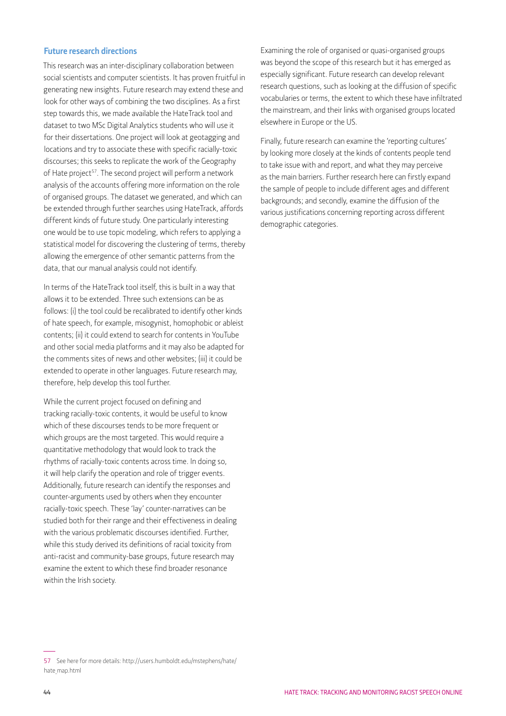### **Future research directions**

This research was an inter-disciplinary collaboration between social scientists and computer scientists. It has proven fruitful in generating new insights. Future research may extend these and look for other ways of combining the two disciplines. As a first step towards this, we made available the HateTrack tool and dataset to two MSc Digital Analytics students who will use it for their dissertations. One project will look at geotagging and locations and try to associate these with specific racially-toxic discourses; this seeks to replicate the work of the Geography of Hate project<sup>57</sup>. The second project will perform a network analysis of the accounts offering more information on the role of organised groups. The dataset we generated, and which can be extended through further searches using HateTrack, affords different kinds of future study. One particularly interesting one would be to use topic modeling, which refers to applying a statistical model for discovering the clustering of terms, thereby allowing the emergence of other semantic patterns from the data, that our manual analysis could not identify.

In terms of the HateTrack tool itself, this is built in a way that allows it to be extended. Three such extensions can be as follows: (i) the tool could be recalibrated to identify other kinds of hate speech, for example, misogynist, homophobic or ableist contents; (ii) it could extend to search for contents in YouTube and other social media platforms and it may also be adapted for the comments sites of news and other websites; (iii) it could be extended to operate in other languages. Future research may, therefore, help develop this tool further.

While the current project focused on defining and tracking racially-toxic contents, it would be useful to know which of these discourses tends to be more frequent or which groups are the most targeted. This would require a quantitative methodology that would look to track the rhythms of racially-toxic contents across time. In doing so, it will help clarify the operation and role of trigger events. Additionally, future research can identify the responses and counter-arguments used by others when they encounter racially-toxic speech. These 'lay' counter-narratives can be studied both for their range and their effectiveness in dealing with the various problematic discourses identified. Further, while this study derived its definitions of racial toxicity from anti-racist and community-base groups, future research may examine the extent to which these find broader resonance within the Irish society.

Examining the role of organised or quasi-organised groups was beyond the scope of this research but it has emerged as especially significant. Future research can develop relevant research questions, such as looking at the diffusion of specific vocabularies or terms, the extent to which these have infiltrated the mainstream, and their links with organised groups located elsewhere in Europe or the US.

Finally, future research can examine the 'reporting cultures' by looking more closely at the kinds of contents people tend to take issue with and report, and what they may perceive as the main barriers. Further research here can firstly expand the sample of people to include different ages and different backgrounds; and secondly, examine the diffusion of the various justifications concerning reporting across different demographic categories.

<sup>57</sup> See here for more details: http://users.humboldt.edu/mstephens/hate/ hate map.html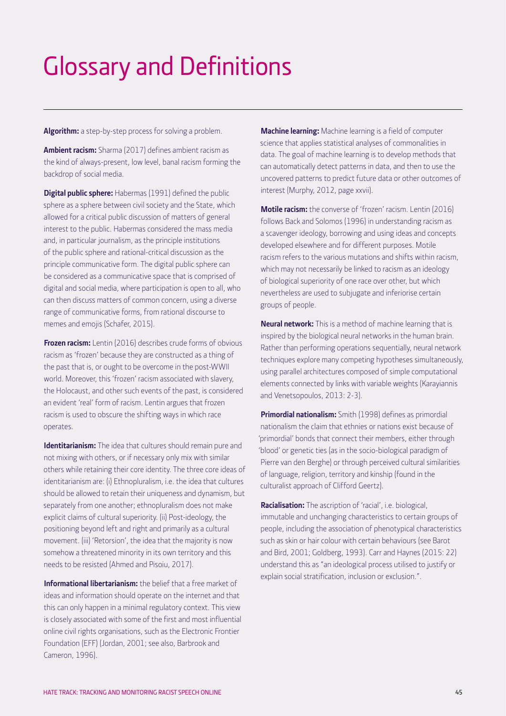# Glossary and Definitions

**Algorithm:** a step-by-step process for solving a problem.

**Ambient racism:** Sharma (2017) defines ambient racism as the kind of always-present, low level, banal racism forming the backdrop of social media.

**Digital public sphere:** Habermas (1991) defined the public sphere as a sphere between civil society and the State, which allowed for a critical public discussion of matters of general interest to the public. Habermas considered the mass media and, in particular journalism, as the principle institutions of the public sphere and rational-critical discussion as the principle communicative form. The digital public sphere can be considered as a communicative space that is comprised of digital and social media, where participation is open to all, who can then discuss matters of common concern, using a diverse range of communicative forms, from rational discourse to memes and emojis (Schafer, 2015).

**Frozen racism:** Lentin (2016) describes crude forms of obvious racism as 'frozen' because they are constructed as a thing of the past that is, or ought to be overcome in the post-WWII world. Moreover, this 'frozen' racism associated with slavery, the Holocaust, and other such events of the past, is considered an evident 'real' form of racism. Lentin argues that frozen racism is used to obscure the shifting ways in which race operates.

**Identitarianism:** The idea that cultures should remain pure and not mixing with others, or if necessary only mix with similar others while retaining their core identity. The three core ideas of identitarianism are: (i) Ethnopluralism, i.e. the idea that cultures should be allowed to retain their uniqueness and dynamism, but separately from one another; ethnopluralism does not make explicit claims of cultural superiority. (ii) Post-ideology, the positioning beyond left and right and primarily as a cultural movement. (iii) 'Retorsion', the idea that the majority is now somehow a threatened minority in its own territory and this needs to be resisted (Ahmed and Pisoiu, 2017).

**Informational libertarianism:** the belief that a free market of ideas and information should operate on the internet and that this can only happen in a minimal regulatory context. This view is closely associated with some of the first and most influential online civil rights organisations, such as the Electronic Frontier Foundation (EFF) (Jordan, 2001; see also, Barbrook and Cameron, 1996).

**Machine learning:** Machine learning is a field of computer science that applies statistical analyses of commonalities in data. The goal of machine learning is to develop methods that can automatically detect patterns in data, and then to use the uncovered patterns to predict future data or other outcomes of interest (Murphy, 2012, page xxvii).

**Motile racism:** the converse of 'frozen' racism. Lentin (2016) follows Back and Solomos (1996) in understanding racism as a scavenger ideology, borrowing and using ideas and concepts developed elsewhere and for different purposes. Motile racism refers to the various mutations and shifts within racism, which may not necessarily be linked to racism as an ideology of biological superiority of one race over other, but which nevertheless are used to subjugate and inferiorise certain groups of people.

**Neural network:** This is a method of machine learning that is inspired by the biological neural networks in the human brain. Rather than performing operations sequentially, neural network techniques explore many competing hypotheses simultaneously, using parallel architectures composed of simple computational elements connected by links with variable weights (Karayiannis and Venetsopoulos, 2013: 2-3).

**Primordial nationalism:** Smith (1998) defines as primordial nationalism the claim that ethnies or nations exist because of 'primordial' bonds that connect their members, either through 'blood' or genetic ties (as in the socio-biological paradigm of Pierre van den Berghe) or through perceived cultural similarities of language, religion, territory and kinship (found in the culturalist approach of Clifford Geertz).

**Racialisation:** The ascription of 'racial', i.e. biological, immutable and unchanging characteristics to certain groups of people, including the association of phenotypical characteristics such as skin or hair colour with certain behaviours (see Barot and Bird, 2001; Goldberg, 1993). Carr and Haynes (2015: 22) understand this as "an ideological process utilised to justify or explain social stratification, inclusion or exclusion.".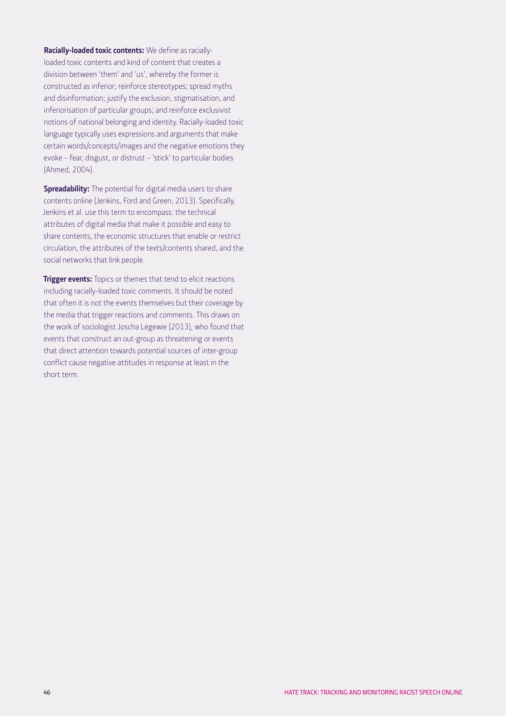**Racially-loaded toxic contents:** We define as raciallyloaded toxic contents and kind of content that creates a division between 'them' and 'us', whereby the former is constructed as inferior; reinforce stereotypes; spread myths and disinformation; justify the exclusion, stigmatisation, and inferiorisation of particular groups; and reinforce exclusivist notions of national belonging and identity. Racially-loaded toxic language typically uses expressions and arguments that make certain words/concepts/images and the negative emotions they evoke – fear, disgust, or distrust – 'stick' to particular bodies (Ahmed, 2004).

**Spreadability:** The potential for digital media users to share contents online (Jenkins, Ford and Green, 2013). Specifically, Jenkins et al. use this term to encompass: the technical attributes of digital media that make it possible and easy to share contents, the economic structures that enable or restrict circulation, the attributes of the texts/contents shared, and the social networks that link people.

**Trigger events:** Topics or themes that tend to elicit reactions including racially-loaded toxic comments. It should be noted that often it is not the events themselves but their coverage by the media that trigger reactions and comments. This draws on the work of sociologist Joscha Legewie (2013), who found that events that construct an out-group as threatening or events that direct attention towards potential sources of inter-group conflict cause negative attitudes in response at least in the short term.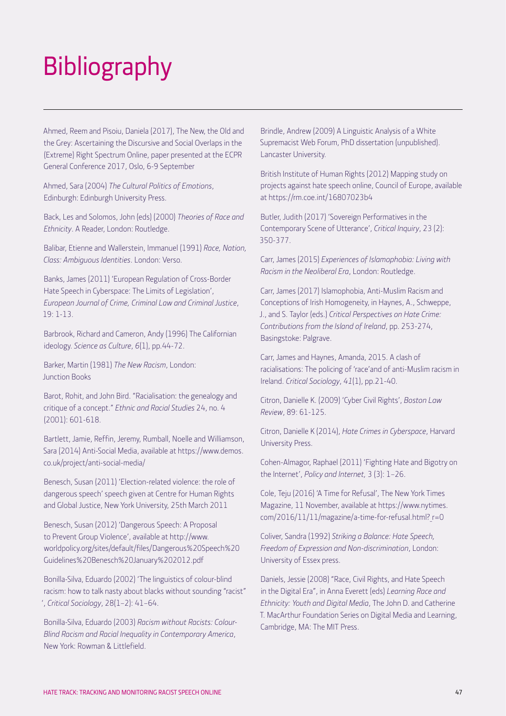# **Bibliography**

Ahmed, Reem and Pisoiu, Daniela (2017), The New, the Old and the Grey: Ascertaining the Discursive and Social Overlaps in the (Extreme) Right Spectrum Online, paper presented at the ECPR General Conference 2017, Oslo, 6-9 September

Ahmed, Sara (2004) *The Cultural Politics of Emotions*, Edinburgh: Edinburgh University Press.

Back, Les and Solomos, John (eds) (2000) *Theories of Race and Ethnicity*. A Reader, London: Routledge.

Balibar, Etienne and Wallerstein, Immanuel (1991) *Race, Nation, Class: Ambiguous Identities*. London: Verso.

Banks, James (2011) 'European Regulation of Cross-Border Hate Speech in Cyberspace: The Limits of Legislation', *European Journal of Crime, Criminal Law and Criminal Justice*, 19: 1-13.

Barbrook, Richard and Cameron, Andy (1996) The Californian ideology. *Science as Culture*, *6*(1), pp.44-72.

Barker, Martin (1981) *The New Racism*, London: Junction Books

Barot, Rohit, and John Bird. "Racialisation: the genealogy and critique of a concept." *Ethnic and Racial Studies* 24, no. 4 (2001): 601-618.

Bartlett, Jamie, Reffin, Jeremy, Rumball, Noelle and Williamson, Sara (2014) Anti-Social Media, available at https://www.demos. co.uk/project/anti-social-media/

Benesch, Susan (2011) 'Election-related violence: the role of dangerous speech' speech given at Centre for Human Rights and Global Justice, New York University, 25th March 2011

Benesch, Susan (2012) 'Dangerous Speech: A Proposal to Prevent Group Violence', available at http://www. worldpolicy.org/sites/default/files/Dangerous%20Speech%20 Guidelines%20Benesch%20January%202012.pdf

Bonilla-Silva, Eduardo (2002) 'The linguistics of colour-blind racism: how to talk nasty about blacks without sounding "racist" ', *Critical Sociology*, 28(1–2): 41–64.

Bonilla-Silva, Eduardo (2003) *Racism without Racists: Colour-Blind Racism and Racial Inequality in Contemporary America*, New York: Rowman & Littlefield.

Brindle, Andrew (2009) A Linguistic Analysis of a White Supremacist Web Forum, PhD dissertation (unpublished). Lancaster University.

British Institute of Human Rights (2012) Mapping study on projects against hate speech online, Council of Europe, available at https://rm.coe.int/16807023b4

Butler, Judith (2017) 'Sovereign Performatives in the Contemporary Scene of Utterance', *Critical Inquiry*, 23 (2): 350-377.

Carr, James (2015) *Experiences of Islamophobia: Living with Racism in the Neoliberal Era*, London: Routledge.

Carr, James (2017) Islamophobia, Anti-Muslim Racism and Conceptions of Irish Homogeneity, in Haynes, A., Schweppe, J., and S. Taylor (eds.) *Critical Perspectives on Hate Crime: Contributions from the Island of Ireland*, pp. 253-274, Basingstoke: Palgrave.

Carr, James and Haynes, Amanda, 2015. A clash of racialisations: The policing of 'race'and of anti-Muslim racism in Ireland. *Critical Sociology*, *41*(1), pp.21-40.

Citron, Danielle K. (2009) 'Cyber Civil Rights', *Boston Law Review*, 89: 61-125.

Citron, Danielle K (2014), *Hate Crimes in Cyberspace*, Harvard University Press.

Cohen-Almagor, Raphael (2011) 'Fighting Hate and Bigotry on the Internet', *Policy and Internet,* 3 (3): 1–26.

Cole, Teju (2016) 'A Time for Refusal', The New York Times Magazine, 11 November, available at https://www.nytimes. com/2016/11/11/magazine/a-time-for-refusal.html? r=0

Coliver, Sandra (1992) *Striking a Balance: Hate Speech, Freedom of Expression and Non-discrimination*, London: University of Essex press.

Daniels, Jessie (2008) "Race, Civil Rights, and Hate Speech in the Digital Era", in Anna Everett (eds) *Learning Race and Ethnicity: Youth and Digital Media*, The John D. and Catherine T. MacArthur Foundation Series on Digital Media and Learning, Cambridge, MA: The MIT Press.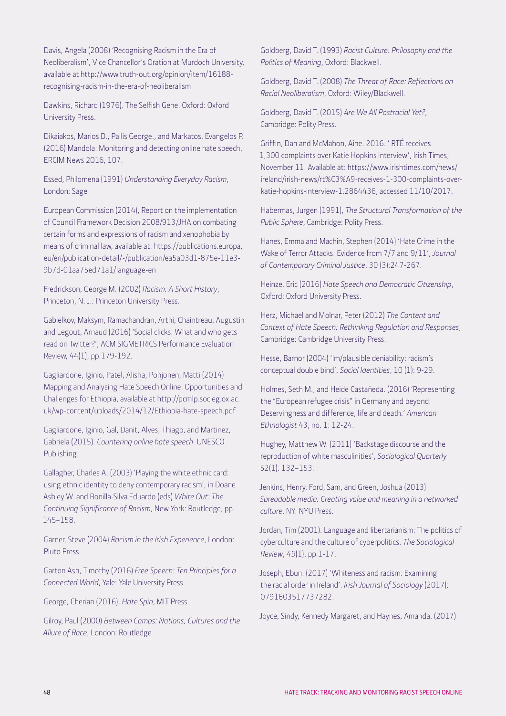Davis, Angela (2008) 'Recognising Racism in the Era of Neoliberalism', Vice Chancellor's Oration at Murdoch University, available at http://www.truth-out.org/opinion/item/16188 recognising-racism-in-the-era-of-neoliberalism

Dawkins, Richard (1976). The Selfish Gene. Oxford: Oxford University Press.

Dikaiakos, Marios D., Pallis George., and Markatos, Evangelos P. (2016) Mandola: Monitoring and detecting online hate speech, ERCIM News 2016, 107.

Essed, Philomena (1991) *Understanding Everyday Racism*, London: Sage

European Commission (2014), Report on the implementation of Council Framework Decision 2008/913/JHA on combating certain forms and expressions of racism and xenophobia by means of criminal law, available at: https://publications.europa. eu/en/publication-detail/-/publication/ea5a03d1-875e-11e3- 9b7d-01aa75ed71a1/language-en

Fredrickson, George M. (2002) *Racism: A Short History*, Princeton, N. J.: Princeton University Press.

Gabielkov, Maksym, Ramachandran, Arthi, Chaintreau, Augustin and Legout, Arnaud (2016) 'Social clicks: What and who gets read on Twitter?', ACM SIGMETRICS Performance Evaluation Review, 44(1), pp.179-192.

Gagliardone, Iginio, Patel, Alisha, Pohjonen, Matti (2014) Mapping and Analysing Hate Speech Online: Opportunities and Challenges for Ethiopia, available at http://pcmlp.socleg.ox.ac. uk/wp-content/uploads/2014/12/Ethiopia-hate-speech.pdf

Gagliardone, Iginio, Gal, Danit, Alves, Thiago, and Martinez, Gabriela (2015). *Countering online hate speech*. UNESCO Publishing.

Gallagher, Charles A. (2003) 'Playing the white ethnic card: using ethnic identity to deny contemporary racism', in Doane Ashley W. and Bonilla-Silva Eduardo (eds) *White Out: The Continuing Significance of Racism*, New York: Routledge, pp. 145–158.

Garner, Steve (2004) *Racism in the Irish Experience*, London: Pluto Press.

Garton Ash, Timothy (2016) *Free Speech: Ten Principles for a Connected World*, Yale: Yale University Press

George, Cherian (2016), *Hate Spin*, MIT Press.

Gilroy, Paul (2000) *Between Camps: Nations, Cultures and the Allure of Race*, London: Routledge

Goldberg, David T. (1993) *Racist Culture: Philosophy and the Politics of Meaning*, Oxford: Blackwell.

Goldberg, David T. (2008) *The Threat of Race: Reflections on Racial Neoliberalism*, Oxford: Wiley/Blackwell.

Goldberg, David T. (2015) *Are We All Postracial Yet?*, Cambridge: Polity Press.

Griffin, Dan and McMahon, Aine. 2016. ' RTÉ receives 1,300 complaints over Katie Hopkins interview', Irish Times, November 11. Available at: https://www.irishtimes.com/news/ ireland/irish-news/rt%C3%A9-receives-1-300-complaints-overkatie-hopkins-interview-1.2864436, accessed 11/10/2017.

Habermas, Jurgen (1991), *The Structural Transformation of the Public Sphere*, Cambridge: Polity Press.

Hanes, Emma and Machin, Stephen (2014) 'Hate Crime in the Wake of Terror Attacks: Evidence from 7/7 and 9/11', *Journal of Contemporary Criminal Justice*, 30 (3):247-267.

Heinze, Eric (2016) *Hate Speech and Democratic Citizenship*, Oxford: Oxford University Press.

Herz, Michael and Molnar, Peter (2012) *The Content and Context of Hate Speech: Rethinking Regulation and Responses*, Cambridge: Cambridge University Press.

Hesse, Barnor (2004) 'Im/plausible deniability: racism's conceptual double bind', *Social Identities*, 10 (1): 9-29.

Holmes, Seth M., and Heide Castañeda. (2016) 'Representing the "European refugee crisis" in Germany and beyond: Deservingness and difference, life and death.' *American Ethnologist* 43, no. 1: 12-24.

Hughey, Matthew W. (2011) 'Backstage discourse and the reproduction of white masculinities', *Sociological Quarterly* 52(1): 132–153.

Jenkins, Henry, Ford, Sam, and Green, Joshua (2013) *Spreadable media: Creating value and meaning in a networked culture*. NY: NYU Press.

Jordan, Tim (2001). Language and libertarianism: The politics of cyberculture and the culture of cyberpolitics. *The Sociological Review*, *49*(1), pp.1-17.

Joseph, Ebun. (2017) 'Whiteness and racism: Examining the racial order in Ireland'. *Irish Journal of Sociology* (2017): 0791603517737282.

Joyce, Sindy, Kennedy Margaret, and Haynes, Amanda, (2017)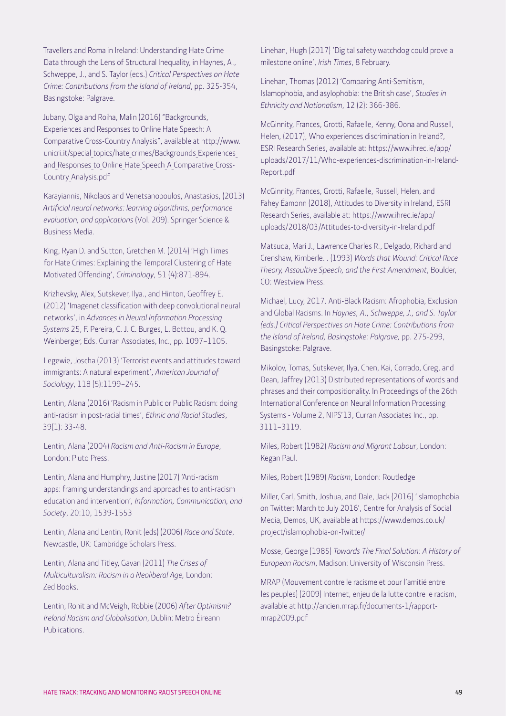Travellers and Roma in Ireland: Understanding Hate Crime Data through the Lens of Structural Inequality, in Haynes, A., Schweppe, J., and S. Taylor (eds.) *Critical Perspectives on Hate Crime: Contributions from the Island of Ireland*, pp. 325-354, Basingstoke: Palgrave.

Jubany, Olga and Roiha, Malin (2016) "Backgrounds, Experiences and Responses to Online Hate Speech: A Comparative Cross-Country Analysis", available at http://www. unicri.it/special topics/hate crimes/Backgrounds Experiences and Responses to Online Hate Speech A Comparative Cross-Country\_Analysis.pdf

Karayiannis, Nikolaos and Venetsanopoulos, Anastasios, (2013) *Artificial neural networks: learning algorithms, performance evaluation, and applications* (Vol. 209). Springer Science & Business Media.

King, Ryan D. and Sutton, Gretchen M. (2014) 'High Times for Hate Crimes: Explaining the Temporal Clustering of Hate Motivated Offending', *Criminology*, 51 (4):871-894.

Krizhevsky, Alex, Sutskever, Ilya., and Hinton, Geoffrey E. (2012) 'Imagenet classification with deep convolutional neural networks', in *Advances in Neural Information Processing Systems* 25, F. Pereira, C. J. C. Burges, L. Bottou, and K. Q. Weinberger, Eds. Curran Associates, Inc., pp. 1097–1105.

Legewie, Joscha (2013) 'Terrorist events and attitudes toward immigrants: A natural experiment', *American Journal of Sociology*, 118 (5):1199–245.

Lentin, Alana (2016) 'Racism in Public or Public Racism: doing anti-racism in post-racial times', *Ethnic and Racial Studies*, 39(1): 33-48.

Lentin, Alana (2004) *Racism and Anti-Racism in Europe*, London: Pluto Press.

Lentin, Alana and Humphry, Justine (2017) 'Anti-racism apps: framing understandings and approaches to anti-racism education and intervention'*, Information, Communication, and Society*, 20:10, 1539-1553

Lentin, Alana and Lentin, Ronit (eds) (2006) *Race and State*, Newcastle, UK: Cambridge Scholars Press.

Lentin, Alana and Titley, Gavan (2011) *The Crises of Multiculturalism: Racism in a Neoliberal Age,* London: Zed Books.

Lentin, Ronit and McVeigh, Robbie (2006) *After Optimism? Ireland Racism and Globalisation*, Dublin: Metro Éireann Publications.

Linehan, Hugh (2017) 'Digital safety watchdog could prove a milestone online', *Irish Times*, 8 February.

Linehan, Thomas (2012) 'Comparing Anti-Semitism, Islamophobia, and asylophobia: the British case', *Studies in Ethnicity and Nationalism*, 12 (2): 366-386.

McGinnity, Frances, Grotti, Rafaelle, Kenny, Oona and Russell, Helen, (2017), Who experiences discrimination in Ireland?, ESRI Research Series, available at: https://www.ihrec.ie/app/ uploads/2017/11/Who-experiences-discrimination-in-Ireland-Report.pdf

McGinnity, Frances, Grotti, Rafaelle, Russell, Helen, and Fahey Éamonn (2018), Attitudes to Diversity in Ireland, ESRI Research Series, available at: https://www.ihrec.ie/app/ uploads/2018/03/Attitudes-to-diversity-in-Ireland.pdf

Matsuda, Mari J., Lawrence Charles R., Delgado, Richard and Crenshaw, Kirnberle. . (1993) *Words that Wound: Critical Race Theory, Assaultive Speech, and the First Amendment*, Boulder, CO: Westview Press.

Michael, Lucy, 2017. Anti-Black Racism: Afrophobia, Exclusion and Global Racisms. In *Haynes, A., Schweppe, J., and S. Taylor (eds.) Critical Perspectives on Hate Crime: Contributions from the Island of Ireland, Basingstoke: Palgrave,* pp. 275-299, Basingstoke: Palgrave.

Mikolov, Tomas, Sutskever, Ilya, Chen, Kai, Corrado, Greg, and Dean, Jaffrey (2013) Distributed representations of words and phrases and their compositionality. In Proceedings of the 26th International Conference on Neural Information Processing Systems - Volume 2, NIPS'13, Curran Associates Inc., pp. 3111–3119.

Miles, Robert (1982) *Racism and Migrant Labour*, London: Kegan Paul.

Miles, Robert (1989) *Racism*, London: Routledge

Miller, Carl, Smith, Joshua, and Dale, Jack (2016) 'Islamophobia on Twitter: March to July 2016', Centre for Analysis of Social Media, Demos, UK, available at https://www.demos.co.uk/ project/islamophobia-on-Twitter/

Mosse, George (1985) *Towards The Final Solution: A History of European Racism*, Madison: University of Wisconsin Press.

MRAP (Mouvement contre le racisme et pour l'amitié entre les peuples) (2009) Internet, enjeu de la lutte contre le racism, available at http://ancien.mrap.fr/documents-1/rapportmrap2009.pdf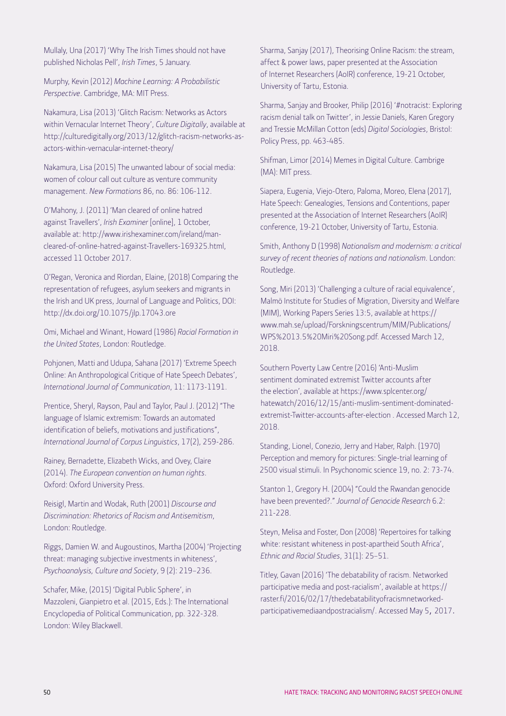Mullaly, Una (2017) 'Why The Irish Times should not have published Nicholas Pell', *Irish Times*, 5 January.

Murphy, Kevin (2012) *Machine Learning: A Probabilistic Perspective*. Cambridge, MA: MIT Press.

Nakamura, Lisa (2013) 'Glitch Racism: Networks as Actors within Vernacular Internet Theory', *Culture Digitally*, available at http://culturedigitally.org/2013/12/glitch-racism-networks-asactors-within-vernacular-internet-theory/

Nakamura, Lisa (2015) The unwanted labour of social media: women of colour call out culture as venture community management. *New Formations* 86, no. 86: 106-112.

O'Mahony, J. (2011) 'Man cleared of online hatred against Travellers', *Irish Examiner* [online], 1 October, available at: http://www.irishexaminer.com/ireland/mancleared-of-online-hatred-against-Travellers-169325.html, accessed 11 October 2017.

O'Regan, Veronica and Riordan, Elaine, (2018) Comparing the representation of refugees, asylum seekers and migrants in the Irish and UK press, Journal of Language and Politics, DOI: http://dx.doi.org/10.1075/jlp.17043.ore

Omi, Michael and Winant, Howard (1986) *Racial Formation in the United States*, London: Routledge.

Pohjonen, Matti and Udupa, Sahana (2017) 'Extreme Speech Online: An Anthropological Critique of Hate Speech Debates', *International Journal of Communication*, 11: 1173-1191.

Prentice, Sheryl, Rayson, Paul and Taylor, Paul J. (2012) "The language of Islamic extremism: Towards an automated identification of beliefs, motivations and justifications", *International Journal of Corpus Linguistics*, 17(2), 259-286.

Rainey, Bernadette, Elizabeth Wicks, and Ovey, Claire (2014). *The European convention on human rights*. Oxford: Oxford University Press.

Reisigl, Martin and Wodak, Ruth (2001) *Discourse and Discrimination: Rhetorics of Racism and Antisemitism*, London: Routledge.

Riggs, Damien W. and Augoustinos, Martha (2004) 'Projecting threat: managing subjective investments in whiteness', *Psychoanalysis, Culture and Society*, 9 (2): 219–236.

Schafer, Mike, (2015) 'Digital Public Sphere', in Mazzoleni, Gianpietro et al. (2015, Eds.): The International Encyclopedia of Political Communication, pp. 322-328. London: Wiley Blackwell.

Sharma, Sanjay (2017), Theorising Online Racism: the stream, affect & power laws, paper presented at the Association of Internet Researchers (AoIR) conference, 19-21 October, University of Tartu, Estonia.

Sharma, Sanjay and Brooker, Philip (2016) '#notracist: Exploring racism denial talk on Twitter', in Jessie Daniels, Karen Gregory and Tressie McMillan Cotton (eds) *Digital Sociologies*, Bristol: Policy Press, pp. 463-485.

Shifman, Limor (2014) Memes in Digital Culture. Cambrige (MA): MIT press.

Siapera, Eugenia, Viejo-Otero, Paloma, Moreo, Elena (2017), Hate Speech: Genealogies, Tensions and Contentions, paper presented at the Association of Internet Researchers (AoIR) conference, 19-21 October, University of Tartu, Estonia.

Smith, Anthony D (1998) *Nationalism and modernism: a critical survey of recent theories of nations and nationalism*. London: Routledge.

Song, Miri (2013) 'Challenging a culture of racial equivalence', Malmö Institute for Studies of Migration, Diversity and Welfare (MIM), Working Papers Series 13:5, available at https:// www.mah.se/upload/Forskningscentrum/MIM/Publications/ WPS%2013.5%20Miri%20Song.pdf. Accessed March 12, 2018.

Southern Poverty Law Centre (2016) 'Anti-Muslim sentiment dominated extremist Twitter accounts after the election', available at https://www.splcenter.org/ hatewatch/2016/12/15/anti-muslim-sentiment-dominatedextremist-Twitter-accounts-after-election . Accessed March 12, 2018.

Standing, Lionel, Conezio, Jerry and Haber, Ralph. (1970) Perception and memory for pictures: Single-trial learning of 2500 visual stimuli. In Psychonomic science 19, no. 2: 73-74.

Stanton 1, Gregory H. (2004) "Could the Rwandan genocide have been prevented?." *Journal of Genocide Research* 6.2: 211-228.

Steyn, Melisa and Foster, Don (2008) 'Repertoires for talking white: resistant whiteness in post-apartheid South Africa', *Ethnic and Racial Studies*, 31(1): 25–51.

Titley, Gavan (2016) 'The debatability of racism. Networked participative media and post-racialism', available at https:// raster.fi/2016/02/17/thedebatabilityofracismnetworkedparticipativemediaandpostracialism/. Accessed May 5, 2017.